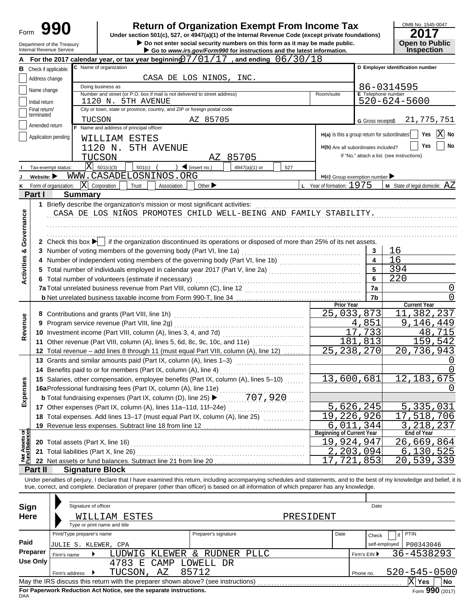| Form                           |                                |                            | <b>Return of Organization Exempt From Income Tax</b>                                                                                                                              |                    | OMB No. 1545-0047                          |
|--------------------------------|--------------------------------|----------------------------|-----------------------------------------------------------------------------------------------------------------------------------------------------------------------------------|--------------------|--------------------------------------------|
|                                |                                | Department of the Treasury | Under section 501(c), 527, or 4947(a)(1) of the Internal Revenue Code (except private foundations)<br>Do not enter social security numbers on this form as it may be made public. |                    | 20<br><b>Open to Public</b>                |
|                                |                                | Internal Revenue Service   | Go to www.irs.gov/Form990 for instructions and the latest information.                                                                                                            |                    | <b>Inspection</b>                          |
|                                |                                |                            | For the 2017 calendar year, or tax year beginning $07/01/17$ , and ending $06/30/18$                                                                                              |                    |                                            |
| В                              | Check if applicable:           |                            | C Name of organization                                                                                                                                                            |                    | D Employer identification number           |
|                                | Address change                 |                            | CASA DE LOS NINOS, INC.                                                                                                                                                           |                    |                                            |
|                                | Name change                    |                            | Doing business as<br>Number and street (or P.O. box if mail is not delivered to street address)<br>Room/suite                                                                     | E Telephone number | 86-0314595                                 |
|                                | Initial return                 |                            | 1120 N. 5TH AVENUE                                                                                                                                                                |                    | 520-624-5600                               |
|                                | Final return/<br>terminated    |                            | City or town, state or province, country, and ZIP or foreign postal code                                                                                                          |                    |                                            |
|                                | Amended return                 | TUCSON                     | AZ 85705                                                                                                                                                                          | G Gross receipts\$ | 21,775,751                                 |
|                                |                                |                            | F Name and address of principal officer:<br>$H(a)$ Is this a group return for subordinates <sup>1</sup>                                                                           |                    | X <br>Yes<br>No                            |
|                                |                                | Application pending        | WILLIAM ESTES                                                                                                                                                                     |                    |                                            |
|                                |                                |                            | 1120 N.<br>5TH AVENUE<br>H(b) Are all subordinates included?                                                                                                                      |                    | No<br>Yes                                  |
|                                |                                |                            | TUCSON<br>85705<br>AZ                                                                                                                                                             |                    | If "No," attach a list. (see instructions) |
|                                |                                | Tax-exempt status:         | $ X $ 501(c)(3)<br>$\sum$ (insert no.)<br>501(c)<br>4947(a)(1) or<br>527<br>WWW.CASADELOSNINOS.ORG                                                                                |                    |                                            |
|                                | Website: $\blacktriangleright$ | Form of organization:      | $H(c)$ Group exemption number<br>$ \mathbf{X} $ Corporation<br><b>L</b> Year of formation: $1975$<br>Trust<br>Other $\blacktriangleright$                                         |                    | <b>M</b> State of legal domicile: $AZ$     |
| Κ                              | Part I                         | <b>Summary</b>             | Association                                                                                                                                                                       |                    |                                            |
|                                |                                |                            |                                                                                                                                                                                   |                    |                                            |
|                                |                                |                            | CASA DE LOS NIÑOS PROMOTES CHILD WELL-BEING AND FAMILY STABILITY.                                                                                                                 |                    |                                            |
|                                |                                |                            |                                                                                                                                                                                   |                    |                                            |
| Governance                     |                                |                            |                                                                                                                                                                                   |                    |                                            |
|                                |                                |                            | 2 Check this box $\blacktriangleright$ if the organization discontinued its operations or disposed of more than 25% of its net assets.                                            |                    |                                            |
|                                |                                |                            |                                                                                                                                                                                   | 3                  | 16                                         |
| <b>Activities &amp;</b>        |                                |                            | 4 Number of independent voting members of the governing body (Part VI, line 1b) [[[[[[[[[[[[[[[[[[[[[[[[[[[[[                                                                     | $\overline{4}$     | 16                                         |
|                                |                                |                            | 5 Total number of individuals employed in calendar year 2017 (Part V, line 2a) [1, [1, [1, [1, [1, [1, [1, [1, [1]]                                                               | 5                  | 394                                        |
|                                |                                |                            | 6 Total number of volunteers (estimate if necessary)                                                                                                                              | 6                  | 220                                        |
|                                |                                |                            |                                                                                                                                                                                   | 7a                 |                                            |
|                                |                                |                            | <b>Prior Year</b>                                                                                                                                                                 | 7b                 | 0<br><b>Current Year</b>                   |
|                                |                                |                            | 25,033,873                                                                                                                                                                        |                    | ,237<br>11<br>382                          |
| Revenue                        |                                |                            | 9 Program service revenue (Part VIII, line 2g)                                                                                                                                    | 4,851              | , 146, 449                                 |
|                                |                                |                            | 17                                                                                                                                                                                | 733                | 48<br>.715                                 |
|                                |                                |                            | 181<br>11 Other revenue (Part VIII, column (A), lines 5, 6d, 8c, 9c, 10c, and 11e)                                                                                                | 813                | 159,542                                    |
|                                |                                |                            | 25, 238, 270<br>12 Total revenue - add lines 8 through 11 (must equal Part VIII, column (A), line 12)                                                                             |                    | ,736,943<br>20                             |
|                                |                                |                            | 13 Grants and similar amounts paid (Part IX, column (A), lines 1-3)                                                                                                               |                    |                                            |
|                                |                                |                            | 14 Benefits paid to or for members (Part IX, column (A), line 4)                                                                                                                  |                    |                                            |
|                                |                                |                            | 13,600,681<br>15 Salaries, other compensation, employee benefits (Part IX, column (A), lines 5-10)                                                                                |                    | 12, 183, 675                               |
| Expenses                       |                                |                            | 16aProfessional fundraising fees (Part IX, column (A), line 11e)                                                                                                                  |                    | Ü                                          |
|                                |                                |                            | 707,920<br><b>b</b> Total fundraising expenses (Part IX, column (D), line 25) ▶                                                                                                   |                    |                                            |
|                                |                                |                            | 5,626,245<br>17 Other expenses (Part IX, column (A), lines 11a-11d, 11f-24e)<br>$\overline{19}$ , 226, 926                                                                        |                    | 5,335,031                                  |
|                                |                                |                            | 18 Total expenses. Add lines 13-17 (must equal Part IX, column (A), line 25)<br>6,011,344                                                                                         |                    | ,518,706<br>17<br>3, 218, 237              |
|                                |                                |                            | 19 Revenue less expenses. Subtract line 18 from line 12<br><b>Beginning of Current Year</b>                                                                                       |                    | End of Year                                |
| Net Assets or<br>Fund Balances |                                |                            | 19,924,947<br>20 Total assets (Part X, line 16) Material Assemblance of Total assets (Part X, line 16)                                                                            |                    | 26,669,864                                 |
|                                |                                |                            | 2,203,094                                                                                                                                                                         |                    | 6,130,525                                  |
|                                |                                |                            | 17,721,853<br>22 Net assets or fund balances. Subtract line 21 from line 20                                                                                                       |                    | 20,539,339                                 |
|                                | Part II                        | <b>Signature Block</b>     |                                                                                                                                                                                   |                    |                                            |
|                                |                                |                            | Under penalties of perjury, I declare that I have examined this return, including accompanying schedules and statements, and to the best of my knowledge and belief, it is        |                    |                                            |
|                                |                                |                            | true, correct, and complete. Declaration of preparer (other than officer) is based on all information of which preparer has any knowledge.                                        |                    |                                            |
|                                |                                |                            |                                                                                                                                                                                   |                    |                                            |
| Sign                           |                                | Signature of officer       |                                                                                                                                                                                   | Date               |                                            |
| Here                           |                                |                            | PRESIDENT<br>WILLIAM<br>ESTES                                                                                                                                                     |                    |                                            |
|                                |                                | Print/Type preparer's name | Type or print name and title<br>Date                                                                                                                                              |                    | <b>PTIN</b>                                |
| Paid                           |                                |                            | Preparer's signature                                                                                                                                                              | Check              |                                            |
|                                | Preparer                       | JULIE S. KLEWER, CPA       |                                                                                                                                                                                   | self-employed      | P00343046                                  |
|                                | <b>Use Only</b>                | Firm's name                | KLEWER & RUDNER PLLC<br>LUDWIG<br>4783 E<br>CAMP<br>LOWELL DR                                                                                                                     | Firm's EIN ▶       | <u>36–4538293 </u>                         |
|                                |                                | Firm's address<br>▸        | TUCSON,<br>85712<br>ΑZ                                                                                                                                                            | Phone no.          | $520 - 545 - 0500$                         |
|                                |                                |                            |                                                                                                                                                                                   |                    | $ X $ Yes<br>No                            |

| Sign        | Signature of officer         |                                                                                   |                      |           |      | Date          |                    |    |
|-------------|------------------------------|-----------------------------------------------------------------------------------|----------------------|-----------|------|---------------|--------------------|----|
| <b>Here</b> |                              | WILLIAM ESTES                                                                     |                      | PRESIDENT |      |               |                    |    |
|             | Type or print name and title |                                                                                   |                      |           |      |               |                    |    |
|             | Print/Type preparer's name   |                                                                                   | Preparer's signature |           | Date | Check         | <b>PTIN</b>        |    |
| Paid        | JULIE S. KLEWER, CPA         |                                                                                   |                      |           |      | self-employed | P00343046          |    |
| Preparer    | Firm's name                  | KLEWER<br>LUDWIG                                                                  | RUDNER<br>$\delta$   | PLLC      |      | Firm's EIN ▶  | 36-4538293         |    |
| Use Only    |                              | 4783<br><b>CAMP</b><br>E.                                                         | LOWELL<br>DR         |           |      |               |                    |    |
|             | Firm's address               | ΑZ<br>TUCSON,                                                                     | 85712                |           |      | Phone no.     | $520 - 545 - 0500$ |    |
|             |                              | May the IRS discuss this return with the preparer shown above? (see instructions) |                      |           |      |               | ΙX<br>Yes          | No |
|             |                              | For Paperwork Reduction Act Notice, see the separate instructions.                |                      |           |      |               | Form $990(2017)$   |    |

**For Paperwork Reduction Act Notice, see the separate instructions.**<br><sub>DAA</sub>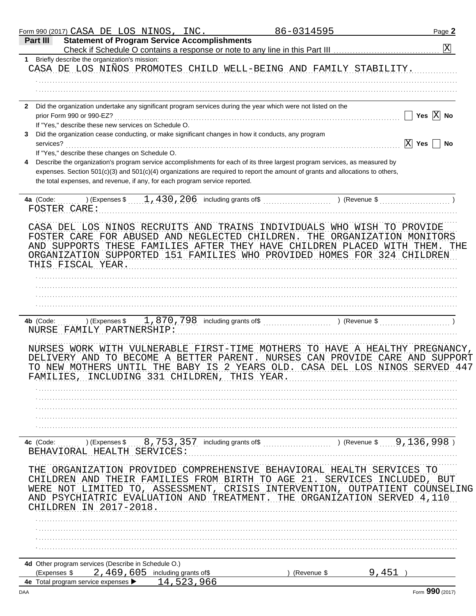|              | Form 990 (2017) $\mathtt{CASA}$ DE LOS NINOS, INC.                          |           |     |                                 |                                                | 86-0314595                                                                                                                                                                                                                                                   |                           |       |          | Page 2                |
|--------------|-----------------------------------------------------------------------------|-----------|-----|---------------------------------|------------------------------------------------|--------------------------------------------------------------------------------------------------------------------------------------------------------------------------------------------------------------------------------------------------------------|---------------------------|-------|----------|-----------------------|
| Part III     | <b>Statement of Program Service Accomplishments</b>                         |           |     |                                 |                                                |                                                                                                                                                                                                                                                              |                           |       |          | $\overline{\text{X}}$ |
| 1            | Briefly describe the organization's mission:                                |           |     |                                 |                                                | CASA DE LOS NIÑOS PROMOTES CHILD WELL-BEING AND FAMILY STABILITY.                                                                                                                                                                                            |                           |       |          |                       |
|              |                                                                             |           |     |                                 |                                                |                                                                                                                                                                                                                                                              |                           |       |          |                       |
|              |                                                                             |           |     |                                 |                                                |                                                                                                                                                                                                                                                              |                           |       |          |                       |
| $\mathbf{2}$ | prior Form 990 or 990-EZ?                                                   |           |     |                                 |                                                | Did the organization undertake any significant program services during the year which were not listed on the                                                                                                                                                 |                           |       | Yes      | $ {\rm X} $<br>No     |
|              | If "Yes," describe these new services on Schedule O.                        |           |     |                                 |                                                |                                                                                                                                                                                                                                                              |                           |       |          |                       |
|              |                                                                             |           |     |                                 |                                                | Did the organization cease conducting, or make significant changes in how it conducts, any program                                                                                                                                                           |                           |       |          |                       |
| services?    | If "Yes," describe these changes on Schedule O.                             |           |     |                                 |                                                |                                                                                                                                                                                                                                                              |                           |       | X<br>Yes | No                    |
|              | the total expenses, and revenue, if any, for each program service reported. |           |     |                                 |                                                | Describe the organization's program service accomplishments for each of its three largest program services, as measured by<br>expenses. Section 501(c)(3) and 501(c)(4) organizations are required to report the amount of grants and allocations to others, |                           |       |          |                       |
| 4a (Code:    | FOSTER CARE:                                                                |           |     |                                 |                                                | $(1, 430, 206)$ including grants of \$                                                                                                                                                                                                                       | ) (Revenue \$             |       |          |                       |
|              | THIS FISCAL YEAR.                                                           |           |     |                                 | FOSTER CARE FOR ABUSED AND NEGLECTED CHILDREN. | CASA DEL LOS NINOS RECRUITS AND TRAINS INDIVIDUALS WHO WISH TO PROVIDE<br>AND SUPPORTS THESE FAMILIES AFTER THEY HAVE CHILDREN PLACED WITH THEM.<br>ORGANIZATION SUPPORTED 151 FAMILIES WHO PROVIDED HOMES FOR 324 CHILDREN                                  | THE ORGANIZATION MONITORS |       |          | THE                   |
|              |                                                                             |           |     |                                 |                                                |                                                                                                                                                                                                                                                              |                           |       |          |                       |
|              |                                                                             |           |     |                                 |                                                |                                                                                                                                                                                                                                                              |                           |       |          |                       |
|              |                                                                             |           |     |                                 |                                                |                                                                                                                                                                                                                                                              |                           |       |          |                       |
| 4b (Code:    | NURSE FAMILY PARTNERSHIP:                                                   |           |     |                                 |                                                | ) (Expenses $\frac{1}{2}$ , 870, 798 including grants of $\frac{1}{2}$ (Revenue $\frac{1}{2}$ )                                                                                                                                                              |                           |       |          |                       |
| FAMILIES     | DELIVERY AND TO BECOME A BETTER PARENT.                                     | INCLUDING | 331 | CHTLDREN                        | THIS YEAR                                      | NURSES WORK WITH VULNERABLE FIRST-TIME MOTHERS TO HAVE A HEALTHY PREGNANCY,<br>NURSES CAN PROVIDE CARE AND SUPPORT<br>TO NEW MOTHERS UNTIL THE BABY IS 2 YEARS OLD. CASA DEL LOS NINOS SERVED 447                                                            |                           |       |          |                       |
|              |                                                                             |           |     |                                 |                                                |                                                                                                                                                                                                                                                              |                           |       |          |                       |
|              |                                                                             |           |     |                                 |                                                |                                                                                                                                                                                                                                                              |                           |       |          |                       |
|              |                                                                             |           |     |                                 |                                                |                                                                                                                                                                                                                                                              |                           |       |          |                       |
| 4c (Code:    | BEHAVIORAL HEALTH SERVICES:                                                 |           |     |                                 |                                                | ) (Expenses $\frac{1}{2}$ , $\frac{357}{2}$ , $\frac{357}{2}$ including grants of $\frac{1}{2}$ , $\frac{1}{2}$ (Revenue $\frac{1}{2}$ , $\frac{136}{2}$ , $\frac{998}{2}$ )                                                                                 |                           |       |          |                       |
|              |                                                                             |           |     |                                 |                                                | THE ORGANIZATION PROVIDED COMPREHENSIVE BEHAVIORAL HEALTH SERVICES TO                                                                                                                                                                                        |                           |       |          |                       |
| WERE NOT     | CHILDREN AND                                                                |           |     |                                 |                                                | THEIR FAMILIES FROM BIRTH TO AGE 21.<br>LIMITED TO, ASSESSMENT, CRISIS INTERVENTION, OUTPATIENT COUNSELING                                                                                                                                                   | SERVICES INCLUDED, BUT    |       |          |                       |
|              | CHILDREN IN 2017-2018.                                                      |           |     |                                 | AND PSYCHIATRIC EVALUATION AND TREATMENT.      | THE ORGANIZATION SERVED 4,110                                                                                                                                                                                                                                |                           |       |          |                       |
|              |                                                                             |           |     |                                 |                                                |                                                                                                                                                                                                                                                              |                           |       |          |                       |
|              |                                                                             |           |     |                                 |                                                |                                                                                                                                                                                                                                                              |                           |       |          |                       |
|              |                                                                             |           |     |                                 |                                                |                                                                                                                                                                                                                                                              |                           |       |          |                       |
| (Expenses \$ | 4d Other program services (Describe in Schedule O.)                         |           |     | 2,469,605 including grants of\$ |                                                | (Revenue \$                                                                                                                                                                                                                                                  |                           | 9,451 |          |                       |
|              |                                                                             |           |     | 14,523,966                      |                                                |                                                                                                                                                                                                                                                              |                           |       |          |                       |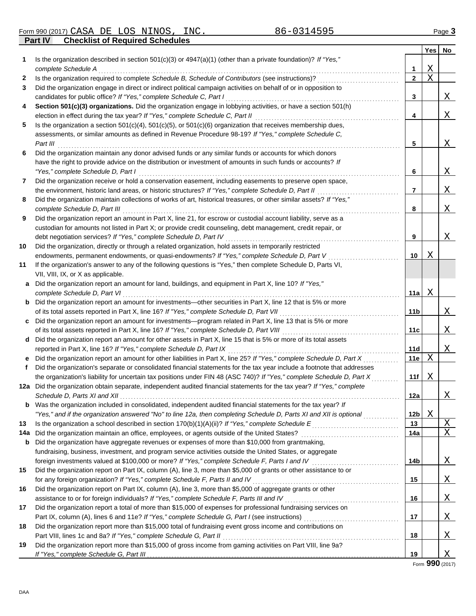**Part IV Checklist of Required Schedules** Form 990 (2017) Page **3** CASA DE LOS NINOS, INC. 86-0314595

|              |                                                                                                                                                                                                   |                 | <b>Yes</b>  | No       |
|--------------|---------------------------------------------------------------------------------------------------------------------------------------------------------------------------------------------------|-----------------|-------------|----------|
| 1            | Is the organization described in section $501(c)(3)$ or $4947(a)(1)$ (other than a private foundation)? If "Yes,"                                                                                 |                 |             |          |
|              | complete Schedule A                                                                                                                                                                               | 1               | $\mathbf X$ |          |
| $\mathbf{2}$ | Is the organization required to complete Schedule B, Schedule of Contributors (see instructions)?                                                                                                 | $\mathbf{2}$    | $\mathbf X$ |          |
| 3            | Did the organization engage in direct or indirect political campaign activities on behalf of or in opposition to                                                                                  |                 |             |          |
|              | candidates for public office? If "Yes," complete Schedule C, Part I                                                                                                                               | 3               |             | Χ        |
| 4            | Section 501(c)(3) organizations. Did the organization engage in lobbying activities, or have a section 501(h)                                                                                     |                 |             |          |
|              | election in effect during the tax year? If "Yes," complete Schedule C, Part II                                                                                                                    | 4               |             | Χ        |
| 5            | Is the organization a section $501(c)(4)$ , $501(c)(5)$ , or $501(c)(6)$ organization that receives membership dues,                                                                              |                 |             |          |
|              | assessments, or similar amounts as defined in Revenue Procedure 98-19? If "Yes," complete Schedule C,                                                                                             |                 |             |          |
|              | Part III                                                                                                                                                                                          | 5               |             | Χ        |
| 6            | Did the organization maintain any donor advised funds or any similar funds or accounts for which donors                                                                                           |                 |             |          |
|              | have the right to provide advice on the distribution or investment of amounts in such funds or accounts? If                                                                                       |                 |             |          |
|              | "Yes," complete Schedule D, Part I                                                                                                                                                                | 6               |             | Χ        |
| 7            | Did the organization receive or hold a conservation easement, including easements to preserve open space,                                                                                         |                 |             |          |
|              | the environment, historic land areas, or historic structures? If "Yes," complete Schedule D, Part II                                                                                              | 7               |             | Χ        |
| 8            | Did the organization maintain collections of works of art, historical treasures, or other similar assets? If "Yes,"                                                                               |                 |             |          |
|              | complete Schedule D, Part III                                                                                                                                                                     | 8               |             | Χ        |
| 9            | Did the organization report an amount in Part X, line 21, for escrow or custodial account liability, serve as a                                                                                   |                 |             |          |
|              | custodian for amounts not listed in Part X; or provide credit counseling, debt management, credit repair, or                                                                                      |                 |             |          |
| 10           | debt negotiation services? If "Yes," complete Schedule D, Part IV<br>Did the organization, directly or through a related organization, hold assets in temporarily restricted                      | 9               |             | Χ        |
|              | endowments, permanent endowments, or quasi-endowments? If "Yes," complete Schedule D, Part V                                                                                                      | 10              | Χ           |          |
| 11           | If the organization's answer to any of the following questions is "Yes," then complete Schedule D, Parts VI,                                                                                      |                 |             |          |
|              | VII, VIII, IX, or X as applicable.                                                                                                                                                                |                 |             |          |
| a            | Did the organization report an amount for land, buildings, and equipment in Part X, line 10? If "Yes,"                                                                                            |                 |             |          |
|              | complete Schedule D, Part VI                                                                                                                                                                      | 11a             | X           |          |
| b            | Did the organization report an amount for investments-other securities in Part X, line 12 that is 5% or more                                                                                      |                 |             |          |
|              | of its total assets reported in Part X, line 16? If "Yes," complete Schedule D, Part VII<br>.                                                                                                     | 11b             |             | Χ        |
| C            | Did the organization report an amount for investments—program related in Part X, line 13 that is 5% or more                                                                                       |                 |             |          |
|              | of its total assets reported in Part X, line 16? If "Yes," complete Schedule D, Part VIII                                                                                                         | 11c             |             | Χ        |
| d            | Did the organization report an amount for other assets in Part X, line 15 that is 5% or more of its total assets                                                                                  |                 |             |          |
|              | reported in Part X, line 16? If "Yes," complete Schedule D, Part IX                                                                                                                               | 11d             |             | Χ        |
| е            | Did the organization report an amount for other liabilities in Part X, line 25? If "Yes," complete Schedule D, Part X                                                                             | 11e             | Χ           |          |
| f            | Did the organization's separate or consolidated financial statements for the tax year include a footnote that addresses                                                                           |                 |             |          |
|              | the organization's liability for uncertain tax positions under FIN 48 (ASC 740)? If "Yes," complete Schedule D, Part X                                                                            | 11f             | Χ           |          |
|              | 12a Did the organization obtain separate, independent audited financial statements for the tax year? If "Yes," complete                                                                           |                 |             |          |
|              |                                                                                                                                                                                                   | 12a             |             | Χ        |
| b            | Was the organization included in consolidated, independent audited financial statements for the tax year? If                                                                                      |                 |             |          |
|              | "Yes," and if the organization answered "No" to line 12a, then completing Schedule D, Parts XI and XII is optional                                                                                | 12 <sub>b</sub> | Χ           |          |
| 13           |                                                                                                                                                                                                   | 13              |             | <u>X</u> |
| 14а          | Did the organization maintain an office, employees, or agents outside of the United States?                                                                                                       | 14a             |             | X        |
| b            | Did the organization have aggregate revenues or expenses of more than \$10,000 from grantmaking,                                                                                                  |                 |             |          |
|              | fundraising, business, investment, and program service activities outside the United States, or aggregate                                                                                         |                 |             |          |
|              | foreign investments valued at \$100,000 or more? If "Yes," complete Schedule F, Parts I and IV [[[[[[[[[[[[[[[                                                                                    | 14 <sub>b</sub> |             | <u>X</u> |
| 15           | Did the organization report on Part IX, column (A), line 3, more than \$5,000 of grants or other assistance to or<br>for any foreign organization? If "Yes," complete Schedule F, Parts II and IV | 15              |             |          |
| 16           | Did the organization report on Part IX, column (A), line 3, more than \$5,000 of aggregate grants or other                                                                                        |                 |             | Χ        |
|              | assistance to or for foreign individuals? If "Yes," complete Schedule F, Parts III and IV                                                                                                         | 16              |             | <u>X</u> |
| 17           | Did the organization report a total of more than \$15,000 of expenses for professional fundraising services on                                                                                    |                 |             |          |
|              |                                                                                                                                                                                                   | 17              |             | Χ        |
| 18           | Did the organization report more than \$15,000 total of fundraising event gross income and contributions on                                                                                       |                 |             |          |
|              | Part VIII, lines 1c and 8a? If "Yes," complete Schedule G, Part II                                                                                                                                | 18              |             | Χ        |
| 19           | Did the organization report more than \$15,000 of gross income from gaming activities on Part VIII, line 9a?                                                                                      |                 |             |          |
|              |                                                                                                                                                                                                   | 19              |             | <u>X</u> |

Form **990** (2017)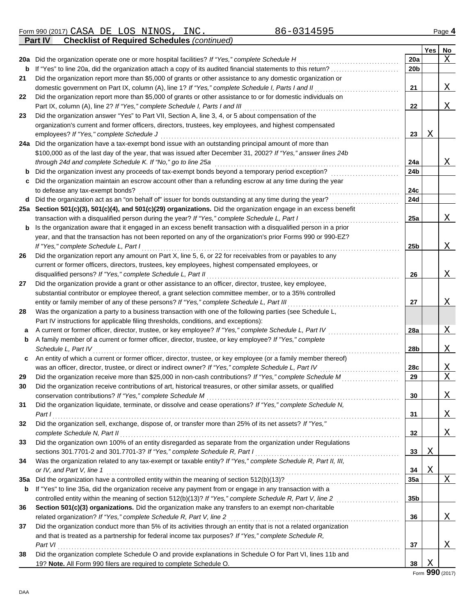Form 990 (2017) Page **4** CASA DE LOS NINOS, INC. 86-0314595

**Part IV Checklist of Required Schedules** *(continued)*

|     |                                                                                                                  |                 | Yes | No                      |
|-----|------------------------------------------------------------------------------------------------------------------|-----------------|-----|-------------------------|
| 20a | Did the organization operate one or more hospital facilities? If "Yes," complete Schedule H                      | 20a             |     | X                       |
| b   | If "Yes" to line 20a, did the organization attach a copy of its audited financial statements to this return?     | 20b             |     |                         |
| 21  | Did the organization report more than \$5,000 of grants or other assistance to any domestic organization or      |                 |     |                         |
|     | domestic government on Part IX, column (A), line 1? If "Yes," complete Schedule I, Parts I and II                | 21              |     | Χ                       |
| 22  | Did the organization report more than \$5,000 of grants or other assistance to or for domestic individuals on    |                 |     |                         |
|     | Part IX, column (A), line 2? If "Yes," complete Schedule I, Parts I and III                                      | 22              |     | Χ                       |
| 23  | Did the organization answer "Yes" to Part VII, Section A, line 3, 4, or 5 about compensation of the              |                 |     |                         |
|     | organization's current and former officers, directors, trustees, key employees, and highest compensated          |                 |     |                         |
|     | employees? If "Yes," complete Schedule J                                                                         | 23              | Χ   |                         |
| 24a | Did the organization have a tax-exempt bond issue with an outstanding principal amount of more than              |                 |     |                         |
|     | \$100,000 as of the last day of the year, that was issued after December 31, 2002? If "Yes," answer lines 24b    |                 |     |                         |
|     | through 24d and complete Schedule K. If "No," go to line 25a                                                     | 24a             |     | Χ                       |
| b   | Did the organization invest any proceeds of tax-exempt bonds beyond a temporary period exception?                | 24b             |     |                         |
| c   | Did the organization maintain an escrow account other than a refunding escrow at any time during the year        |                 |     |                         |
|     | to defease any tax-exempt bonds?                                                                                 | 24c             |     |                         |
| d   | Did the organization act as an "on behalf of" issuer for bonds outstanding at any time during the year?          | 24d             |     |                         |
| 25а | Section 501(c)(3), 501(c)(4), and 501(c)(29) organizations. Did the organization engage in an excess benefit     |                 |     |                         |
|     | transaction with a disqualified person during the year? If "Yes," complete Schedule L, Part I                    | 25a             |     | Χ                       |
| b   | Is the organization aware that it engaged in an excess benefit transaction with a disqualified person in a prior |                 |     |                         |
|     | year, and that the transaction has not been reported on any of the organization's prior Forms 990 or 990-EZ?     |                 |     |                         |
|     | If "Yes," complete Schedule L, Part I                                                                            | 25 <sub>b</sub> |     | Χ                       |
| 26  | Did the organization report any amount on Part X, line 5, 6, or 22 for receivables from or payables to any       |                 |     |                         |
|     | current or former officers, directors, trustees, key employees, highest compensated employees, or                |                 |     |                         |
|     | disqualified persons? If "Yes," complete Schedule L, Part II                                                     | 26              |     | X                       |
| 27  | Did the organization provide a grant or other assistance to an officer, director, trustee, key employee,         |                 |     |                         |
|     | substantial contributor or employee thereof, a grant selection committee member, or to a 35% controlled          |                 |     |                         |
|     | entity or family member of any of these persons? If "Yes," complete Schedule L, Part III                         | 27              |     | X                       |
| 28  | Was the organization a party to a business transaction with one of the following parties (see Schedule L,        |                 |     |                         |
|     | Part IV instructions for applicable filing thresholds, conditions, and exceptions):                              |                 |     |                         |
| а   | A current or former officer, director, trustee, or key employee? If "Yes," complete Schedule L, Part IV          | 28a             |     | Χ                       |
| b   | A family member of a current or former officer, director, trustee, or key employee? If "Yes," complete           |                 |     |                         |
|     | Schedule L, Part IV                                                                                              | 28b             |     | Χ                       |
| c   | An entity of which a current or former officer, director, trustee, or key employee (or a family member thereof)  |                 |     |                         |
|     | was an officer, director, trustee, or direct or indirect owner? If "Yes," complete Schedule L, Part IV           | 28c             |     | Χ                       |
| 29  | Did the organization receive more than \$25,000 in non-cash contributions? If "Yes," complete Schedule M         | 29              |     | X                       |
| 30  | Did the organization receive contributions of art, historical treasures, or other similar assets, or qualified   |                 |     |                         |
|     | conservation contributions? If "Yes," complete Schedule M                                                        | $30\,$          |     | $\overline{\mathrm{X}}$ |
| 31  | Did the organization liquidate, terminate, or dissolve and cease operations? If "Yes," complete Schedule N,      |                 |     |                         |
|     | Part I                                                                                                           | 31              |     | Χ                       |
| 32  | Did the organization sell, exchange, dispose of, or transfer more than 25% of its net assets? If "Yes,"          |                 |     |                         |
|     | complete Schedule N, Part II                                                                                     | 32              |     | Χ                       |
| 33  | Did the organization own 100% of an entity disregarded as separate from the organization under Regulations       |                 |     |                         |
|     | sections 301.7701-2 and 301.7701-3? If "Yes," complete Schedule R, Part I                                        | 33              | Χ   |                         |
| 34  | Was the organization related to any tax-exempt or taxable entity? If "Yes," complete Schedule R, Part II, III,   |                 |     |                         |
|     | or IV, and Part V, line 1                                                                                        | 34              | Χ   |                         |
| 35a | Did the organization have a controlled entity within the meaning of section 512(b)(13)?                          | 35a             |     | X                       |
| b   | If "Yes" to line 35a, did the organization receive any payment from or engage in any transaction with a          |                 |     |                         |
|     | controlled entity within the meaning of section 512(b)(13)? If "Yes," complete Schedule R, Part V, line 2        | 35b             |     |                         |
| 36  | Section 501(c)(3) organizations. Did the organization make any transfers to an exempt non-charitable             |                 |     |                         |
|     | related organization? If "Yes," complete Schedule R, Part V, line 2                                              | 36              |     | Χ                       |
| 37  | Did the organization conduct more than 5% of its activities through an entity that is not a related organization |                 |     |                         |
|     | and that is treated as a partnership for federal income tax purposes? If "Yes," complete Schedule R,             |                 |     |                         |
|     | Part VI                                                                                                          | 37              |     | Χ                       |
| 38  | Did the organization complete Schedule O and provide explanations in Schedule O for Part VI, lines 11b and       |                 |     |                         |
|     | 19? Note. All Form 990 filers are required to complete Schedule O.                                               | 38              | Χ   |                         |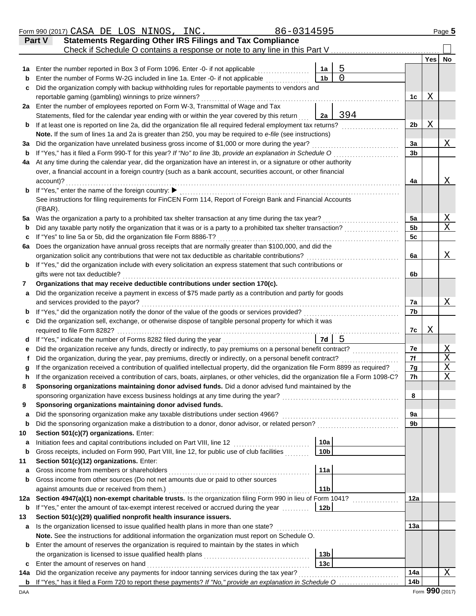|         | Form 990 (2017) CASA DE LOS NINOS, INC.                                                                                                                           | 86-0314595      |          |                 |                 | Page 5      |
|---------|-------------------------------------------------------------------------------------------------------------------------------------------------------------------|-----------------|----------|-----------------|-----------------|-------------|
|         | <b>Statements Regarding Other IRS Filings and Tax Compliance</b><br>Part V                                                                                        |                 |          |                 |                 |             |
|         | Check if Schedule O contains a response or note to any line in this Part V.                                                                                       |                 |          |                 |                 |             |
|         | Enter the number reported in Box 3 of Form 1096. Enter -0- if not applicable                                                                                      | 1a              | 5        |                 |                 | Yes No      |
| 1а<br>b | Enter the number of Forms W-2G included in line 1a. Enter -0- if not applicable                                                                                   | 1 <sub>b</sub>  | $\Omega$ |                 |                 |             |
| c       | Did the organization comply with backup withholding rules for reportable payments to vendors and                                                                  |                 |          |                 |                 |             |
|         | reportable gaming (gambling) winnings to prize winners?                                                                                                           |                 |          | 1 <sub>c</sub>  | Χ               |             |
|         | 2a Enter the number of employees reported on Form W-3, Transmittal of Wage and Tax                                                                                |                 |          |                 |                 |             |
|         | Statements, filed for the calendar year ending with or within the year covered by this return                                                                     | 2a              | 394      |                 |                 |             |
| b       | If at least one is reported on line 2a, did the organization file all required federal employment tax returns?                                                    |                 |          | 2 <sub>b</sub>  | Χ               |             |
|         | Note. If the sum of lines 1a and 2a is greater than 250, you may be required to e-file (see instructions)                                                         |                 |          |                 |                 |             |
| За      | Did the organization have unrelated business gross income of \$1,000 or more during the year?                                                                     |                 |          | 3a              |                 | Χ           |
| b       | If "Yes," has it filed a Form 990-T for this year? If "No" to line 3b, provide an explanation in Schedule O                                                       |                 |          | 3b              |                 |             |
| 4a      | At any time during the calendar year, did the organization have an interest in, or a signature or other authority                                                 |                 |          |                 |                 |             |
|         | over, a financial account in a foreign country (such as a bank account, securities account, or other financial                                                    |                 |          |                 |                 |             |
|         | account)?                                                                                                                                                         |                 |          | 4a              |                 | Χ           |
| b       | If "Yes," enter the name of the foreign country: ▶<br>See instructions for filing requirements for FinCEN Form 114, Report of Foreign Bank and Financial Accounts |                 |          |                 |                 |             |
|         | (FBAR).                                                                                                                                                           |                 |          |                 |                 |             |
| 5a      | Was the organization a party to a prohibited tax shelter transaction at any time during the tax year?                                                             |                 |          | 5a              |                 | Χ           |
| b       | Did any taxable party notify the organization that it was or is a party to a prohibited tax shelter transaction?                                                  |                 |          | 5 <sub>b</sub>  |                 | X           |
| c       | If "Yes" to line 5a or 5b, did the organization file Form 8886-T?                                                                                                 |                 |          | 5c              |                 |             |
| 6a      | Does the organization have annual gross receipts that are normally greater than \$100,000, and did the                                                            |                 |          |                 |                 |             |
|         | organization solicit any contributions that were not tax deductible as charitable contributions?                                                                  |                 |          | 6a              |                 | Χ           |
| b       | If "Yes," did the organization include with every solicitation an express statement that such contributions or                                                    |                 |          |                 |                 |             |
|         | gifts were not tax deductible?                                                                                                                                    |                 |          | 6b              |                 |             |
| 7       | Organizations that may receive deductible contributions under section 170(c).                                                                                     |                 |          |                 |                 |             |
| a       | Did the organization receive a payment in excess of \$75 made partly as a contribution and partly for goods                                                       |                 |          |                 |                 |             |
|         | and services provided to the payor?                                                                                                                               |                 |          | 7a              |                 | Χ           |
| b       | If "Yes," did the organization notify the donor of the value of the goods or services provided?                                                                   |                 |          | 7b              |                 |             |
| c       | Did the organization sell, exchange, or otherwise dispose of tangible personal property for which it was<br>required to file Form 8282?                           |                 |          | 7c              | Χ               |             |
| d       |                                                                                                                                                                   | 7d              | 5        |                 |                 |             |
| е       | Did the organization receive any funds, directly or indirectly, to pay premiums on a personal benefit contract?                                                   |                 |          | 7e              |                 | Χ           |
|         | Did the organization, during the year, pay premiums, directly or indirectly, on a personal benefit contract?                                                      |                 |          | 7f              |                 | $\mathbf X$ |
|         | If the organization received a contribution of qualified intellectual property, did the organization file Form 8899 as required?                                  |                 |          | 7g              |                 | $\mathbf X$ |
|         | If the organization received a contribution of cars, boats, airplanes, or other vehicles, did the organization file a Form 1098-C?                                |                 |          | 7h              |                 | $\mathbf X$ |
| 8       | Sponsoring organizations maintaining donor advised funds. Did a donor advised fund maintained by the                                                              |                 |          |                 |                 |             |
|         | sponsoring organization have excess business holdings at any time during the year?                                                                                |                 |          | 8               |                 |             |
| 9       | Sponsoring organizations maintaining donor advised funds.                                                                                                         |                 |          |                 |                 |             |
| a       | Did the sponsoring organization make any taxable distributions under section 4966?                                                                                |                 |          | 9a              |                 |             |
| b       | Did the sponsoring organization make a distribution to a donor, donor advisor, or related person?                                                                 |                 |          | 9b              |                 |             |
| 10      | Section 501(c)(7) organizations. Enter:                                                                                                                           |                 |          |                 |                 |             |
| a       | Initiation fees and capital contributions included on Part VIII, line 12                                                                                          | 10a             |          |                 |                 |             |
| b       | Gross receipts, included on Form 990, Part VIII, line 12, for public use of club facilities                                                                       | 10 <sub>b</sub> |          |                 |                 |             |
| 11      | Section 501(c)(12) organizations. Enter:<br>Gross income from members or shareholders                                                                             | 11a             |          |                 |                 |             |
| a<br>b  | Gross income from other sources (Do not net amounts due or paid to other sources                                                                                  |                 |          |                 |                 |             |
|         | against amounts due or received from them.)                                                                                                                       | 11 <sub>b</sub> |          |                 |                 |             |
| 12a     | Section 4947(a)(1) non-exempt charitable trusts. Is the organization filing Form 990 in lieu of Form 1041?                                                        |                 |          | 12a             |                 |             |
| b       | If "Yes," enter the amount of tax-exempt interest received or accrued during the year                                                                             | 12 <sub>b</sub> |          |                 |                 |             |
| 13      | Section 501(c)(29) qualified nonprofit health insurance issuers.                                                                                                  |                 |          |                 |                 |             |
| a       | Is the organization licensed to issue qualified health plans in more than one state?                                                                              |                 |          | 13a             |                 |             |
|         | Note. See the instructions for additional information the organization must report on Schedule O.                                                                 |                 |          |                 |                 |             |
| b       | Enter the amount of reserves the organization is required to maintain by the states in which                                                                      |                 |          |                 |                 |             |
|         |                                                                                                                                                                   | 13 <sub>b</sub> |          |                 |                 |             |
| c       | Enter the amount of reserves on hand                                                                                                                              | 13c             |          |                 |                 |             |
| 14a     | Did the organization receive any payments for indoor tanning services during the tax year?                                                                        |                 |          | 14a             |                 | X           |
| b       |                                                                                                                                                                   |                 |          | 14 <sub>b</sub> |                 |             |
| DAA     |                                                                                                                                                                   |                 |          |                 | Form 990 (2017) |             |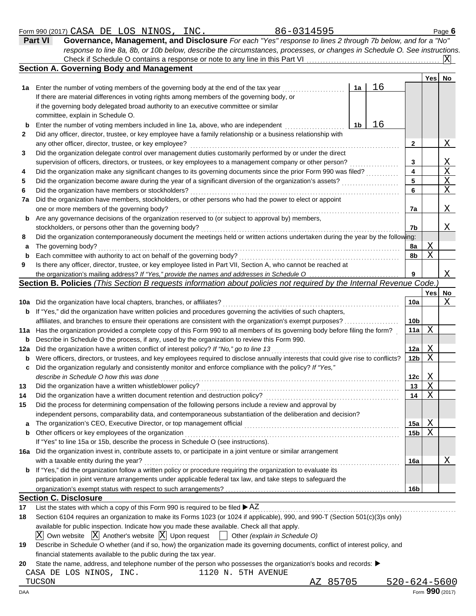| Form 990 (2017) | CASA | DE | ഹ<br>החד | NINOS | INC. | $\sqrt{ }$<br>U L<br><b>595</b><br>. זר<br>. <i>.</i> | Page |
|-----------------|------|----|----------|-------|------|-------------------------------------------------------|------|
|                 |      |    |          |       |      |                                                       |      |

| <b>Part VI</b> | Governance, Management, and Disclosure For each "Yes" response to lines 2 through 7b below, and for a "No"                |                         |
|----------------|---------------------------------------------------------------------------------------------------------------------------|-------------------------|
|                | response to line 8a, 8b, or 10b below, describe the circumstances, processes, or changes in Schedule O. See instructions. |                         |
|                | Check if Schedule O contains a response or note to any line in this Part VI                                               | $\overline{\mathbf{X}}$ |

|              | <b>Section A. Governing Body and Management</b>                                                                                                                                                                                       |    |    |                 |            |             |
|--------------|---------------------------------------------------------------------------------------------------------------------------------------------------------------------------------------------------------------------------------------|----|----|-----------------|------------|-------------|
|              |                                                                                                                                                                                                                                       |    |    |                 | Yes        | <b>No</b>   |
|              | 1a Enter the number of voting members of the governing body at the end of the tax year                                                                                                                                                | 1a | 16 |                 |            |             |
|              | If there are material differences in voting rights among members of the governing body, or                                                                                                                                            |    |    |                 |            |             |
|              | if the governing body delegated broad authority to an executive committee or similar                                                                                                                                                  |    |    |                 |            |             |
|              | committee, explain in Schedule O.                                                                                                                                                                                                     |    |    |                 |            |             |
| b            | Enter the number of voting members included in line 1a, above, who are independent                                                                                                                                                    | 1b | 16 |                 |            |             |
| $\mathbf{2}$ | Did any officer, director, trustee, or key employee have a family relationship or a business relationship with                                                                                                                        |    |    |                 |            |             |
|              | any other officer, director, trustee, or key employee?                                                                                                                                                                                |    |    | $\mathbf{2}$    |            | Χ           |
| 3            | Did the organization delegate control over management duties customarily performed by or under the direct                                                                                                                             |    |    |                 |            |             |
|              | supervision of officers, directors, or trustees, or key employees to a management company or other person?                                                                                                                            |    |    | 3               |            | Χ           |
| 4            | Did the organization make any significant changes to its governing documents since the prior Form 990 was filed?                                                                                                                      |    |    | 4               |            | $\mathbf X$ |
| 5            |                                                                                                                                                                                                                                       |    |    | 5               |            | $\mathbf X$ |
| 6            | Did the organization have members or stockholders?                                                                                                                                                                                    |    |    | 6               |            | Χ           |
| 7a           | Did the organization have members, stockholders, or other persons who had the power to elect or appoint                                                                                                                               |    |    |                 |            |             |
|              | one or more members of the governing body?                                                                                                                                                                                            |    |    | 7a              |            | Χ           |
| b            | Are any governance decisions of the organization reserved to (or subject to approval by) members,                                                                                                                                     |    |    |                 |            |             |
|              | stockholders, or persons other than the governing body?                                                                                                                                                                               |    |    | 7b              |            | Χ           |
| 8            | Did the organization contemporaneously document the meetings held or written actions undertaken during the year by the following:                                                                                                     |    |    |                 |            |             |
| a            | The governing body?                                                                                                                                                                                                                   |    |    | 8a              | Χ          |             |
| b            | Each committee with authority to act on behalf of the governing body?                                                                                                                                                                 |    |    | 8b              | Χ          |             |
| 9            | Is there any officer, director, trustee, or key employee listed in Part VII, Section A, who cannot be reached at                                                                                                                      |    |    |                 |            |             |
|              | the organization's mailing address? If "Yes," provide the names and addresses in Schedule O                                                                                                                                           |    |    | 9               |            | Χ           |
|              | Section B. Policies (This Section B requests information about policies not required by the Internal Revenue Code.)                                                                                                                   |    |    |                 |            |             |
|              |                                                                                                                                                                                                                                       |    |    |                 | <b>Yes</b> | No          |
|              | 10a Did the organization have local chapters, branches, or affiliates?                                                                                                                                                                |    |    | 10a             |            | Χ           |
|              | <b>b</b> If "Yes," did the organization have written policies and procedures governing the activities of such chapters,                                                                                                               |    |    |                 |            |             |
|              | affiliates, and branches to ensure their operations are consistent with the organization's exempt purposes?                                                                                                                           |    |    | 10 <sub>b</sub> |            |             |
|              | 11a Has the organization provided a complete copy of this Form 990 to all members of its governing body before filing the form?                                                                                                       |    |    | 11a             | X          |             |
| b            | Describe in Schedule O the process, if any, used by the organization to review this Form 990.                                                                                                                                         |    |    |                 |            |             |
| 12a          | Did the organization have a written conflict of interest policy? If "No," go to line 13                                                                                                                                               |    |    | 12a             | Χ          |             |
| b            | Were officers, directors, or trustees, and key employees required to disclose annually interests that could give rise to conflicts?                                                                                                   |    |    | 12 <sub>b</sub> | X          |             |
| c            | Did the organization regularly and consistently monitor and enforce compliance with the policy? If "Yes,"                                                                                                                             |    |    |                 |            |             |
|              | describe in Schedule O how this was done                                                                                                                                                                                              |    |    | 12c             | Χ          |             |
| 13           | Did the organization have a written whistleblower policy?                                                                                                                                                                             |    |    | 13              | Χ          |             |
| 14           | Did the organization have a written document retention and destruction policy?                                                                                                                                                        |    |    | 14              | Χ          |             |
| 15           | Did the process for determining compensation of the following persons include a review and approval by                                                                                                                                |    |    |                 |            |             |
|              | independent persons, comparability data, and contemporaneous substantiation of the deliberation and decision?                                                                                                                         |    |    |                 |            |             |
|              | The organization's CEO, Executive Director, or top management official                                                                                                                                                                |    |    | 15a             | Χ          |             |
| b            | Other officers or key employees of the organization                                                                                                                                                                                   |    |    | 15 <sub>b</sub> | Χ          |             |
|              | If "Yes" to line 15a or 15b, describe the process in Schedule O (see instructions).                                                                                                                                                   |    |    |                 |            |             |
|              | 16a Did the organization invest in, contribute assets to, or participate in a joint venture or similar arrangement                                                                                                                    |    |    |                 |            |             |
|              | with a taxable entity during the year?<br><b>b</b> If "Yes," did the organization follow a written policy or procedure requiring the organization to evaluate its                                                                     |    |    | 16a             |            | Χ           |
|              |                                                                                                                                                                                                                                       |    |    |                 |            |             |
|              | participation in joint venture arrangements under applicable federal tax law, and take steps to safeguard the                                                                                                                         |    |    |                 |            |             |
|              | <b>Section C. Disclosure</b>                                                                                                                                                                                                          |    |    | 16b             |            |             |
|              |                                                                                                                                                                                                                                       |    |    |                 |            |             |
| 17           | List the states with which a copy of this Form 990 is required to be filed $\blacktriangleright$ AZ<br>Section 6104 requires an organization to make its Forms 1023 (or 1024 if applicable), 990, and 990-T (Section 501(c)(3)s only) |    |    |                 |            |             |
| 18           |                                                                                                                                                                                                                                       |    |    |                 |            |             |
|              | available for public inspection. Indicate how you made these available. Check all that apply.                                                                                                                                         |    |    |                 |            |             |

 $\overline{\mathrm{X}}$  Own website  $\overline{\mathrm{X}}$  Another's website  $\overline{\mathrm{X}}$  Upon request  $\overline{\phantom{X}}$  Other *(explain in Schedule O)* 

| 19 Describe in Schedule O whether (and if so, how) the organization made its governing documents, conflict of interest policy, and |
|------------------------------------------------------------------------------------------------------------------------------------|
| financial statements available to the public during the tax year.                                                                  |

**20** State the name, address, and telephone number of the person who possesses the organization's books and records:

|  |  |  | CASA DE LOS NINOS, INC. |  | 1120 N. 5TH AVENUE |  |  |
|--|--|--|-------------------------|--|--------------------|--|--|
|--|--|--|-------------------------|--|--------------------|--|--|

TUCSON AZ 85705 520-624-5600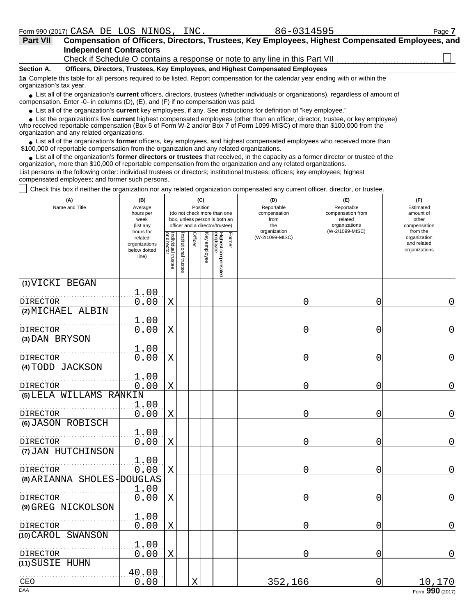| <b>Part VII</b>          | Compensation of Officers, Directors, Trustees, Key Employees, Highest Compensated Employees, and<br><b>Independent Contractors</b>     |  |  |  |  |  |  |  |  |  |
|--------------------------|----------------------------------------------------------------------------------------------------------------------------------------|--|--|--|--|--|--|--|--|--|
|                          | Check if Schedule O contains a response or note to any line in this Part VII                                                           |  |  |  |  |  |  |  |  |  |
| Section A.               | Officers, Directors, Trustees, Key Employees, and Highest Compensated Employees                                                        |  |  |  |  |  |  |  |  |  |
| organization's tax year. | 1a Complete this table for all persons required to be listed. Report compensation for the calendar year ending with or within the      |  |  |  |  |  |  |  |  |  |
|                          | • List all of the organization's current officers, directors, trustees (whether individuals or organizations), regardless of amount of |  |  |  |  |  |  |  |  |  |

List all of the organization's **current** officers, directors, trustees (whether individuals or organizations), regardless of amount of ● List all of the organization's **current** officers, directors, trustees (whether indicompensation. Enter -0- in columns (D), (E), and (F) if no compensation was paid.

● List all of the organization's **current** key employees, if any. See instructions for definition of "key employee."

 $\bullet$  List the organization's five **current** highest compensated employees (other than an officer, director, trustee, or key employee)<br>a received reportable compensation (Box 5 of Form  $M-2$  and/or Box 7 of Form 1000-MISC)

who received reportable compensation (Box 5 of Form W-2 and/or Box 7 of Form 1099-MISC) of more than \$100,000 from the organization and any related organizations.

• List all of the organization's **former** officers, key employees, and highest compensated employees who received more than<br>00,000 of reportable compensation from the erganization and any related erganizations. \$100,000 of reportable compensation from the organization and any related organizations.

• List all of the organization's **former directors or trustees** that received, in the capacity as a former director or trustee of the organization, more than \$10,000 of reportable compensation from the organization and any related organizations. List persons in the following order: individual trustees or directors; institutional trustees; officers; key employees; highest compensated employees; and former such persons.

Check this box if neither the organization nor any related organization compensated any current officer, director, or trustee.

| (A)<br>Name and Title                | (B)<br>Average<br>hours per<br>week<br>(list any               |                                   |                       |         | (C)<br>Position | (do not check more than one<br>box, unless person is both an<br>officer and a director/trustee) | (D)<br>Reportable<br>compensation<br>from<br>the | (E)<br>Reportable<br>compensation from<br>related<br>organizations<br>(W-2/1099-MISC) | (F)<br>Estimated<br>amount of<br>other<br>compensation   |
|--------------------------------------|----------------------------------------------------------------|-----------------------------------|-----------------------|---------|-----------------|-------------------------------------------------------------------------------------------------|--------------------------------------------------|---------------------------------------------------------------------------------------|----------------------------------------------------------|
|                                      | hours for<br>related<br>organizations<br>below dotted<br>line) | Individual trustee<br>or director | Institutional trustee | Officer | Key employee    | Former<br>Highest compensated<br>employee                                                       | organization<br>(W-2/1099-MISC)                  |                                                                                       | from the<br>organization<br>and related<br>organizations |
| (1) VICKI BEGAN                      |                                                                |                                   |                       |         |                 |                                                                                                 |                                                  |                                                                                       |                                                          |
| <b>DIRECTOR</b>                      | 1.00<br>0.00                                                   | Χ                                 |                       |         |                 |                                                                                                 | 0                                                | 0                                                                                     | 0                                                        |
| (2) MICHAEL ALBIN                    |                                                                |                                   |                       |         |                 |                                                                                                 |                                                  |                                                                                       |                                                          |
| DIRECTOR                             | 1.00<br>0.00                                                   | X                                 |                       |         |                 |                                                                                                 | 0                                                | 0                                                                                     | 0                                                        |
| (3) DAN BRYSON                       |                                                                |                                   |                       |         |                 |                                                                                                 |                                                  |                                                                                       |                                                          |
|                                      | 1.00                                                           |                                   |                       |         |                 |                                                                                                 |                                                  |                                                                                       |                                                          |
| DIRECTOR<br>(4) TODD JACKSON         | 0.00                                                           | $\mathbf X$                       |                       |         |                 |                                                                                                 | 0                                                | 0                                                                                     | $\overline{0}$                                           |
|                                      | 1.00                                                           |                                   |                       |         |                 |                                                                                                 |                                                  |                                                                                       |                                                          |
| <b>DIRECTOR</b>                      | 0.00                                                           | $\mathbf X$                       |                       |         |                 |                                                                                                 | 0                                                | 0                                                                                     | $\overline{0}$                                           |
| (5) LELA WILLAMS RANKIN              |                                                                |                                   |                       |         |                 |                                                                                                 |                                                  |                                                                                       |                                                          |
|                                      | 1.00                                                           |                                   |                       |         |                 |                                                                                                 |                                                  |                                                                                       | $\overline{0}$                                           |
| <b>DIRECTOR</b><br>(6) JASON ROBISCH | 0.00                                                           | $\mathbf X$                       |                       |         |                 |                                                                                                 | 0                                                | $\overline{0}$                                                                        |                                                          |
|                                      | 1.00                                                           |                                   |                       |         |                 |                                                                                                 |                                                  |                                                                                       |                                                          |
| DIRECTOR                             | 0.00                                                           | $\mathbf X$                       |                       |         |                 |                                                                                                 | 0                                                | 0                                                                                     | $\overline{0}$                                           |
| (7) JAN HUTCHINSON                   |                                                                |                                   |                       |         |                 |                                                                                                 |                                                  |                                                                                       |                                                          |
| <b>DIRECTOR</b>                      | 1.00<br>0.00                                                   | $\mathbf X$                       |                       |         |                 |                                                                                                 | 0                                                | 0                                                                                     | 0                                                        |
| (8) ARIANNA SHOLES-DOUGLAS           |                                                                |                                   |                       |         |                 |                                                                                                 |                                                  |                                                                                       |                                                          |
|                                      | 1.00                                                           |                                   |                       |         |                 |                                                                                                 |                                                  |                                                                                       |                                                          |
| DIRECTOR                             | 0.00                                                           | $\mathbf X$                       |                       |         |                 |                                                                                                 | 0                                                | 0                                                                                     | 0                                                        |
| (9) GREG NICKOLSON                   | 1.00                                                           |                                   |                       |         |                 |                                                                                                 |                                                  |                                                                                       |                                                          |
| DIRECTOR                             | 0.00                                                           | $\mathbf X$                       |                       |         |                 |                                                                                                 | 0                                                | 0                                                                                     | 0                                                        |
| (10) CAROL SWANSON                   |                                                                |                                   |                       |         |                 |                                                                                                 |                                                  |                                                                                       |                                                          |
|                                      | 1.00                                                           |                                   |                       |         |                 |                                                                                                 |                                                  |                                                                                       |                                                          |
| DIRECTOR                             | 0.00                                                           | X                                 |                       |         |                 |                                                                                                 | 0                                                | 0                                                                                     | 0                                                        |
| (11) SUSIE HUHN                      | 40.00                                                          |                                   |                       |         |                 |                                                                                                 |                                                  |                                                                                       |                                                          |
| CEO                                  | 0.00                                                           |                                   |                       | Χ       |                 |                                                                                                 | 352,166                                          | $\overline{0}$                                                                        | 10,170                                                   |
| <b>DAA</b>                           |                                                                |                                   |                       |         |                 |                                                                                                 |                                                  |                                                                                       | Form 990 (2017)                                          |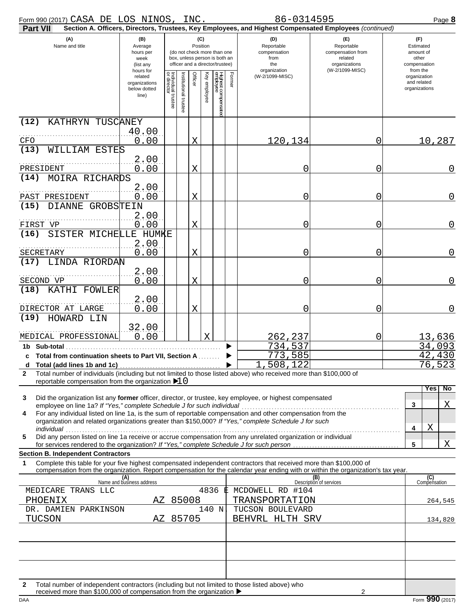| Form 990 (2017) CASA DE LOS NINOS, INC.                                                                                                                                                                                                                                                                  |                                                               |                                   |                                    |                 |                                                                                                 |        | 86-0314595                                                                                             |                                                                                       | Page 8                                                             |
|----------------------------------------------------------------------------------------------------------------------------------------------------------------------------------------------------------------------------------------------------------------------------------------------------------|---------------------------------------------------------------|-----------------------------------|------------------------------------|-----------------|-------------------------------------------------------------------------------------------------|--------|--------------------------------------------------------------------------------------------------------|---------------------------------------------------------------------------------------|--------------------------------------------------------------------|
| <b>Part VII</b>                                                                                                                                                                                                                                                                                          |                                                               |                                   |                                    |                 |                                                                                                 |        | Section A. Officers, Directors, Trustees, Key Employees, and Highest Compensated Employees (continued) |                                                                                       |                                                                    |
| (A)<br>Name and title                                                                                                                                                                                                                                                                                    | (B)<br>Average<br>hours per<br>week<br>(list any<br>hours for |                                   |                                    | (C)<br>Position | (do not check more than one<br>box, unless person is both an<br>officer and a director/trustee) |        | (D)<br>Reportable<br>compensation<br>from<br>the<br>organization                                       | (E)<br>Reportable<br>compensation from<br>related<br>organizations<br>(W-2/1099-MISC) | (F)<br>Estimated<br>amount of<br>other<br>compensation<br>from the |
|                                                                                                                                                                                                                                                                                                          | related<br>organizations<br>below dotted<br>line)             | Individual trustee<br>or director | Officer<br>nstitutional<br>Itustee | Key<br>employee | Highest compensatec<br>employee                                                                 | Former | (W-2/1099-MISC)                                                                                        |                                                                                       | organization<br>and related<br>organizations                       |
| KATHRYN TUSCANEY<br>(12)                                                                                                                                                                                                                                                                                 |                                                               |                                   |                                    |                 |                                                                                                 |        |                                                                                                        |                                                                                       |                                                                    |
| CFO                                                                                                                                                                                                                                                                                                      | 40.00<br>0.00                                                 |                                   | Χ                                  |                 |                                                                                                 |        | 120,134                                                                                                | 0                                                                                     | 10,287                                                             |
| (13)<br>WILLIAM ESTES                                                                                                                                                                                                                                                                                    |                                                               |                                   |                                    |                 |                                                                                                 |        |                                                                                                        |                                                                                       |                                                                    |
|                                                                                                                                                                                                                                                                                                          | 2.00                                                          |                                   |                                    |                 |                                                                                                 |        |                                                                                                        |                                                                                       |                                                                    |
| PRESIDENT<br>MOIRA RICHARDS<br>(14)                                                                                                                                                                                                                                                                      | 0.00                                                          |                                   | X                                  |                 |                                                                                                 |        | 0                                                                                                      | 0                                                                                     | $\mathbf 0$                                                        |
| PAST PRESIDENT                                                                                                                                                                                                                                                                                           | 2.00<br>0.00                                                  |                                   | X                                  |                 |                                                                                                 |        | 0                                                                                                      | 0                                                                                     | 0                                                                  |
| (15)<br>DIANNE GROBSTEIN                                                                                                                                                                                                                                                                                 |                                                               |                                   |                                    |                 |                                                                                                 |        |                                                                                                        |                                                                                       |                                                                    |
|                                                                                                                                                                                                                                                                                                          | 2.00                                                          |                                   |                                    |                 |                                                                                                 |        |                                                                                                        |                                                                                       |                                                                    |
| FIRST VP<br>(16)<br>SISTER MICHELLE HUMKE                                                                                                                                                                                                                                                                | 0.00                                                          |                                   | X                                  |                 |                                                                                                 |        | 0                                                                                                      | 0                                                                                     | $\mathbf 0$                                                        |
| SECRETARY                                                                                                                                                                                                                                                                                                | 2.00<br>0.00                                                  |                                   | X                                  |                 |                                                                                                 |        | 0                                                                                                      | 0                                                                                     | 0                                                                  |
| LINDA RIORDAN<br>(17)                                                                                                                                                                                                                                                                                    | 2.00                                                          |                                   |                                    |                 |                                                                                                 |        |                                                                                                        |                                                                                       |                                                                    |
| SECOND VP                                                                                                                                                                                                                                                                                                | 0.00                                                          |                                   | X                                  |                 |                                                                                                 |        | 0                                                                                                      | 0                                                                                     | 0                                                                  |
| (18)<br>KATHI FOWLER                                                                                                                                                                                                                                                                                     | 2.00                                                          |                                   |                                    |                 |                                                                                                 |        |                                                                                                        |                                                                                       |                                                                    |
| DIRECTOR AT LARGE                                                                                                                                                                                                                                                                                        | 0.00                                                          |                                   | X                                  |                 |                                                                                                 |        | 0                                                                                                      | 0                                                                                     | 0                                                                  |
| HOWARD LIN<br>(19)                                                                                                                                                                                                                                                                                       |                                                               |                                   |                                    |                 |                                                                                                 |        |                                                                                                        |                                                                                       |                                                                    |
| MEDICAL PROFESSIONAL                                                                                                                                                                                                                                                                                     | 32.00<br>0.00                                                 |                                   |                                    | X               |                                                                                                 |        | 262,237                                                                                                | 0                                                                                     | 13,636                                                             |
| 1b Sub-total                                                                                                                                                                                                                                                                                             |                                                               |                                   |                                    |                 |                                                                                                 |        | 734,537                                                                                                |                                                                                       | 34,093                                                             |
| c Total from continuation sheets to Part VII, Section A                                                                                                                                                                                                                                                  |                                                               |                                   |                                    |                 |                                                                                                 |        | 773,585<br>508,122                                                                                     |                                                                                       | 42,430<br><u>76,523</u>                                            |
| d<br>Total number of individuals (including but not limited to those listed above) who received more than \$100,000 of<br>2                                                                                                                                                                              |                                                               |                                   |                                    |                 |                                                                                                 |        |                                                                                                        |                                                                                       |                                                                    |
| reportable compensation from the organization $\blacktriangleright$ 10                                                                                                                                                                                                                                   |                                                               |                                   |                                    |                 |                                                                                                 |        |                                                                                                        |                                                                                       | No<br>Yes                                                          |
| 3<br>Did the organization list any former officer, director, or trustee, key employee, or highest compensated                                                                                                                                                                                            |                                                               |                                   |                                    |                 |                                                                                                 |        |                                                                                                        |                                                                                       |                                                                    |
| employee on line 1a? If "Yes," complete Schedule J for such individual<br>For any individual listed on line 1a, is the sum of reportable compensation and other compensation from the<br>4                                                                                                               |                                                               |                                   |                                    |                 |                                                                                                 |        |                                                                                                        |                                                                                       | X<br>3                                                             |
| organization and related organizations greater than \$150,000? If "Yes," complete Schedule J for such                                                                                                                                                                                                    |                                                               |                                   |                                    |                 |                                                                                                 |        |                                                                                                        |                                                                                       | X<br>4                                                             |
| individual<br>Did any person listed on line 1a receive or accrue compensation from any unrelated organization or individual<br>5                                                                                                                                                                         |                                                               |                                   |                                    |                 |                                                                                                 |        |                                                                                                        |                                                                                       |                                                                    |
| for services rendered to the organization? If "Yes," complete Schedule J for such person [11] [11] for such person [11] [12] such a services rendered to the organization? If "Yes," complete Schedule J for such person [11]                                                                            |                                                               |                                   |                                    |                 |                                                                                                 |        |                                                                                                        |                                                                                       | X<br>5                                                             |
| <b>Section B. Independent Contractors</b><br>Complete this table for your five highest compensated independent contractors that received more than \$100,000 of<br>1<br>compensation from the organization. Report compensation for the calendar year ending with or within the organization's tax year. |                                                               |                                   |                                    |                 |                                                                                                 |        |                                                                                                        |                                                                                       |                                                                    |
|                                                                                                                                                                                                                                                                                                          | (A)<br>Name and business address                              |                                   |                                    |                 |                                                                                                 |        |                                                                                                        | (B)<br>Description of services                                                        | (C)<br>Compensation                                                |
| MEDICARE TRANS LLC                                                                                                                                                                                                                                                                                       |                                                               |                                   |                                    | 4836            |                                                                                                 |        | MCDOWELL RD #104                                                                                       |                                                                                       |                                                                    |
| PHOENIX<br>DR. DAMIEN PARKINSON                                                                                                                                                                                                                                                                          |                                                               | AZ 85008                          |                                    |                 | 140 N                                                                                           |        | TRANSPORTATION<br>TUCSON BOULEVARD                                                                     |                                                                                       | 264,545                                                            |
| TUCSON                                                                                                                                                                                                                                                                                                   |                                                               | AZ 85705                          |                                    |                 |                                                                                                 |        | BEHVRL HLTH SRV                                                                                        |                                                                                       | 134,820                                                            |
|                                                                                                                                                                                                                                                                                                          |                                                               |                                   |                                    |                 |                                                                                                 |        |                                                                                                        |                                                                                       |                                                                    |
|                                                                                                                                                                                                                                                                                                          |                                                               |                                   |                                    |                 |                                                                                                 |        |                                                                                                        |                                                                                       |                                                                    |
|                                                                                                                                                                                                                                                                                                          |                                                               |                                   |                                    |                 |                                                                                                 |        |                                                                                                        |                                                                                       |                                                                    |
|                                                                                                                                                                                                                                                                                                          |                                                               |                                   |                                    |                 |                                                                                                 |        |                                                                                                        |                                                                                       |                                                                    |
| Total number of independent contractors (including but not limited to those listed above) who<br>$\mathbf{2}$<br>received more than \$100,000 of compensation from the organization ▶                                                                                                                    |                                                               |                                   |                                    |                 |                                                                                                 |        |                                                                                                        |                                                                                       |                                                                    |

DAA **Form 990** (2017) received more than \$100,000 of compensation from the organization  $\blacktriangleright$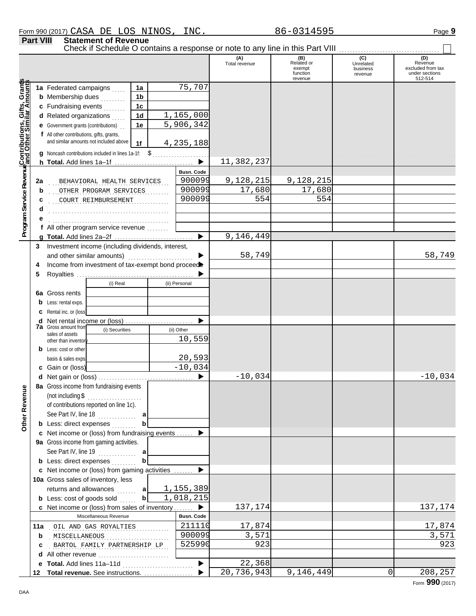|                                                                                                                        | Check if Schedule O contains a response or note to any line in this Part VIII |                                                                                                                                      |  |                       | (A)           | $(B)$<br>Related or | (C)                   | (D)                          |
|------------------------------------------------------------------------------------------------------------------------|-------------------------------------------------------------------------------|--------------------------------------------------------------------------------------------------------------------------------------|--|-----------------------|---------------|---------------------|-----------------------|------------------------------|
|                                                                                                                        |                                                                               |                                                                                                                                      |  |                       | Total revenue | exempt              | Unrelated<br>business | Revenue<br>excluded from tax |
|                                                                                                                        |                                                                               |                                                                                                                                      |  |                       |               | function<br>revenue | revenue               | under sections<br>512-514    |
|                                                                                                                        | 1a Federated campaigns                                                        | 1a                                                                                                                                   |  | 75,707                |               |                     |                       |                              |
|                                                                                                                        | <b>b</b> Membership dues<br>.                                                 | 1b                                                                                                                                   |  |                       |               |                     |                       |                              |
|                                                                                                                        | c Fundraising events                                                          | 1 <sub>c</sub>                                                                                                                       |  |                       |               |                     |                       |                              |
|                                                                                                                        | d Related organizations                                                       | 1d                                                                                                                                   |  | 1,165,000             |               |                     |                       |                              |
|                                                                                                                        | <b>e</b> Government grants (contributions)                                    | 1е                                                                                                                                   |  | 5,906,342             |               |                     |                       |                              |
|                                                                                                                        | f All other contributions, gifts, grants,                                     |                                                                                                                                      |  |                       |               |                     |                       |                              |
|                                                                                                                        | and similar amounts not included above                                        | 1f                                                                                                                                   |  | 4, 235, 188           |               |                     |                       |                              |
|                                                                                                                        | <b>g</b> Noncash contributions included in lines $1a-1f$ : $\oint$            |                                                                                                                                      |  |                       |               |                     |                       |                              |
|                                                                                                                        |                                                                               |                                                                                                                                      |  | $\blacktriangleright$ | 11,382,237    |                     |                       |                              |
|                                                                                                                        |                                                                               |                                                                                                                                      |  | <b>Busn. Code</b>     |               |                     |                       |                              |
| 2a                                                                                                                     | BEHAVIORAL HEALTH SERVICES                                                    |                                                                                                                                      |  | 900099                | 9,128,215     | 9,128,215           |                       |                              |
| b                                                                                                                      | OTHER PROGRAM SERVICES                                                        |                                                                                                                                      |  | 900099                | 17,680        | 17,680              |                       |                              |
|                                                                                                                        | COURT REIMBURSEMENT                                                           |                                                                                                                                      |  | 900099                | 554           | 554                 |                       |                              |
|                                                                                                                        |                                                                               |                                                                                                                                      |  |                       |               |                     |                       |                              |
| Program Service Revenu <mark>≰Contributions, Gifts, Grant</mark> s<br>Program Service Revenu∮and Other Similar Amounts |                                                                               |                                                                                                                                      |  |                       |               |                     |                       |                              |
|                                                                                                                        | f All other program service revenue                                           |                                                                                                                                      |  |                       |               |                     |                       |                              |
|                                                                                                                        |                                                                               |                                                                                                                                      |  | ▶                     | 9,146,449     |                     |                       |                              |
| 3                                                                                                                      |                                                                               |                                                                                                                                      |  |                       |               |                     |                       |                              |
|                                                                                                                        | and other similar amounts)                                                    |                                                                                                                                      |  | ▶                     | 58,749        |                     |                       | 58,749                       |
| 4                                                                                                                      |                                                                               |                                                                                                                                      |  |                       |               |                     |                       |                              |
| 5                                                                                                                      |                                                                               |                                                                                                                                      |  |                       |               |                     |                       |                              |
|                                                                                                                        |                                                                               |                                                                                                                                      |  | (ii) Personal         |               |                     |                       |                              |
|                                                                                                                        | 6a Gross rents                                                                | Investment income (including dividends, interest,<br>Income from investment of tax-exempt bond proceed<br>(i) Real<br>(i) Securities |  |                       |               |                     |                       |                              |
| b                                                                                                                      | Less: rental exps.                                                            |                                                                                                                                      |  |                       |               |                     |                       |                              |
| c                                                                                                                      | Rental inc. or (loss)                                                         |                                                                                                                                      |  |                       |               |                     |                       |                              |
| d                                                                                                                      | <b>7a</b> Gross amount from                                                   |                                                                                                                                      |  |                       |               |                     |                       |                              |
|                                                                                                                        | sales of assets                                                               |                                                                                                                                      |  | (ii) Other            |               |                     |                       |                              |
|                                                                                                                        | other than inventor                                                           |                                                                                                                                      |  | 10,559                |               |                     |                       |                              |
|                                                                                                                        | <b>b</b> Less: cost or other                                                  |                                                                                                                                      |  |                       |               |                     |                       |                              |
|                                                                                                                        | basis & sales exps.                                                           |                                                                                                                                      |  | 20,593<br>$-10,034$   |               |                     |                       |                              |
|                                                                                                                        | c Gain or (loss)                                                              |                                                                                                                                      |  |                       | $-10,034$     |                     |                       |                              |
|                                                                                                                        |                                                                               |                                                                                                                                      |  |                       |               |                     |                       | $-10,034$                    |
| ٩L                                                                                                                     | 8a Gross income from fundraising events                                       |                                                                                                                                      |  |                       |               |                     |                       |                              |
|                                                                                                                        | (not including \$<br>.<br>of contributions reported on line 1c).              |                                                                                                                                      |  |                       |               |                     |                       |                              |
| Other Revenu                                                                                                           | See Part IV, line 18                                                          |                                                                                                                                      |  |                       |               |                     |                       |                              |
|                                                                                                                        | .<br><b>b</b> Less: direct expenses                                           |                                                                                                                                      |  |                       |               |                     |                       |                              |
|                                                                                                                        | c Net income or (loss) from fundraising events                                |                                                                                                                                      |  |                       |               |                     |                       |                              |
|                                                                                                                        | 9a Gross income from gaming activities.                                       |                                                                                                                                      |  |                       |               |                     |                       |                              |
|                                                                                                                        | See Part IV, line 19                                                          | a                                                                                                                                    |  |                       |               |                     |                       |                              |
|                                                                                                                        | <b>b</b> Less: direct expenses                                                | b                                                                                                                                    |  |                       |               |                     |                       |                              |
|                                                                                                                        | <b>c</b> Net income or (loss) from gaming activities                          |                                                                                                                                      |  |                       |               |                     |                       |                              |
|                                                                                                                        | 10a Gross sales of inventory, less                                            |                                                                                                                                      |  |                       |               |                     |                       |                              |
|                                                                                                                        | returns and allowances  a                                                     |                                                                                                                                      |  | 1,155,389             |               |                     |                       |                              |
|                                                                                                                        | <b>b</b> Less: cost of goods sold                                             | $\mathbf b$                                                                                                                          |  | 1,018,215             |               |                     |                       |                              |
|                                                                                                                        | c Net income or (loss) from sales of inventory  ▶                             |                                                                                                                                      |  |                       | 137,174       |                     |                       | 137,174                      |
|                                                                                                                        | Miscellaneous Revenue                                                         |                                                                                                                                      |  | <b>Busn. Code</b>     |               |                     |                       |                              |
|                                                                                                                        | 11a OIL AND GAS ROYALTIES                                                     |                                                                                                                                      |  | 211110                | 17,874        |                     |                       | 17,874                       |
| b                                                                                                                      | MISCELLANEOUS                                                                 |                                                                                                                                      |  | 900099                | 3,571         |                     |                       | 3,571                        |
| c                                                                                                                      | BARTOL FAMILY PARTNERSHIP LP                                                  |                                                                                                                                      |  | 525990                | 923           |                     |                       | 923                          |
| d                                                                                                                      | All other revenue                                                             |                                                                                                                                      |  |                       |               |                     |                       |                              |
| е                                                                                                                      | Total. Add lines 11a-11d                                                      |                                                                                                                                      |  | ▶                     | 22,368        |                     |                       |                              |
|                                                                                                                        | 12 Total revenue. See instructions.                                           |                                                                                                                                      |  |                       | 20,736,943    | 9,146,449           |                       | 208,257<br>0                 |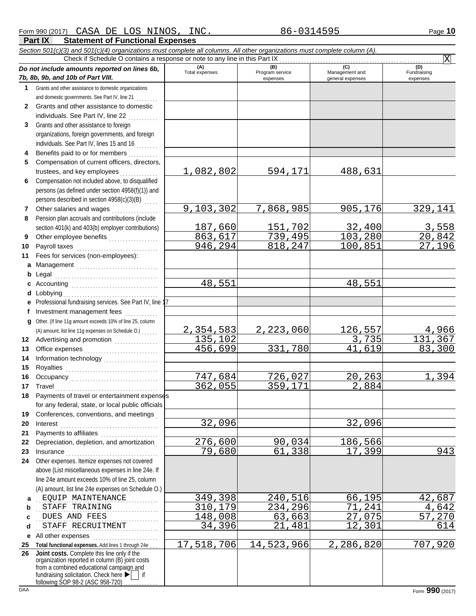|    | Section 501(c)(3) and 501(c)(4) organizations must complete all columns. All other organizations must complete column (A). |                       |                 |                  |                              |
|----|----------------------------------------------------------------------------------------------------------------------------|-----------------------|-----------------|------------------|------------------------------|
|    | Check if Schedule O contains a response or note to any line in this Part IX                                                |                       | (B)             | (C)              | $\overline{\text{X}}$<br>(D) |
|    | Do not include amounts reported on lines 6b,                                                                               | (A)<br>Total expenses | Program service | Management and   | Fundraising                  |
|    | 7b, 8b, 9b, and 10b of Part VIII.                                                                                          |                       | expenses        | general expenses | expenses                     |
| 1  | Grants and other assistance to domestic organizations                                                                      |                       |                 |                  |                              |
|    | and domestic governments. See Part IV, line 21                                                                             |                       |                 |                  |                              |
| 2  | Grants and other assistance to domestic                                                                                    |                       |                 |                  |                              |
|    | individuals. See Part IV, line 22                                                                                          |                       |                 |                  |                              |
| 3  | Grants and other assistance to foreign                                                                                     |                       |                 |                  |                              |
|    | organizations, foreign governments, and foreign                                                                            |                       |                 |                  |                              |
|    | individuals. See Part IV, lines 15 and 16                                                                                  |                       |                 |                  |                              |
| 4  | Benefits paid to or for members                                                                                            |                       |                 |                  |                              |
| 5  | Compensation of current officers, directors,                                                                               |                       |                 |                  |                              |
|    | trustees, and key employees                                                                                                | 1,082,802             | 594,171         | 488,631          |                              |
| 6  | Compensation not included above, to disqualified                                                                           |                       |                 |                  |                              |
|    | persons (as defined under section 4958(f)(1)) and                                                                          |                       |                 |                  |                              |
|    | persons described in section 4958(c)(3)(B)<br>.                                                                            |                       |                 |                  |                              |
| 7  | Other salaries and wages                                                                                                   | 9,103,302             | 7,868,985       | 905,176          | 329,141                      |
| 8  | Pension plan accruals and contributions (include                                                                           |                       |                 |                  |                              |
|    | section 401(k) and 403(b) employer contributions)                                                                          | 187,660               | 151,702         | 32,400           | 3,558                        |
| 9  | Other employee benefits                                                                                                    | 863,617               | 739,495         | 103,280          | 20,842                       |
| 10 | Payroll taxes                                                                                                              | 946,294               | 818,247         | 100,851          | 27,196                       |
| 11 | Fees for services (non-employees):                                                                                         |                       |                 |                  |                              |
| a  | Management                                                                                                                 |                       |                 |                  |                              |
| b  | Legal                                                                                                                      |                       |                 |                  |                              |
| c  |                                                                                                                            | 48,551                |                 | 48,551           |                              |
|    | d Lobbying                                                                                                                 |                       |                 |                  |                              |
| е  | Professional fundraising services. See Part IV, line 1                                                                     |                       |                 |                  |                              |
|    | Investment management fees                                                                                                 |                       |                 |                  |                              |
| q  | Other. (If line 11g amount exceeds 10% of line 25, column                                                                  |                       |                 |                  |                              |
|    | (A) amount, list line 11g expenses on Schedule O.)                                                                         | <u>2,354,583</u>      | 2,223,060       | 126,557          | <u>4,966</u>                 |
|    | 12 Advertising and promotion<br>                                                                                           | 135,102               |                 | 3,735            | 131,367                      |
| 13 |                                                                                                                            | 456,699               | 331,780         | 41,619           | 83,300                       |
| 14 | Information technology<br>                                                                                                 |                       |                 |                  |                              |
| 15 |                                                                                                                            |                       |                 |                  |                              |
| 16 |                                                                                                                            | 747,684               | 726,027         | 20,263           | 1,394                        |
| 17 |                                                                                                                            | 362,055               | 359,171         | 2,884            |                              |
| 18 |                                                                                                                            |                       |                 |                  |                              |
|    | for any federal, state, or local public officials                                                                          |                       |                 |                  |                              |
| 19 | Conferences, conventions, and meetings                                                                                     |                       |                 |                  |                              |
| 20 | Interest                                                                                                                   | 32,096                |                 | 32,096           |                              |
| 21 | Payments to affiliates                                                                                                     |                       |                 |                  |                              |
| 22 | Depreciation, depletion, and amortization                                                                                  | 276,600               | 90,034          | 186,566          |                              |
| 23 | Insurance                                                                                                                  | 79,680                | 61,338          | 17,399           | 943                          |
| 24 | Other expenses. Itemize expenses not covered                                                                               |                       |                 |                  |                              |
|    | above (List miscellaneous expenses in line 24e. If                                                                         |                       |                 |                  |                              |
|    | line 24e amount exceeds 10% of line 25, column                                                                             |                       |                 |                  |                              |
|    | (A) amount, list line 24e expenses on Schedule O.)                                                                         |                       |                 |                  |                              |
| a  | EQUIP MAINTENANCE                                                                                                          | 349,398               | 240,516         | 66,195           | 42,687                       |
| b  | STAFF TRAINING                                                                                                             | 310,179               | 234,296         | 71,241           | <u>4,642</u>                 |
| c  | DUES AND FEES                                                                                                              | 148,008               | 63,663          | 27,075           | 57,270                       |
| d  | STAFF RECRUITMENT                                                                                                          | 34,396                | 21,481          | 12,301           | 614                          |
| е  | All other expenses                                                                                                         |                       |                 |                  |                              |
| 25 | Total functional expenses. Add lines 1 through 24e                                                                         | 17,518,706            | 14,523,966      | 2,286,820        | 707,920                      |
|    | 26 Joint costs. Complete this line only if the<br>organization reported in column (B) joint costs                          |                       |                 |                  |                              |
|    | from a combined educational campaign and                                                                                   |                       |                 |                  |                              |
|    | fundraising solicitation. Check here $\blacktriangleright$   if                                                            |                       |                 |                  |                              |
|    | following SOP 98-2 (ASC 958-720) $\ldots$                                                                                  |                       |                 |                  |                              |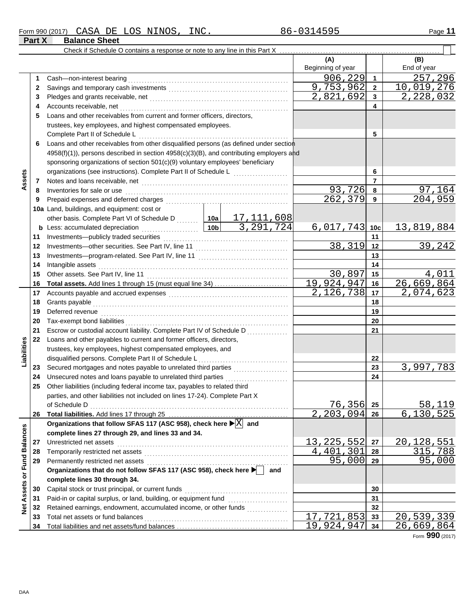|                                |              | Check if Schedule O contains a response or note to any line in this Part X                              |     |                                   |                |                             |
|--------------------------------|--------------|---------------------------------------------------------------------------------------------------------|-----|-----------------------------------|----------------|-----------------------------|
|                                |              |                                                                                                         |     | (A)                               |                | (B)                         |
|                                |              |                                                                                                         |     | Beginning of year                 |                | End of year                 |
|                                | 1.           |                                                                                                         |     | 906,229                           | $\mathbf{1}$   | 257,296                     |
|                                | $\mathbf{2}$ |                                                                                                         |     | 9,753,962                         | $\mathbf{2}$   | 10,019,276                  |
|                                | 3            |                                                                                                         |     | 2,821,692                         | 3              | 2,228,032                   |
|                                | 4            |                                                                                                         |     |                                   | 4              |                             |
|                                | 5            | Loans and other receivables from current and former officers, directors,                                |     |                                   |                |                             |
|                                |              | trustees, key employees, and highest compensated employees.                                             |     |                                   |                |                             |
|                                |              |                                                                                                         |     |                                   | 5              |                             |
|                                | 6            | Loans and other receivables from other disqualified persons (as defined under section                   |     |                                   |                |                             |
|                                |              | 4958(f)(1)), persons described in section 4958(c)(3)(B), and contributing employers and                 |     |                                   |                |                             |
|                                |              | sponsoring organizations of section 501(c)(9) voluntary employees' beneficiary                          |     |                                   |                |                             |
|                                |              | organizations (see instructions). Complete Part II of Schedule L                                        |     |                                   | 6              |                             |
| Assets                         | 7            |                                                                                                         |     |                                   | $\overline{7}$ |                             |
|                                | 8            |                                                                                                         |     | 93,726                            | 8              | 97,164                      |
|                                | 9            |                                                                                                         |     | 262,379                           | 9              | 204,959                     |
|                                |              | 10a Land, buildings, and equipment: cost or                                                             |     |                                   |                |                             |
|                                |              | other basis. Complete Part VI of Schedule D  [10a] 17, 111, 608                                         |     |                                   |                |                             |
|                                |              |                                                                                                         |     | 6,017,743                         | 10c            | 13,819,884                  |
|                                | 11           |                                                                                                         |     |                                   | 11             |                             |
|                                | 12           |                                                                                                         |     | 38,319                            | 12             | 39,242                      |
|                                | 13           |                                                                                                         |     |                                   | 13             |                             |
|                                | 14           |                                                                                                         |     |                                   | 14             |                             |
|                                | 15           |                                                                                                         |     | 30,897                            | 15             | 4,011                       |
|                                | 16           |                                                                                                         |     | 19,924,947                        | 16             | 26,669,864                  |
|                                | 17           |                                                                                                         |     | 2,126,738                         | 17             | 2,074,623                   |
|                                | 18           |                                                                                                         |     |                                   | 18             |                             |
|                                | 19           | Deferred revenue <b>construction and the construction of the construction</b>                           |     |                                   | 19             |                             |
|                                | 20           |                                                                                                         |     |                                   | 20             |                             |
|                                | 21           | Escrow or custodial account liability. Complete Part IV of Schedule D                                   |     |                                   | 21             |                             |
|                                | 22           | Loans and other payables to current and former officers, directors,                                     |     |                                   |                |                             |
|                                |              | trustees, key employees, highest compensated employees, and                                             |     |                                   |                |                             |
| Liabilities                    |              | disqualified persons. Complete Part II of Schedule L <sub></sub>                                        |     |                                   | 22             |                             |
|                                | 23           | Secured mortgages and notes payable to unrelated third parties [[11, 11, 11, 11, 11, 11, 11, 11]        |     |                                   | 23             | 3,997,783                   |
|                                | 24           | Unsecured notes and loans payable to unrelated third parties                                            |     |                                   | 24             |                             |
|                                | 25           | Other liabilities (including federal income tax, payables to related third                              |     |                                   |                |                             |
|                                |              | parties, and other liabilities not included on lines 17-24). Complete Part X                            |     |                                   |                |                             |
|                                |              | of Schedule D                                                                                           |     | 76,356 <br>$\overline{2,203,094}$ | 25             | 58,119<br>6,130,525         |
|                                | 26           | Organizations that follow SFAS 117 (ASC 958), check here $\blacktriangleright$ $\boxed{\mathrm{X}}$ and |     |                                   | 26             |                             |
|                                |              | complete lines 27 through 29, and lines 33 and 34.                                                      |     |                                   |                |                             |
|                                | 27           | Unrestricted net assets                                                                                 |     | 13,225,552                        | 27             | 20,128,551                  |
|                                | 28           |                                                                                                         |     | 301<br>4,401                      | 28             | 315,788                     |
|                                | 29           |                                                                                                         |     | 95,000                            | 29             | 95,000                      |
|                                |              | Organizations that do not follow SFAS 117 (ASC 958), check here                                         | and |                                   |                |                             |
|                                |              | complete lines 30 through 34.                                                                           |     |                                   |                |                             |
| <b>Assets or Fund Balances</b> | 30           | Capital stock or trust principal, or current funds                                                      |     |                                   | 30             |                             |
|                                | 31           | Paid-in or capital surplus, or land, building, or equipment fund [[[[[[[[[[[[[[[[[[[[[[[[[[[[[[[[[[[    |     |                                   | 31             |                             |
| $\frac{1}{2}$                  | 32           | Retained earnings, endowment, accumulated income, or other funds                                        |     |                                   | 32             |                             |
|                                | 33           | Total net assets or fund balances                                                                       |     | $\overline{17}$ , 721, 853        | 33             | 20,539,339                  |
|                                | 34           |                                                                                                         |     | 19,924,947                        | 34             | $\overline{2}6$ , 669 , 864 |

Form **990** (2017)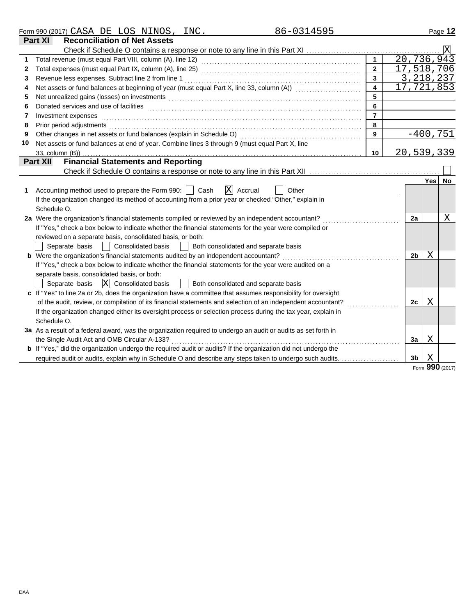|    | 86-0314595<br>Form 990 (2017) CASA DE LOS NINOS, INC.                                                                                                                                                                                                                                      |                         |                            |                |            | Page 12                 |  |  |
|----|--------------------------------------------------------------------------------------------------------------------------------------------------------------------------------------------------------------------------------------------------------------------------------------------|-------------------------|----------------------------|----------------|------------|-------------------------|--|--|
|    | <b>Reconciliation of Net Assets</b><br>Part XI                                                                                                                                                                                                                                             |                         |                            |                |            |                         |  |  |
|    | Check if Schedule O contains a response or note to any line in this Part XI                                                                                                                                                                                                                |                         |                            |                |            | $\overline{\mathrm{x}}$ |  |  |
| 1  |                                                                                                                                                                                                                                                                                            | $\mathbf{1}$            | 20,736,943                 |                |            |                         |  |  |
| 2  |                                                                                                                                                                                                                                                                                            | $\overline{2}$          | 17,518,706                 |                |            |                         |  |  |
| 3  | Revenue less expenses. Subtract line 2 from line 1                                                                                                                                                                                                                                         | $\mathbf{3}$            |                            |                |            | 3, 218, 237             |  |  |
| 4  | Net assets or fund balances at beginning of year (must equal Part X, line 33, column (A))                                                                                                                                                                                                  | $\overline{\mathbf{4}}$ | $\overline{17}$ , 721, 853 |                |            |                         |  |  |
| 5  | Net unrealized gains (losses) on investments [11] with the content of the content of the content of the content of the content of the content of the content of the content of the content of the content of the content of th                                                             | 5                       |                            |                |            |                         |  |  |
| 6  |                                                                                                                                                                                                                                                                                            | 6                       |                            |                |            |                         |  |  |
| 7  | $\overline{7}$<br>Investment expenses<br>8<br>Other changes in net assets or fund balances (explain in Schedule O)<br>9<br>Net assets or fund balances at end of year. Combine lines 3 through 9 (must equal Part X, line<br>20,539,339<br>10<br><b>Financial Statements and Reporting</b> |                         |                            |                |            |                         |  |  |
| 8  | Prior period adjustments                                                                                                                                                                                                                                                                   |                         |                            |                |            |                         |  |  |
| 9  |                                                                                                                                                                                                                                                                                            |                         |                            |                |            | $-400,751$              |  |  |
| 10 |                                                                                                                                                                                                                                                                                            |                         |                            |                |            |                         |  |  |
|    | 33, column (B))                                                                                                                                                                                                                                                                            |                         |                            |                |            |                         |  |  |
|    | <b>Part XII</b>                                                                                                                                                                                                                                                                            |                         |                            |                |            |                         |  |  |
|    |                                                                                                                                                                                                                                                                                            |                         |                            |                |            |                         |  |  |
|    |                                                                                                                                                                                                                                                                                            |                         |                            |                | <b>Yes</b> | <b>No</b>               |  |  |
| 1  | ΙX<br>Cash<br>Accounting method used to prepare the Form 990:<br>Accrual<br>Other                                                                                                                                                                                                          |                         |                            |                |            |                         |  |  |
|    | If the organization changed its method of accounting from a prior year or checked "Other," explain in                                                                                                                                                                                      |                         |                            |                |            |                         |  |  |
|    | Schedule O.                                                                                                                                                                                                                                                                                |                         |                            |                |            |                         |  |  |
|    | 2a Were the organization's financial statements compiled or reviewed by an independent accountant?                                                                                                                                                                                         |                         |                            | 2a             |            | Χ                       |  |  |
|    | If "Yes," check a box below to indicate whether the financial statements for the year were compiled or                                                                                                                                                                                     |                         |                            |                |            |                         |  |  |
|    | reviewed on a separate basis, consolidated basis, or both:                                                                                                                                                                                                                                 |                         |                            |                |            |                         |  |  |
|    | Both consolidated and separate basis<br>Separate basis<br><b>Consolidated basis</b><br>$\mathcal{L}$                                                                                                                                                                                       |                         |                            |                | Χ          |                         |  |  |
|    | <b>b</b> Were the organization's financial statements audited by an independent accountant?<br>If "Yes," check a box below to indicate whether the financial statements for the year were audited on a                                                                                     |                         |                            | 2b             |            |                         |  |  |
|    | separate basis, consolidated basis, or both:                                                                                                                                                                                                                                               |                         |                            |                |            |                         |  |  |
|    | Separate basis $\overline{X}$ Consolidated basis<br>Both consolidated and separate basis                                                                                                                                                                                                   |                         |                            |                |            |                         |  |  |
|    | c If "Yes" to line 2a or 2b, does the organization have a committee that assumes responsibility for oversight                                                                                                                                                                              |                         |                            |                |            |                         |  |  |
|    | of the audit, review, or compilation of its financial statements and selection of an independent accountant?                                                                                                                                                                               |                         |                            | 2c             | Χ          |                         |  |  |
|    | If the organization changed either its oversight process or selection process during the tax year, explain in                                                                                                                                                                              |                         |                            |                |            |                         |  |  |
|    | Schedule O.                                                                                                                                                                                                                                                                                |                         |                            |                |            |                         |  |  |
|    | 3a As a result of a federal award, was the organization required to undergo an audit or audits as set forth in                                                                                                                                                                             |                         |                            |                |            |                         |  |  |
|    | the Single Audit Act and OMB Circular A-133?                                                                                                                                                                                                                                               |                         |                            | 3a             | Χ          |                         |  |  |
|    | <b>b</b> If "Yes," did the organization undergo the required audit or audits? If the organization did not undergo the                                                                                                                                                                      |                         |                            |                |            |                         |  |  |
|    | required audit or audits, explain why in Schedule O and describe any steps taken to undergo such audits.                                                                                                                                                                                   |                         |                            | 3 <sub>b</sub> | Χ          |                         |  |  |
|    |                                                                                                                                                                                                                                                                                            |                         |                            |                |            |                         |  |  |

Form **990** (2017)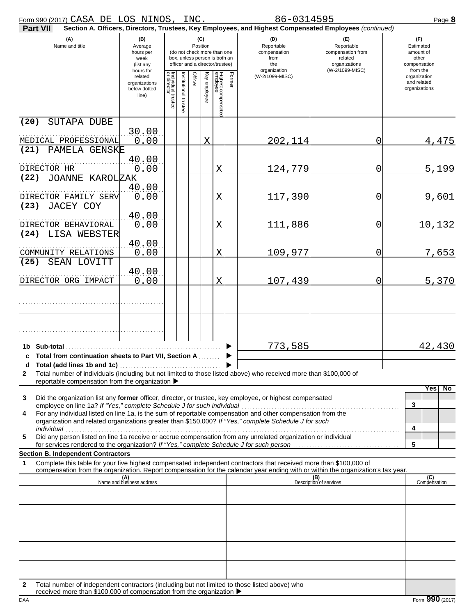| $\overline{\phantom{0}}$<br>990 (2017)<br>Form | CASA | ּיבר<br>பு | $\sim$ $\sim$<br>ـ ۲ د<br>ش∪⊔ ا | NINOS | INC. | $\overline{ }$<br>U 6<br>. J L | Page<br>o |
|------------------------------------------------|------|------------|---------------------------------|-------|------|--------------------------------|-----------|
|                                                |      |            |                                 |       |      |                                |           |

| Part VII                                                                                                                                                                                                                                                                                                                                                                                                             |                                                               |                                   |                       |                 |              |                                                                                                 |        | Section A. Officers, Directors, Trustees, Key Employees, and Highest Compensated Employees (continued) |                                                                                       |                                                                    |
|----------------------------------------------------------------------------------------------------------------------------------------------------------------------------------------------------------------------------------------------------------------------------------------------------------------------------------------------------------------------------------------------------------------------|---------------------------------------------------------------|-----------------------------------|-----------------------|-----------------|--------------|-------------------------------------------------------------------------------------------------|--------|--------------------------------------------------------------------------------------------------------|---------------------------------------------------------------------------------------|--------------------------------------------------------------------|
| (A)<br>Name and title                                                                                                                                                                                                                                                                                                                                                                                                | (B)<br>Average<br>hours per<br>week<br>(list any<br>hours for |                                   |                       | (C)<br>Position |              | (do not check more than one<br>box, unless person is both an<br>officer and a director/trustee) |        | (D)<br>Reportable<br>compensation<br>from<br>the<br>organization                                       | (E)<br>Reportable<br>compensation from<br>related<br>organizations<br>(W-2/1099-MISC) | (F)<br>Estimated<br>amount of<br>other<br>compensation<br>from the |
|                                                                                                                                                                                                                                                                                                                                                                                                                      | related<br>organizations<br>below dotted<br>line)             | Individual trustee<br>or director | Institutional trustee | Officer         | Key employee | Highest compensatec<br>employee                                                                 | Former | (W-2/1099-MISC)                                                                                        |                                                                                       | organization<br>and related<br>organizations                       |
| (20)<br>SUTAPA DUBE                                                                                                                                                                                                                                                                                                                                                                                                  | 30.00                                                         |                                   |                       |                 |              |                                                                                                 |        |                                                                                                        |                                                                                       |                                                                    |
| MEDICAL PROFESSIONAL                                                                                                                                                                                                                                                                                                                                                                                                 | 0.00                                                          |                                   |                       |                 | X            |                                                                                                 |        | 202,114                                                                                                | 0                                                                                     | 4,475                                                              |
| (21) PAMELA GENSKE<br>DIRECTOR HR                                                                                                                                                                                                                                                                                                                                                                                    | 40.00<br>0.00                                                 |                                   |                       |                 |              | X                                                                                               |        | 124,779                                                                                                | 0                                                                                     | 5,199                                                              |
| <b>JOANNE KAROLZAK</b><br>(22)<br>DIRECTOR FAMILY SERV                                                                                                                                                                                                                                                                                                                                                               | 40.00<br>0.00                                                 |                                   |                       |                 |              | X                                                                                               |        | 117,390                                                                                                | 0                                                                                     | 9,601                                                              |
| (23)<br>JACEY COY<br>DIRECTOR BEHAVIORAL                                                                                                                                                                                                                                                                                                                                                                             | 40.00<br>0.00                                                 |                                   |                       |                 |              | X                                                                                               |        | 111,886                                                                                                | 0                                                                                     | <u>10,132</u>                                                      |
| LISA WEBSTER<br>(24)                                                                                                                                                                                                                                                                                                                                                                                                 | 40.00                                                         |                                   |                       |                 |              | X                                                                                               |        |                                                                                                        |                                                                                       |                                                                    |
| COMMUNITY RELATIONS<br>(25)<br>SEAN LOVITT                                                                                                                                                                                                                                                                                                                                                                           | 0.00<br>40.00                                                 |                                   |                       |                 |              |                                                                                                 |        | 109,977                                                                                                | 0                                                                                     | 7,653                                                              |
| DIRECTOR ORG IMPACT                                                                                                                                                                                                                                                                                                                                                                                                  | 0.00                                                          |                                   |                       |                 |              | X                                                                                               |        | 107,439                                                                                                | 0                                                                                     | 5,370                                                              |
|                                                                                                                                                                                                                                                                                                                                                                                                                      |                                                               |                                   |                       |                 |              |                                                                                                 |        |                                                                                                        |                                                                                       |                                                                    |
| Total from continuation sheets to Part VII, Section A<br>c                                                                                                                                                                                                                                                                                                                                                           |                                                               |                                   |                       |                 |              |                                                                                                 |        | 773,585                                                                                                |                                                                                       | 42,430                                                             |
| Total number of individuals (including but not limited to those listed above) who received more than \$100,000 of<br>2<br>reportable compensation from the organization $\blacktriangleright$                                                                                                                                                                                                                        |                                                               |                                   |                       |                 |              |                                                                                                 |        |                                                                                                        |                                                                                       |                                                                    |
| Did the organization list any former officer, director, or trustee, key employee, or highest compensated<br>3<br>employee on line 1a? If "Yes," complete Schedule J for such individual<br>For any individual listed on line 1a, is the sum of reportable compensation and other compensation from the<br>4<br>organization and related organizations greater than \$150,000? If "Yes," complete Schedule J for such |                                                               |                                   |                       |                 |              |                                                                                                 |        |                                                                                                        |                                                                                       | Yes.<br>No.<br>3<br>4                                              |
| individual<br>Did any person listed on line 1a receive or accrue compensation from any unrelated organization or individual<br>5<br>for services rendered to the organization? If "Yes," complete Schedule J for such person                                                                                                                                                                                         |                                                               |                                   |                       |                 |              |                                                                                                 |        |                                                                                                        |                                                                                       | 5                                                                  |
| <b>Section B. Independent Contractors</b><br>Complete this table for your five highest compensated independent contractors that received more than \$100,000 of<br>1                                                                                                                                                                                                                                                 |                                                               |                                   |                       |                 |              |                                                                                                 |        |                                                                                                        |                                                                                       |                                                                    |
| compensation from the organization. Report compensation for the calendar year ending with or within the organization's tax year.                                                                                                                                                                                                                                                                                     | (A)<br>Name and business address                              |                                   |                       |                 |              |                                                                                                 |        |                                                                                                        | (B)<br>Description of services                                                        | (C)<br>Compensation                                                |
|                                                                                                                                                                                                                                                                                                                                                                                                                      |                                                               |                                   |                       |                 |              |                                                                                                 |        |                                                                                                        |                                                                                       |                                                                    |
|                                                                                                                                                                                                                                                                                                                                                                                                                      |                                                               |                                   |                       |                 |              |                                                                                                 |        |                                                                                                        |                                                                                       |                                                                    |
|                                                                                                                                                                                                                                                                                                                                                                                                                      |                                                               |                                   |                       |                 |              |                                                                                                 |        |                                                                                                        |                                                                                       |                                                                    |
|                                                                                                                                                                                                                                                                                                                                                                                                                      |                                                               |                                   |                       |                 |              |                                                                                                 |        |                                                                                                        |                                                                                       |                                                                    |
| Total number of independent contractors (including but not limited to those listed above) who<br>$\mathbf{2}$<br>received more than \$100,000 of compensation from the organization ▶                                                                                                                                                                                                                                |                                                               |                                   |                       |                 |              |                                                                                                 |        |                                                                                                        |                                                                                       |                                                                    |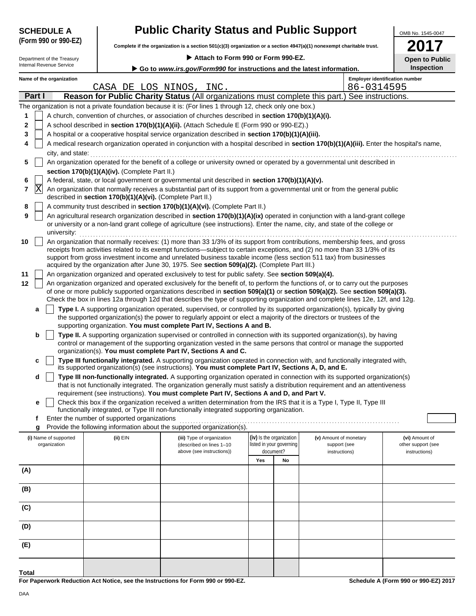|        | <b>SCHEDULE A</b>                     |                                                                                                                                                                                                                                                                 | <b>Public Charity Status and Public Support</b>                                                                                                                                                                                  |                                                                                                                                                            |                                                      |                                        | OMB No. 1545-0047                     |  |  |  |  |  |  |
|--------|---------------------------------------|-----------------------------------------------------------------------------------------------------------------------------------------------------------------------------------------------------------------------------------------------------------------|----------------------------------------------------------------------------------------------------------------------------------------------------------------------------------------------------------------------------------|------------------------------------------------------------------------------------------------------------------------------------------------------------|------------------------------------------------------|----------------------------------------|---------------------------------------|--|--|--|--|--|--|
|        | (Form 990 or 990-EZ)                  |                                                                                                                                                                                                                                                                 |                                                                                                                                                                                                                                  | Complete if the organization is a section 501(c)(3) organization or a section 4947(a)(1) nonexempt charitable trust.<br>Attach to Form 990 or Form 990-EZ. |                                                      |                                        |                                       |  |  |  |  |  |  |
|        | Department of the Treasury            |                                                                                                                                                                                                                                                                 |                                                                                                                                                                                                                                  |                                                                                                                                                            |                                                      |                                        | <b>Open to Public</b>                 |  |  |  |  |  |  |
|        | Internal Revenue Service              |                                                                                                                                                                                                                                                                 | Go to www.irs.gov/Form990 for instructions and the latest information.                                                                                                                                                           |                                                                                                                                                            |                                                      |                                        | <b>Inspection</b>                     |  |  |  |  |  |  |
|        | Name of the organization              |                                                                                                                                                                                                                                                                 |                                                                                                                                                                                                                                  |                                                                                                                                                            |                                                      |                                        | <b>Employer identification number</b> |  |  |  |  |  |  |
|        |                                       |                                                                                                                                                                                                                                                                 | CASA DE LOS NINOS, INC.                                                                                                                                                                                                          |                                                                                                                                                            |                                                      | 86-0314595                             |                                       |  |  |  |  |  |  |
|        | Part I                                |                                                                                                                                                                                                                                                                 | Reason for Public Charity Status (All organizations must complete this part.) See instructions.                                                                                                                                  |                                                                                                                                                            |                                                      |                                        |                                       |  |  |  |  |  |  |
|        |                                       |                                                                                                                                                                                                                                                                 | The organization is not a private foundation because it is: (For lines 1 through 12, check only one box.)                                                                                                                        |                                                                                                                                                            |                                                      |                                        |                                       |  |  |  |  |  |  |
| 1      |                                       |                                                                                                                                                                                                                                                                 | A church, convention of churches, or association of churches described in section 170(b)(1)(A)(i).                                                                                                                               |                                                                                                                                                            |                                                      |                                        |                                       |  |  |  |  |  |  |
| 2<br>3 |                                       |                                                                                                                                                                                                                                                                 | A school described in section 170(b)(1)(A)(ii). (Attach Schedule E (Form 990 or 990-EZ).)<br>A hospital or a cooperative hospital service organization described in section 170(b)(1)(A)(iii).                                   |                                                                                                                                                            |                                                      |                                        |                                       |  |  |  |  |  |  |
| 4      |                                       |                                                                                                                                                                                                                                                                 | A medical research organization operated in conjunction with a hospital described in section 170(b)(1)(A)(iii). Enter the hospital's name,                                                                                       |                                                                                                                                                            |                                                      |                                        |                                       |  |  |  |  |  |  |
|        | city, and state:                      |                                                                                                                                                                                                                                                                 |                                                                                                                                                                                                                                  |                                                                                                                                                            |                                                      |                                        |                                       |  |  |  |  |  |  |
| 5      |                                       |                                                                                                                                                                                                                                                                 | An organization operated for the benefit of a college or university owned or operated by a governmental unit described in                                                                                                        |                                                                                                                                                            |                                                      |                                        |                                       |  |  |  |  |  |  |
|        |                                       | section 170(b)(1)(A)(iv). (Complete Part II.)                                                                                                                                                                                                                   |                                                                                                                                                                                                                                  |                                                                                                                                                            |                                                      |                                        |                                       |  |  |  |  |  |  |
| 6      |                                       | A federal, state, or local government or governmental unit described in section 170(b)(1)(A)(v).                                                                                                                                                                |                                                                                                                                                                                                                                  |                                                                                                                                                            |                                                      |                                        |                                       |  |  |  |  |  |  |
| 7      |                                       | X<br>An organization that normally receives a substantial part of its support from a governmental unit or from the general public<br>described in section 170(b)(1)(A)(vi). (Complete Part II.)                                                                 |                                                                                                                                                                                                                                  |                                                                                                                                                            |                                                      |                                        |                                       |  |  |  |  |  |  |
| 8      |                                       |                                                                                                                                                                                                                                                                 | A community trust described in section 170(b)(1)(A)(vi). (Complete Part II.)                                                                                                                                                     |                                                                                                                                                            |                                                      |                                        |                                       |  |  |  |  |  |  |
| 9      | university:                           | An agricultural research organization described in section 170(b)(1)(A)(ix) operated in conjunction with a land-grant college<br>or university or a non-land grant college of agriculture (see instructions). Enter the name, city, and state of the college or |                                                                                                                                                                                                                                  |                                                                                                                                                            |                                                      |                                        |                                       |  |  |  |  |  |  |
| 10     |                                       |                                                                                                                                                                                                                                                                 | An organization that normally receives: (1) more than 33 1/3% of its support from contributions, membership fees, and gross                                                                                                      |                                                                                                                                                            |                                                      |                                        |                                       |  |  |  |  |  |  |
|        |                                       |                                                                                                                                                                                                                                                                 | receipts from activities related to its exempt functions—subject to certain exceptions, and (2) no more than 33 1/3% of its                                                                                                      |                                                                                                                                                            |                                                      |                                        |                                       |  |  |  |  |  |  |
|        |                                       |                                                                                                                                                                                                                                                                 | support from gross investment income and unrelated business taxable income (less section 511 tax) from businesses<br>acquired by the organization after June 30, 1975. See section 509(a)(2). (Complete Part III.)               |                                                                                                                                                            |                                                      |                                        |                                       |  |  |  |  |  |  |
| 11     |                                       |                                                                                                                                                                                                                                                                 | An organization organized and operated exclusively to test for public safety. See section 509(a)(4).                                                                                                                             |                                                                                                                                                            |                                                      |                                        |                                       |  |  |  |  |  |  |
| 12     |                                       |                                                                                                                                                                                                                                                                 | An organization organized and operated exclusively for the benefit of, to perform the functions of, or to carry out the purposes                                                                                                 |                                                                                                                                                            |                                                      |                                        |                                       |  |  |  |  |  |  |
|        |                                       |                                                                                                                                                                                                                                                                 | of one or more publicly supported organizations described in section $509(a)(1)$ or section $509(a)(2)$ . See section $509(a)(3)$ .                                                                                              |                                                                                                                                                            |                                                      |                                        |                                       |  |  |  |  |  |  |
|        |                                       |                                                                                                                                                                                                                                                                 | Check the box in lines 12a through 12d that describes the type of supporting organization and complete lines 12e, 12f, and 12g.                                                                                                  |                                                                                                                                                            |                                                      |                                        |                                       |  |  |  |  |  |  |
|        | a                                     |                                                                                                                                                                                                                                                                 | Type I. A supporting organization operated, supervised, or controlled by its supported organization(s), typically by giving                                                                                                      |                                                                                                                                                            |                                                      |                                        |                                       |  |  |  |  |  |  |
|        |                                       |                                                                                                                                                                                                                                                                 | the supported organization(s) the power to regularly appoint or elect a majority of the directors or trustees of the<br>supporting organization. You must complete Part IV, Sections A and B.                                    |                                                                                                                                                            |                                                      |                                        |                                       |  |  |  |  |  |  |
|        | b                                     |                                                                                                                                                                                                                                                                 | Type II. A supporting organization supervised or controlled in connection with its supported organization(s), by having                                                                                                          |                                                                                                                                                            |                                                      |                                        |                                       |  |  |  |  |  |  |
|        |                                       |                                                                                                                                                                                                                                                                 | control or management of the supporting organization vested in the same persons that control or manage the supported                                                                                                             |                                                                                                                                                            |                                                      |                                        |                                       |  |  |  |  |  |  |
|        |                                       |                                                                                                                                                                                                                                                                 | organization(s). You must complete Part IV, Sections A and C.                                                                                                                                                                    |                                                                                                                                                            |                                                      |                                        |                                       |  |  |  |  |  |  |
|        | c                                     |                                                                                                                                                                                                                                                                 | Type III functionally integrated. A supporting organization operated in connection with, and functionally integrated with,<br>its supported organization(s) (see instructions). You must complete Part IV, Sections A, D, and E. |                                                                                                                                                            |                                                      |                                        |                                       |  |  |  |  |  |  |
|        | d                                     |                                                                                                                                                                                                                                                                 | Type III non-functionally integrated. A supporting organization operated in connection with its supported organization(s)                                                                                                        |                                                                                                                                                            |                                                      |                                        |                                       |  |  |  |  |  |  |
|        |                                       |                                                                                                                                                                                                                                                                 | that is not functionally integrated. The organization generally must satisfy a distribution requirement and an attentiveness<br>requirement (see instructions). You must complete Part IV, Sections A and D, and Part V.         |                                                                                                                                                            |                                                      |                                        |                                       |  |  |  |  |  |  |
|        | е                                     |                                                                                                                                                                                                                                                                 | Check this box if the organization received a written determination from the IRS that it is a Type I, Type II, Type III                                                                                                          |                                                                                                                                                            |                                                      |                                        |                                       |  |  |  |  |  |  |
|        |                                       |                                                                                                                                                                                                                                                                 | functionally integrated, or Type III non-functionally integrated supporting organization.                                                                                                                                        |                                                                                                                                                            |                                                      |                                        |                                       |  |  |  |  |  |  |
|        | f                                     | Enter the number of supported organizations                                                                                                                                                                                                                     |                                                                                                                                                                                                                                  |                                                                                                                                                            |                                                      |                                        |                                       |  |  |  |  |  |  |
|        | g                                     |                                                                                                                                                                                                                                                                 | Provide the following information about the supported organization(s).                                                                                                                                                           |                                                                                                                                                            |                                                      |                                        |                                       |  |  |  |  |  |  |
|        | (i) Name of supported<br>organization | (ii) EIN                                                                                                                                                                                                                                                        | (iii) Type of organization<br>(described on lines 1-10                                                                                                                                                                           |                                                                                                                                                            | (iv) Is the organization<br>listed in your governing | (v) Amount of monetary<br>support (see | (vi) Amount of<br>other support (see  |  |  |  |  |  |  |
|        |                                       |                                                                                                                                                                                                                                                                 | above (see instructions))                                                                                                                                                                                                        |                                                                                                                                                            | document?                                            | instructions)                          | instructions)                         |  |  |  |  |  |  |
|        |                                       |                                                                                                                                                                                                                                                                 |                                                                                                                                                                                                                                  | Yes                                                                                                                                                        | No                                                   |                                        |                                       |  |  |  |  |  |  |
| (A)    |                                       |                                                                                                                                                                                                                                                                 |                                                                                                                                                                                                                                  |                                                                                                                                                            |                                                      |                                        |                                       |  |  |  |  |  |  |
|        |                                       |                                                                                                                                                                                                                                                                 |                                                                                                                                                                                                                                  |                                                                                                                                                            |                                                      |                                        |                                       |  |  |  |  |  |  |
| (B)    |                                       |                                                                                                                                                                                                                                                                 |                                                                                                                                                                                                                                  |                                                                                                                                                            |                                                      |                                        |                                       |  |  |  |  |  |  |
| (C)    |                                       |                                                                                                                                                                                                                                                                 |                                                                                                                                                                                                                                  |                                                                                                                                                            |                                                      |                                        |                                       |  |  |  |  |  |  |
|        |                                       |                                                                                                                                                                                                                                                                 |                                                                                                                                                                                                                                  |                                                                                                                                                            |                                                      |                                        |                                       |  |  |  |  |  |  |
| (D)    |                                       |                                                                                                                                                                                                                                                                 |                                                                                                                                                                                                                                  |                                                                                                                                                            |                                                      |                                        |                                       |  |  |  |  |  |  |
| (E)    |                                       |                                                                                                                                                                                                                                                                 |                                                                                                                                                                                                                                  |                                                                                                                                                            |                                                      |                                        |                                       |  |  |  |  |  |  |
|        |                                       |                                                                                                                                                                                                                                                                 |                                                                                                                                                                                                                                  |                                                                                                                                                            |                                                      |                                        |                                       |  |  |  |  |  |  |

**For Paperwork Reduction Act Notice, see the Instructions for Form 990 or 990-EZ.**

**Total**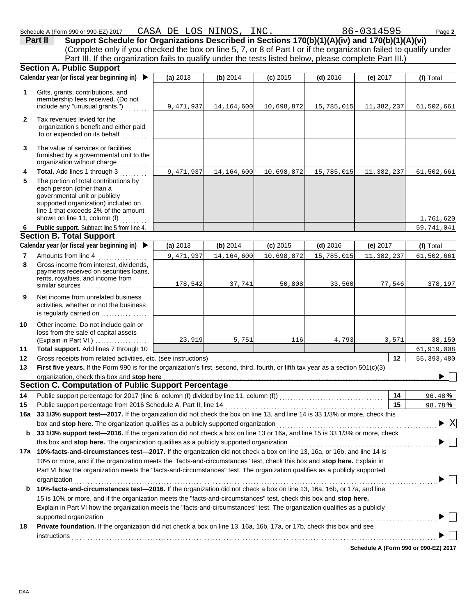|              | Schedule A (Form 990 or 990-EZ) 2017<br>Support Schedule for Organizations Described in Sections 170(b)(1)(A)(iv) and 170(b)(1)(A)(vi)<br>Part II    | CASA DE LOS NINOS, INC. |              |            |            | 86-0314595 | Page 2                                      |
|--------------|------------------------------------------------------------------------------------------------------------------------------------------------------|-------------------------|--------------|------------|------------|------------|---------------------------------------------|
|              | (Complete only if you checked the box on line 5, 7, or 8 of Part I or if the organization failed to qualify under                                    |                         |              |            |            |            |                                             |
|              | Part III. If the organization fails to qualify under the tests listed below, please complete Part III.)                                              |                         |              |            |            |            |                                             |
|              | <b>Section A. Public Support</b>                                                                                                                     |                         |              |            |            |            |                                             |
|              | Calendar year (or fiscal year beginning in)<br>$\blacktriangleright$                                                                                 | (a) 2013                | (b) 2014     | $(c)$ 2015 | $(d)$ 2016 | (e) $2017$ | (f) Total                                   |
| 1            | Gifts, grants, contributions, and<br>membership fees received. (Do not<br>include any "unusual grants.")                                             | 9,471,937               | 14, 164, 600 | 10,698,872 | 15,785,015 | 11,382,237 | 61,502,661                                  |
| $\mathbf{2}$ | Tax revenues levied for the<br>organization's benefit and either paid<br>to or expended on its behalf                                                |                         |              |            |            |            |                                             |
| 3            | The value of services or facilities<br>furnished by a governmental unit to the<br>organization without charge                                        |                         |              |            |            |            |                                             |
| 4            | Total. Add lines 1 through 3                                                                                                                         | 9,471,937               | 14, 164, 600 | 10,698,872 | 15,785,015 | 11,382,237 | 61,502,661                                  |
| 5            | The portion of total contributions by                                                                                                                |                         |              |            |            |            |                                             |
|              | each person (other than a<br>governmental unit or publicly<br>supported organization) included on<br>line 1 that exceeds 2% of the amount            |                         |              |            |            |            |                                             |
|              | shown on line 11, column (f)                                                                                                                         |                         |              |            |            |            | 1,761,620                                   |
| -6           | Public support. Subtract line 5 from line 4.                                                                                                         |                         |              |            |            |            | 59,741,041                                  |
|              | <b>Section B. Total Support</b>                                                                                                                      |                         |              |            |            |            |                                             |
|              | Calendar year (or fiscal year beginning in)<br>▶                                                                                                     | (a) 2013                | (b) 2014     | $(c)$ 2015 | $(d)$ 2016 | (e) 2017   | (f) Total                                   |
| 7            | Amounts from line 4                                                                                                                                  | 9,471,937               | 14, 164, 600 | 10,698,872 | 15,785,015 | 11,382,237 | 61,502,661                                  |
| 8            | Gross income from interest, dividends,<br>payments received on securities loans,<br>rents, royalties, and income from<br>similar sources             | 178,542                 | 37,741       | 50,808     | 33,560     | 77,546     | 378,197                                     |
| 9            | Net income from unrelated business<br>activities, whether or not the business<br>is regularly carried on                                             |                         |              |            |            |            |                                             |
| 10           | Other income. Do not include gain or<br>loss from the sale of capital assets<br>(Explain in Part VI.)                                                | 23,919                  | 5,751        | 116        | 4,793      | 3,571      | 38,150                                      |
| 11           | Total support. Add lines 7 through 10<br>Gross receipts from related activities, etc. (see instructions)                                             |                         |              |            |            |            | 61,919,008                                  |
| 12<br>13     | First five years. If the Form 990 is for the organization's first, second, third, fourth, or fifth tax year as a section $501(c)(3)$                 |                         |              |            |            | $12 \,$    | 55, 393, 480                                |
|              | organization, check this box and stop here                                                                                                           |                         |              |            |            |            |                                             |
|              | <b>Section C. Computation of Public Support Percentage</b>                                                                                           |                         |              |            |            |            |                                             |
| 14           | Public support percentage for 2017 (line 6, column (f) divided by line 11, column (f)) [[[[[[[[[[[[[[[[[[[[[[                                        |                         |              |            |            | 14         | 96.48%                                      |
| 15           | Public support percentage from 2016 Schedule A, Part II, line 14                                                                                     |                         |              |            |            | 15         | 98.78%                                      |
| 16a          | 33 1/3% support test-2017. If the organization did not check the box on line 13, and line 14 is 33 1/3% or more, check this                          |                         |              |            |            |            |                                             |
|              | box and stop here. The organization qualifies as a publicly supported organization                                                                   |                         |              |            |            |            | $\blacktriangleright$ $\overline{\text{X}}$ |
| b            | 33 1/3% support test-2016. If the organization did not check a box on line 13 or 16a, and line 15 is 33 1/3% or more, check                          |                         |              |            |            |            |                                             |
|              | this box and stop here. The organization qualifies as a publicly supported organization                                                              |                         |              |            |            |            |                                             |
|              | 17a 10%-facts-and-circumstances test-2017. If the organization did not check a box on line 13, 16a, or 16b, and line 14 is                           |                         |              |            |            |            |                                             |
|              | 10% or more, and if the organization meets the "facts-and-circumstances" test, check this box and stop here. Explain in                              |                         |              |            |            |            |                                             |
|              | Part VI how the organization meets the "facts-and-circumstances" test. The organization qualifies as a publicly supported                            |                         |              |            |            |            |                                             |
|              | organization                                                                                                                                         |                         |              |            |            |            |                                             |
| b            | 10%-facts-and-circumstances test-2016. If the organization did not check a box on line 13, 16a, 16b, or 17a, and line                                |                         |              |            |            |            |                                             |
|              | 15 is 10% or more, and if the organization meets the "facts-and-circumstances" test, check this box and stop here.                                   |                         |              |            |            |            |                                             |
|              | Explain in Part VI how the organization meets the "facts-and-circumstances" test. The organization qualifies as a publicly<br>supported organization |                         |              |            |            |            |                                             |
| 18           | Private foundation. If the organization did not check a box on line 13, 16a, 16b, 17a, or 17b, check this box and see                                |                         |              |            |            |            |                                             |
|              | instructions                                                                                                                                         |                         |              |            |            |            |                                             |

**Schedule A (Form 990 or 990-EZ) 2017**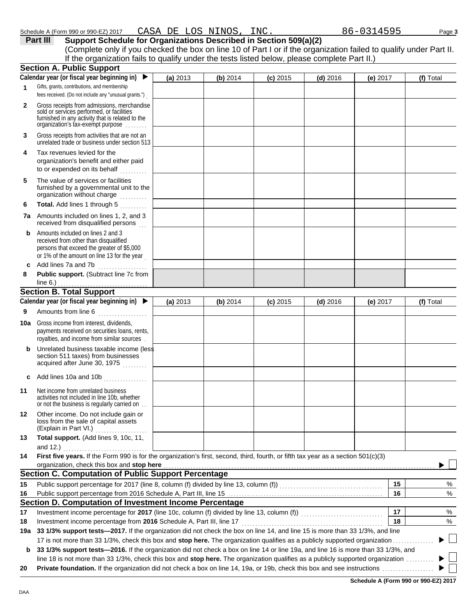|              | (Complete only if you checked the box on line 10 of Part I or if the organization failed to qualify under Part II.<br>If the organization fails to qualify under the tests listed below, please complete Part II.)                                                                                                                                                                                 |          |          |            |            |            |    |           |
|--------------|----------------------------------------------------------------------------------------------------------------------------------------------------------------------------------------------------------------------------------------------------------------------------------------------------------------------------------------------------------------------------------------------------|----------|----------|------------|------------|------------|----|-----------|
|              | <b>Section A. Public Support</b>                                                                                                                                                                                                                                                                                                                                                                   |          |          |            |            |            |    |           |
|              | Calendar year (or fiscal year beginning in)                                                                                                                                                                                                                                                                                                                                                        | (a) 2013 | (b) 2014 | $(c)$ 2015 | $(d)$ 2016 | (e) $2017$ |    | (f) Total |
| 1.           | Gifts, grants, contributions, and membership                                                                                                                                                                                                                                                                                                                                                       |          |          |            |            |            |    |           |
|              | fees received. (Do not include any "unusual grants.")                                                                                                                                                                                                                                                                                                                                              |          |          |            |            |            |    |           |
| $\mathbf{2}$ | Gross receipts from admissions, merchandise<br>sold or services performed, or facilities<br>furnished in any activity that is related to the<br>organization's tax-exempt purpose                                                                                                                                                                                                                  |          |          |            |            |            |    |           |
| 3            | Gross receipts from activities that are not an<br>unrelated trade or business under section 513                                                                                                                                                                                                                                                                                                    |          |          |            |            |            |    |           |
| 4            | Tax revenues levied for the<br>organization's benefit and either paid<br>to or expended on its behalf                                                                                                                                                                                                                                                                                              |          |          |            |            |            |    |           |
| 5            | The value of services or facilities<br>furnished by a governmental unit to the<br>organization without charge                                                                                                                                                                                                                                                                                      |          |          |            |            |            |    |           |
| 6            | Total. Add lines 1 through 5                                                                                                                                                                                                                                                                                                                                                                       |          |          |            |            |            |    |           |
| 7a -         | Amounts included on lines 1, 2, and 3<br>received from disqualified persons                                                                                                                                                                                                                                                                                                                        |          |          |            |            |            |    |           |
| b            | Amounts included on lines 2 and 3<br>received from other than disqualified<br>persons that exceed the greater of \$5,000<br>or 1% of the amount on line 13 for the year                                                                                                                                                                                                                            |          |          |            |            |            |    |           |
| c            | Add lines 7a and 7b                                                                                                                                                                                                                                                                                                                                                                                |          |          |            |            |            |    |           |
| 8            | Public support. (Subtract line 7c from<br>line $6.$ )                                                                                                                                                                                                                                                                                                                                              |          |          |            |            |            |    |           |
|              | <b>Section B. Total Support</b>                                                                                                                                                                                                                                                                                                                                                                    |          |          |            |            |            |    |           |
|              | Calendar year (or fiscal year beginning in)                                                                                                                                                                                                                                                                                                                                                        | (a) 2013 | (b) 2014 | $(c)$ 2015 | $(d)$ 2016 | $(e)$ 2017 |    | (f) Total |
| 9            | Amounts from line 6                                                                                                                                                                                                                                                                                                                                                                                |          |          |            |            |            |    |           |
| 10a          | Gross income from interest, dividends,<br>payments received on securities loans, rents,<br>royalties, and income from similar sources.                                                                                                                                                                                                                                                             |          |          |            |            |            |    |           |
| b            | Unrelated business taxable income (less<br>section 511 taxes) from businesses<br>acquired after June 30, 1975                                                                                                                                                                                                                                                                                      |          |          |            |            |            |    |           |
|              | Add lines 10a and 10b                                                                                                                                                                                                                                                                                                                                                                              |          |          |            |            |            |    |           |
| 11           | Net income from unrelated business<br>activities not included in line 10b, whether<br>or not the business is regularly carried on.                                                                                                                                                                                                                                                                 |          |          |            |            |            |    |           |
| 12           | Other income. Do not include gain or<br>loss from the sale of capital assets<br>(Explain in Part VI.)                                                                                                                                                                                                                                                                                              |          |          |            |            |            |    |           |
| 13           | Total support. (Add lines 9, 10c, 11,<br>and $12.$ )                                                                                                                                                                                                                                                                                                                                               |          |          |            |            |            |    |           |
| 14           | First five years. If the Form 990 is for the organization's first, second, third, fourth, or fifth tax year as a section $501(c)(3)$                                                                                                                                                                                                                                                               |          |          |            |            |            |    |           |
|              | organization, check this box and stop here                                                                                                                                                                                                                                                                                                                                                         |          |          |            |            |            |    |           |
|              | <b>Section C. Computation of Public Support Percentage</b>                                                                                                                                                                                                                                                                                                                                         |          |          |            |            |            |    |           |
| 15           | Public support percentage for 2017 (line 8, column (f) divided by line 13, column (f)) [[[[[[[[[[[[[[[[[[[[[[                                                                                                                                                                                                                                                                                      |          |          |            |            |            | 15 | %         |
| 16           |                                                                                                                                                                                                                                                                                                                                                                                                    |          |          |            |            |            | 16 | %         |
|              | Section D. Computation of Investment Income Percentage                                                                                                                                                                                                                                                                                                                                             |          |          |            |            |            |    |           |
| 17           | Investment income percentage for 2017 (line 10c, column (f) divided by line 13, column (f)) [[[[[[[[[[[[[[[[[[                                                                                                                                                                                                                                                                                     |          |          |            |            |            | 17 | %         |
| 18           | Investment income percentage from 2016 Schedule A, Part III, line 17                                                                                                                                                                                                                                                                                                                               |          |          |            |            |            | 18 | %         |
| 19а          | 33 1/3% support tests-2017. If the organization did not check the box on line 14, and line 15 is more than 33 1/3%, and line                                                                                                                                                                                                                                                                       |          |          |            |            |            |    |           |
| b            | 17 is not more than 33 1/3%, check this box and stop here. The organization qualifies as a publicly supported organization<br>33 1/3% support tests—2016. If the organization did not check a box on line 14 or line 19a, and line 16 is more than 33 1/3%, and<br>line 18 is not more than 33 1/3%, check this box and stop here. The organization qualifies as a publicly supported organization |          |          |            |            |            |    |           |

**Schedule A (Form 990 or 990-EZ) 2017**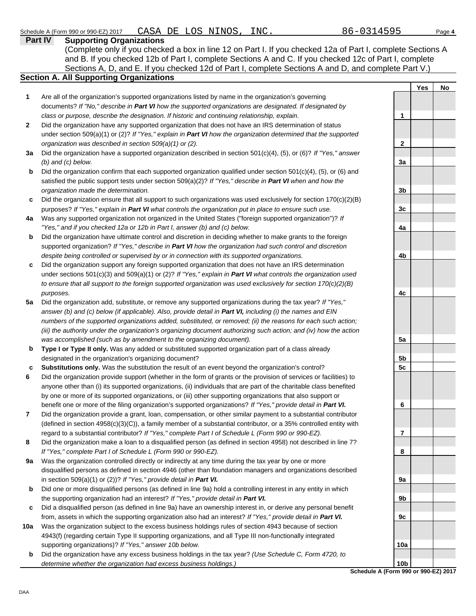*determine whether the organization had excess business holdings.)*

#### **Part IV Supporting Organizations** Sections A, D, and E. If you checked 12d of Part I, complete Sections A and D, and complete Part V.) **Section A. All Supporting Organizations** (Complete only if you checked a box in line 12 on Part I. If you checked 12a of Part I, complete Sections A and B. If you checked 12b of Part I, complete Sections A and C. If you checked 12c of Part I, complete Are all of the organization's supported organizations listed by name in the organization's governing documents? *If "No," describe in Part VI how the supported organizations are designated. If designated by class or purpose, describe the designation. If historic and continuing relationship, explain.* Did the organization have any supported organization that does not have an IRS determination of status under section 509(a)(1) or (2)? *If "Yes," explain in Part VI how the organization determined that the supported organization was described in section 509(a)(1) or (2).* **1 2 3a** Did the organization have a supported organization described in section 501(c)(4), (5), or (6)? *If "Yes," answer* **b c** Did the organization ensure that all support to such organizations was used exclusively for section 170(c)(2)(B) **4a** Was any supported organization not organized in the United States ("foreign supported organization")? *If* **b** Did the organization have ultimate control and discretion in deciding whether to make grants to the foreign **c** Did the organization support any foreign supported organization that does not have an IRS determination **5a** Did the organization add, substitute, or remove any supported organizations during the tax year? *If "Yes,"* **b c 6 7 8 9a b c** Did a disqualified person (as defined in line 9a) have an ownership interest in, or derive any personal benefit **10a b** *(b) and (c) below.* Did the organization confirm that each supported organization qualified under section 501(c)(4), (5), or (6) and satisfied the public support tests under section 509(a)(2)? *If "Yes," describe in Part VI when and how the organization made the determination.* purposes? *If "Yes," explain in Part VI what controls the organization put in place to ensure such use. "Yes," and if you checked 12a or 12b in Part I, answer (b) and (c) below.* supported organization? *If "Yes," describe in Part VI how the organization had such control and discretion despite being controlled or supervised by or in connection with its supported organizations.* under sections 501(c)(3) and 509(a)(1) or (2)? *If "Yes," explain in Part VI what controls the organization used to ensure that all support to the foreign supported organization was used exclusively for section 170(c)(2)(B) purposes. answer (b) and (c) below (if applicable). Also, provide detail in Part VI, including (i) the names and EIN numbers of the supported organizations added, substituted, or removed; (ii) the reasons for each such action; (iii) the authority under the organization's organizing document authorizing such action; and (iv) how the action was accomplished (such as by amendment to the organizing document).* **Type I or Type II only.** Was any added or substituted supported organization part of a class already designated in the organization's organizing document? **Substitutions only.** Was the substitution the result of an event beyond the organization's control? Did the organization provide support (whether in the form of grants or the provision of services or facilities) to anyone other than (i) its supported organizations, (ii) individuals that are part of the charitable class benefited by one or more of its supported organizations, or (iii) other supporting organizations that also support or benefit one or more of the filing organization's supported organizations? *If "Yes," provide detail in Part VI.* Did the organization provide a grant, loan, compensation, or other similar payment to a substantial contributor (defined in section 4958(c)(3)(C)), a family member of a substantial contributor, or a 35% controlled entity with regard to a substantial contributor? *If "Yes," complete Part I of Schedule L (Form 990 or 990-EZ).* Did the organization make a loan to a disqualified person (as defined in section 4958) not described in line 7? *If "Yes," complete Part I of Schedule L (Form 990 or 990-EZ).* Was the organization controlled directly or indirectly at any time during the tax year by one or more disqualified persons as defined in section 4946 (other than foundation managers and organizations described in section 509(a)(1) or (2))? *If "Yes," provide detail in Part VI.* Did one or more disqualified persons (as defined in line 9a) hold a controlling interest in any entity in which the supporting organization had an interest? *If "Yes," provide detail in Part VI.* from, assets in which the supporting organization also had an interest? *If "Yes," provide detail in Part VI.* Was the organization subject to the excess business holdings rules of section 4943 because of section 4943(f) (regarding certain Type II supporting organizations, and all Type III non-functionally integrated supporting organizations)? *If "Yes," answer 10b below.* Did the organization have any excess business holdings in the tax year? *(Use Schedule C, Form 4720, to*  Yes | No **1 2 3a 3b 3c 4a 4b 4c 5a 5b 5c 6 7 8 9a 9b 9c 10a**

**Schedule A (Form 990 or 990-EZ) 2017 10b**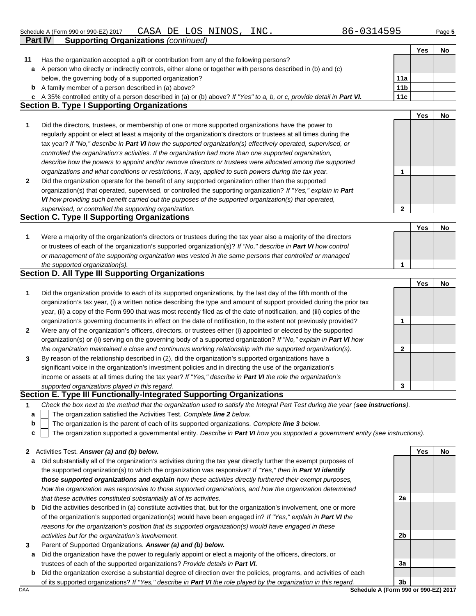| Schedule A | (Form 990 or 990-EZ) 2017                   | DЕ | LOS | NINOS | INC. | Page 5 |
|------------|---------------------------------------------|----|-----|-------|------|--------|
| Part IV    | <b>Supporting Organizations (continued)</b> |    |     |       |      |        |

Has the organization accepted a gift or contribution from any of the following persons?

**11**

**Yes No**

|   | a A person who directly or indirectly controls, either alone or together with persons described in (b) and (c)                                                                                                                           |                 |     |    |
|---|------------------------------------------------------------------------------------------------------------------------------------------------------------------------------------------------------------------------------------------|-----------------|-----|----|
|   | below, the governing body of a supported organization?                                                                                                                                                                                   | 11a             |     |    |
|   | <b>b</b> A family member of a person described in (a) above?                                                                                                                                                                             | 11 <sub>b</sub> |     |    |
| c | A 35% controlled entity of a person described in (a) or (b) above? If "Yes" to a, b, or c, provide detail in Part VI.                                                                                                                    | 11c             |     |    |
|   | <b>Section B. Type I Supporting Organizations</b>                                                                                                                                                                                        |                 |     |    |
|   |                                                                                                                                                                                                                                          |                 | Yes | No |
| 1 | Did the directors, trustees, or membership of one or more supported organizations have the power to                                                                                                                                      |                 |     |    |
|   | regularly appoint or elect at least a majority of the organization's directors or trustees at all times during the                                                                                                                       |                 |     |    |
|   | tax year? If "No," describe in Part VI how the supported organization(s) effectively operated, supervised, or                                                                                                                            |                 |     |    |
|   | controlled the organization's activities. If the organization had more than one supported organization,                                                                                                                                  |                 |     |    |
|   |                                                                                                                                                                                                                                          |                 |     |    |
|   | describe how the powers to appoint and/or remove directors or trustees were allocated among the supported                                                                                                                                |                 |     |    |
|   | organizations and what conditions or restrictions, if any, applied to such powers during the tax year.                                                                                                                                   | 1               |     |    |
| 2 | Did the organization operate for the benefit of any supported organization other than the supported                                                                                                                                      |                 |     |    |
|   | organization(s) that operated, supervised, or controlled the supporting organization? If "Yes," explain in Part                                                                                                                          |                 |     |    |
|   | VI how providing such benefit carried out the purposes of the supported organization(s) that operated,                                                                                                                                   |                 |     |    |
|   | supervised, or controlled the supporting organization.                                                                                                                                                                                   | $\mathbf{2}$    |     |    |
|   | <b>Section C. Type II Supporting Organizations</b>                                                                                                                                                                                       |                 |     |    |
|   |                                                                                                                                                                                                                                          |                 | Yes | No |
| 1 | Were a majority of the organization's directors or trustees during the tax year also a majority of the directors                                                                                                                         |                 |     |    |
|   | or trustees of each of the organization's supported organization(s)? If "No," describe in Part VI how control                                                                                                                            |                 |     |    |
|   | or management of the supporting organization was vested in the same persons that controlled or managed                                                                                                                                   |                 |     |    |
|   | the supported organization(s).                                                                                                                                                                                                           | 1               |     |    |
|   | <b>Section D. All Type III Supporting Organizations</b>                                                                                                                                                                                  |                 |     |    |
|   |                                                                                                                                                                                                                                          |                 | Yes | No |
| 1 | Did the organization provide to each of its supported organizations, by the last day of the fifth month of the                                                                                                                           |                 |     |    |
|   | organization's tax year, (i) a written notice describing the type and amount of support provided during the prior tax                                                                                                                    |                 |     |    |
|   | year, (ii) a copy of the Form 990 that was most recently filed as of the date of notification, and (iii) copies of the                                                                                                                   |                 |     |    |
|   | organization's governing documents in effect on the date of notification, to the extent not previously provided?                                                                                                                         | 1               |     |    |
|   | Were any of the organization's officers, directors, or trustees either (i) appointed or elected by the supported                                                                                                                         |                 |     |    |
| 2 |                                                                                                                                                                                                                                          |                 |     |    |
|   | organization(s) or (ii) serving on the governing body of a supported organization? If "No," explain in Part VI how                                                                                                                       |                 |     |    |
|   | the organization maintained a close and continuous working relationship with the supported organization(s).                                                                                                                              | 2               |     |    |
| 3 | By reason of the relationship described in (2), did the organization's supported organizations have a                                                                                                                                    |                 |     |    |
|   | significant voice in the organization's investment policies and in directing the use of the organization's                                                                                                                               |                 |     |    |
|   | income or assets at all times during the tax year? If "Yes," describe in Part VI the role the organization's                                                                                                                             |                 |     |    |
|   | supported organizations played in this regard.                                                                                                                                                                                           | 3               |     |    |
|   | Section E. Type III Functionally-Integrated Supporting Organizations                                                                                                                                                                     |                 |     |    |
| 1 | Check the box next to the method that the organization used to satisfy the Integral Part Test during the year (see instructions).                                                                                                        |                 |     |    |
|   | The organization satisfied the Activities Test. Complete line 2 below.                                                                                                                                                                   |                 |     |    |
|   |                                                                                                                                                                                                                                          |                 |     |    |
| b | The organization is the parent of each of its supported organizations. Complete line 3 below.                                                                                                                                            |                 |     |    |
| c | The organization supported a governmental entity. Describe in Part VI how you supported a government entity (see instructions).                                                                                                          |                 |     |    |
|   |                                                                                                                                                                                                                                          |                 |     |    |
| 2 | Activities Test. Answer (a) and (b) below.                                                                                                                                                                                               |                 | Yes | No |
| а | Did substantially all of the organization's activities during the tax year directly further the exempt purposes of                                                                                                                       |                 |     |    |
|   | the supported organization(s) to which the organization was responsive? If "Yes," then in Part VI identify                                                                                                                               |                 |     |    |
|   | those supported organizations and explain how these activities directly furthered their exempt purposes,                                                                                                                                 |                 |     |    |
|   | how the organization was responsive to those supported organizations, and how the organization determined                                                                                                                                |                 |     |    |
|   |                                                                                                                                                                                                                                          | 2a              |     |    |
|   | that these activities constituted substantially all of its activities.                                                                                                                                                                   |                 |     |    |
| b | Did the activities described in (a) constitute activities that, but for the organization's involvement, one or more                                                                                                                      |                 |     |    |
|   | of the organization's supported organization(s) would have been engaged in? If "Yes," explain in Part VI the                                                                                                                             |                 |     |    |
|   | reasons for the organization's position that its supported organization(s) would have engaged in these                                                                                                                                   |                 |     |    |
|   | activities but for the organization's involvement.                                                                                                                                                                                       | 2b              |     |    |
| 3 | Parent of Supported Organizations. Answer (a) and (b) below.                                                                                                                                                                             |                 |     |    |
| a | Did the organization have the power to regularly appoint or elect a majority of the officers, directors, or                                                                                                                              |                 |     |    |
|   | trustees of each of the supported organizations? Provide details in Part VI.                                                                                                                                                             | За              |     |    |
| b | Did the organization exercise a substantial degree of direction over the policies, programs, and activities of each<br>of its supported organizations? If "Yes," describe in Part VI the role played by the organization in this regard. | 3b              |     |    |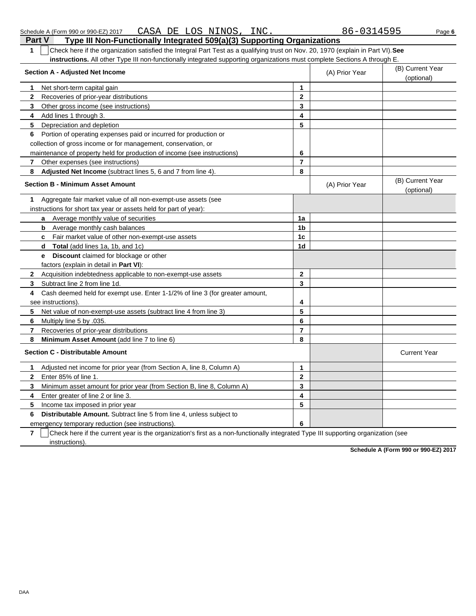| Check here if the organization satisfied the Integral Part Test as a qualifying trust on Nov. 20, 1970 (explain in Part VI). See<br>1              |                         |                |                                |
|----------------------------------------------------------------------------------------------------------------------------------------------------|-------------------------|----------------|--------------------------------|
| <b>instructions.</b> All other Type III non-functionally integrated supporting organizations must complete Sections A through E.                   |                         |                |                                |
| <b>Section A - Adjusted Net Income</b>                                                                                                             |                         | (A) Prior Year | (B) Current Year<br>(optional) |
| 1<br>Net short-term capital gain                                                                                                                   | 1                       |                |                                |
| 2<br>Recoveries of prior-year distributions                                                                                                        | $\mathbf{2}$            |                |                                |
| 3<br>Other gross income (see instructions)                                                                                                         | 3                       |                |                                |
| Add lines 1 through 3.<br>4                                                                                                                        | $\overline{\mathbf{A}}$ |                |                                |
| 5<br>Depreciation and depletion                                                                                                                    | 5                       |                |                                |
| Portion of operating expenses paid or incurred for production or<br>6                                                                              |                         |                |                                |
| collection of gross income or for management, conservation, or                                                                                     |                         |                |                                |
| maintenance of property held for production of income (see instructions)                                                                           | 6                       |                |                                |
| Other expenses (see instructions)<br>$\mathbf{7}$                                                                                                  | $\overline{7}$          |                |                                |
| 8<br>Adjusted Net Income (subtract lines 5, 6 and 7 from line 4).                                                                                  | 8                       |                |                                |
| <b>Section B - Minimum Asset Amount</b>                                                                                                            |                         | (A) Prior Year | (B) Current Year<br>(optional) |
| Aggregate fair market value of all non-exempt-use assets (see<br>1                                                                                 |                         |                |                                |
| instructions for short tax year or assets held for part of year):                                                                                  |                         |                |                                |
| Average monthly value of securities<br>a                                                                                                           | 1a                      |                |                                |
| Average monthly cash balances<br>b                                                                                                                 | 1b                      |                |                                |
| <b>c</b> Fair market value of other non-exempt-use assets                                                                                          | 1 <sub>c</sub>          |                |                                |
| <b>Total</b> (add lines 1a, 1b, and 1c)<br>d                                                                                                       | 1 <sub>d</sub>          |                |                                |
| <b>Discount</b> claimed for blockage or other<br>e                                                                                                 |                         |                |                                |
| factors (explain in detail in Part VI):                                                                                                            |                         |                |                                |
| Acquisition indebtedness applicable to non-exempt-use assets<br>2                                                                                  | $\mathbf 2$             |                |                                |
| Subtract line 2 from line 1d.<br>3                                                                                                                 | 3                       |                |                                |
| Cash deemed held for exempt use. Enter 1-1/2% of line 3 (for greater amount,<br>4                                                                  |                         |                |                                |
| see instructions)                                                                                                                                  | 4                       |                |                                |
| 5<br>Net value of non-exempt-use assets (subtract line 4 from line 3)                                                                              | 5                       |                |                                |
| Multiply line 5 by .035.<br>6                                                                                                                      | 6                       |                |                                |
| 7<br>Recoveries of prior-year distributions                                                                                                        | $\overline{7}$          |                |                                |
| 8<br>Minimum Asset Amount (add line 7 to line 6)                                                                                                   | 8                       |                |                                |
| <b>Section C - Distributable Amount</b>                                                                                                            |                         |                | <b>Current Year</b>            |
| Adjusted net income for prior year (from Section A, line 8, Column A)<br>1                                                                         | $\mathbf 1$             |                |                                |
| Enter 85% of line 1<br>$\mathbf{2}$                                                                                                                | $\overline{2}$          |                |                                |
| 3<br>Minimum asset amount for prior year (from Section B, line 8, Column A)                                                                        | 3                       |                |                                |
| Enter greater of line 2 or line 3.<br>4                                                                                                            | 4                       |                |                                |
| 5<br>Income tax imposed in prior year                                                                                                              | 5                       |                |                                |
| <b>Distributable Amount.</b> Subtract line 5 from line 4, unless subject to<br>6                                                                   |                         |                |                                |
| emergency temporary reduction (see instructions).                                                                                                  | 6                       |                |                                |
| Check hara if the ourrent vegrie the ergenization's first as a non-functionally integrated Type III supporting ergenization (see<br>$\overline{ }$ |                         |                |                                |

**7** | Check here if the current year is the organization's first as a non-functionally integrated Type III supporting organization (see instructions).

**Schedule A (Form 990 or 990-EZ) 2017**

## **Part V Type III Non-Functionally Integrated 509(a)(3) Supporting Organizations**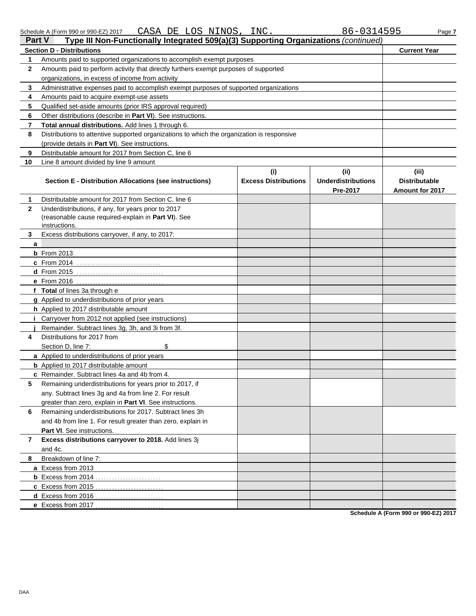| Part V<br>Type III Non-Functionally Integrated 509(a)(3) Supporting Organizations (continued) |                                                                                            |                             |                                       |                                                |  |  |  |  |
|-----------------------------------------------------------------------------------------------|--------------------------------------------------------------------------------------------|-----------------------------|---------------------------------------|------------------------------------------------|--|--|--|--|
|                                                                                               | <b>Section D - Distributions</b>                                                           |                             |                                       | <b>Current Year</b>                            |  |  |  |  |
| 1                                                                                             | Amounts paid to supported organizations to accomplish exempt purposes                      |                             |                                       |                                                |  |  |  |  |
| 2                                                                                             | Amounts paid to perform activity that directly furthers exempt purposes of supported       |                             |                                       |                                                |  |  |  |  |
|                                                                                               | organizations, in excess of income from activity                                           |                             |                                       |                                                |  |  |  |  |
| 3                                                                                             | Administrative expenses paid to accomplish exempt purposes of supported organizations      |                             |                                       |                                                |  |  |  |  |
| 4                                                                                             | Amounts paid to acquire exempt-use assets                                                  |                             |                                       |                                                |  |  |  |  |
| 5                                                                                             | Qualified set-aside amounts (prior IRS approval required)                                  |                             |                                       |                                                |  |  |  |  |
| 6                                                                                             | Other distributions (describe in Part VI). See instructions.                               |                             |                                       |                                                |  |  |  |  |
| 7                                                                                             | Total annual distributions. Add lines 1 through 6.                                         |                             |                                       |                                                |  |  |  |  |
| 8                                                                                             | Distributions to attentive supported organizations to which the organization is responsive |                             |                                       |                                                |  |  |  |  |
|                                                                                               | (provide details in Part VI). See instructions.                                            |                             |                                       |                                                |  |  |  |  |
| 9                                                                                             | Distributable amount for 2017 from Section C, line 6                                       |                             |                                       |                                                |  |  |  |  |
| 10                                                                                            | Line 8 amount divided by line 9 amount                                                     |                             |                                       |                                                |  |  |  |  |
|                                                                                               |                                                                                            | (i)                         | (ii)                                  | (iii)                                          |  |  |  |  |
|                                                                                               | Section E - Distribution Allocations (see instructions)                                    | <b>Excess Distributions</b> | <b>Underdistributions</b><br>Pre-2017 | <b>Distributable</b><br><b>Amount for 2017</b> |  |  |  |  |
| 1                                                                                             | Distributable amount for 2017 from Section C, line 6                                       |                             |                                       |                                                |  |  |  |  |
| 2                                                                                             | Underdistributions, if any, for years prior to 2017                                        |                             |                                       |                                                |  |  |  |  |
|                                                                                               | (reasonable cause required-explain in Part VI). See                                        |                             |                                       |                                                |  |  |  |  |
|                                                                                               | instructions.                                                                              |                             |                                       |                                                |  |  |  |  |
| 3                                                                                             | Excess distributions carryover, if any, to 2017:                                           |                             |                                       |                                                |  |  |  |  |
| a                                                                                             |                                                                                            |                             |                                       |                                                |  |  |  |  |
|                                                                                               | <b>b</b> From 2013                                                                         |                             |                                       |                                                |  |  |  |  |
|                                                                                               | c From 2014                                                                                |                             |                                       |                                                |  |  |  |  |
|                                                                                               | d From 2015                                                                                |                             |                                       |                                                |  |  |  |  |
|                                                                                               | $e$ From 2016                                                                              |                             |                                       |                                                |  |  |  |  |
|                                                                                               | f Total of lines 3a through e                                                              |                             |                                       |                                                |  |  |  |  |
|                                                                                               | g Applied to underdistributions of prior years                                             |                             |                                       |                                                |  |  |  |  |
|                                                                                               | h Applied to 2017 distributable amount                                                     |                             |                                       |                                                |  |  |  |  |
|                                                                                               | <i>i</i> Carryover from 2012 not applied (see instructions)                                |                             |                                       |                                                |  |  |  |  |
|                                                                                               | Remainder. Subtract lines 3g, 3h, and 3i from 3f.                                          |                             |                                       |                                                |  |  |  |  |
| 4                                                                                             | Distributions for 2017 from                                                                |                             |                                       |                                                |  |  |  |  |
|                                                                                               | \$<br>Section D, line 7:                                                                   |                             |                                       |                                                |  |  |  |  |
|                                                                                               | a Applied to underdistributions of prior years                                             |                             |                                       |                                                |  |  |  |  |
|                                                                                               | <b>b</b> Applied to 2017 distributable amount                                              |                             |                                       |                                                |  |  |  |  |
|                                                                                               | c Remainder. Subtract lines 4a and 4b from 4.                                              |                             |                                       |                                                |  |  |  |  |
|                                                                                               | Remaining underdistributions for years prior to 2017, if                                   |                             |                                       |                                                |  |  |  |  |
|                                                                                               | any. Subtract lines 3g and 4a from line 2. For result                                      |                             |                                       |                                                |  |  |  |  |
|                                                                                               | greater than zero, explain in Part VI. See instructions.                                   |                             |                                       |                                                |  |  |  |  |
| 6                                                                                             | Remaining underdistributions for 2017. Subtract lines 3h                                   |                             |                                       |                                                |  |  |  |  |
|                                                                                               | and 4b from line 1. For result greater than zero, explain in                               |                             |                                       |                                                |  |  |  |  |
|                                                                                               | <b>Part VI.</b> See instructions.                                                          |                             |                                       |                                                |  |  |  |  |
| 7                                                                                             | Excess distributions carryover to 2018. Add lines 3j                                       |                             |                                       |                                                |  |  |  |  |
|                                                                                               | and 4c.                                                                                    |                             |                                       |                                                |  |  |  |  |
| 8                                                                                             | Breakdown of line 7:                                                                       |                             |                                       |                                                |  |  |  |  |
|                                                                                               | a Excess from 2013                                                                         |                             |                                       |                                                |  |  |  |  |
|                                                                                               |                                                                                            |                             |                                       |                                                |  |  |  |  |
|                                                                                               | c Excess from 2015<br>.                                                                    |                             |                                       |                                                |  |  |  |  |
|                                                                                               | d Excess from 2016<br>.                                                                    |                             |                                       |                                                |  |  |  |  |
|                                                                                               | e Excess from 2017                                                                         |                             |                                       |                                                |  |  |  |  |

**Schedule A (Form 990 or 990-EZ) 2017**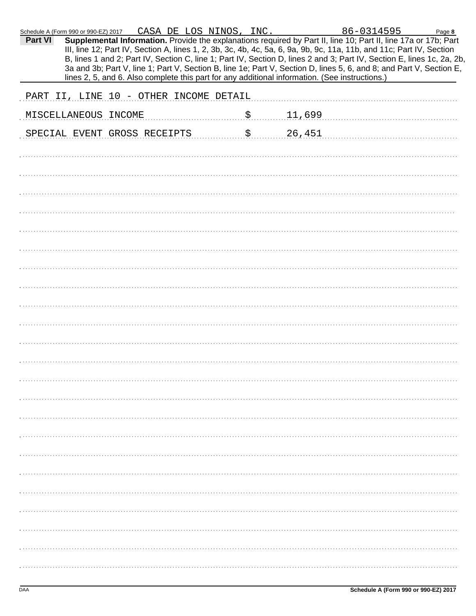|         | Schedule A (Form 990 or 990-EZ) 2017                                                                                                                                                                                                                                                                                                                                                                                                                                                     |  | CASA DE LOS NINOS, INC. |                             |        | 86-0314595 |  | Page 8 |
|---------|------------------------------------------------------------------------------------------------------------------------------------------------------------------------------------------------------------------------------------------------------------------------------------------------------------------------------------------------------------------------------------------------------------------------------------------------------------------------------------------|--|-------------------------|-----------------------------|--------|------------|--|--------|
| Part VI | Supplemental Information. Provide the explanations required by Part II, line 10; Part II, line 17a or 17b; Part<br>III, line 12; Part IV, Section A, lines 1, 2, 3b, 3c, 4b, 4c, 5a, 6, 9a, 9b, 9c, 11a, 11b, and 11c; Part IV, Section<br>B, lines 1 and 2; Part IV, Section C, line 1; Part IV, Section D, lines 2 and 3; Part IV, Section E, lines 1c, 2a, 2b,<br>3a and 3b; Part V, line 1; Part V, Section B, line 1e; Part V, Section D, lines 5, 6, and 8; and Part V, Section E, |  |                         |                             |        |            |  |        |
|         | lines 2, 5, and 6. Also complete this part for any additional information. (See instructions.)                                                                                                                                                                                                                                                                                                                                                                                           |  |                         |                             |        |            |  |        |
|         | PART II, LINE 10 - OTHER INCOME DETAIL                                                                                                                                                                                                                                                                                                                                                                                                                                                   |  |                         |                             |        |            |  |        |
|         | MISCELLANEOUS INCOME                                                                                                                                                                                                                                                                                                                                                                                                                                                                     |  |                         | $\boldsymbol{\mathsf{S}}$ . | 11,699 |            |  |        |
|         | SPECIAL EVENT GROSS RECEIPTS                                                                                                                                                                                                                                                                                                                                                                                                                                                             |  |                         | \$                          | 26,451 |            |  |        |
|         |                                                                                                                                                                                                                                                                                                                                                                                                                                                                                          |  |                         |                             |        |            |  |        |
|         |                                                                                                                                                                                                                                                                                                                                                                                                                                                                                          |  |                         |                             |        |            |  |        |
|         |                                                                                                                                                                                                                                                                                                                                                                                                                                                                                          |  |                         |                             |        |            |  |        |
|         |                                                                                                                                                                                                                                                                                                                                                                                                                                                                                          |  |                         |                             |        |            |  |        |
|         |                                                                                                                                                                                                                                                                                                                                                                                                                                                                                          |  |                         |                             |        |            |  |        |
|         |                                                                                                                                                                                                                                                                                                                                                                                                                                                                                          |  |                         |                             |        |            |  |        |
|         |                                                                                                                                                                                                                                                                                                                                                                                                                                                                                          |  |                         |                             |        |            |  |        |
|         |                                                                                                                                                                                                                                                                                                                                                                                                                                                                                          |  |                         |                             |        |            |  |        |
|         |                                                                                                                                                                                                                                                                                                                                                                                                                                                                                          |  |                         |                             |        |            |  |        |
|         |                                                                                                                                                                                                                                                                                                                                                                                                                                                                                          |  |                         |                             |        |            |  |        |
|         |                                                                                                                                                                                                                                                                                                                                                                                                                                                                                          |  |                         |                             |        |            |  |        |
|         |                                                                                                                                                                                                                                                                                                                                                                                                                                                                                          |  |                         |                             |        |            |  |        |
|         |                                                                                                                                                                                                                                                                                                                                                                                                                                                                                          |  |                         |                             |        |            |  |        |
|         |                                                                                                                                                                                                                                                                                                                                                                                                                                                                                          |  |                         |                             |        |            |  |        |
|         |                                                                                                                                                                                                                                                                                                                                                                                                                                                                                          |  |                         |                             |        |            |  |        |
|         |                                                                                                                                                                                                                                                                                                                                                                                                                                                                                          |  |                         |                             |        |            |  |        |
|         |                                                                                                                                                                                                                                                                                                                                                                                                                                                                                          |  |                         |                             |        |            |  |        |
|         |                                                                                                                                                                                                                                                                                                                                                                                                                                                                                          |  |                         |                             |        |            |  |        |
|         |                                                                                                                                                                                                                                                                                                                                                                                                                                                                                          |  |                         |                             |        |            |  |        |
|         |                                                                                                                                                                                                                                                                                                                                                                                                                                                                                          |  |                         |                             |        |            |  |        |
|         |                                                                                                                                                                                                                                                                                                                                                                                                                                                                                          |  |                         |                             |        |            |  |        |
|         |                                                                                                                                                                                                                                                                                                                                                                                                                                                                                          |  |                         |                             |        |            |  |        |
|         |                                                                                                                                                                                                                                                                                                                                                                                                                                                                                          |  |                         |                             |        |            |  |        |
|         |                                                                                                                                                                                                                                                                                                                                                                                                                                                                                          |  |                         |                             |        |            |  |        |
|         |                                                                                                                                                                                                                                                                                                                                                                                                                                                                                          |  |                         |                             |        |            |  |        |
|         |                                                                                                                                                                                                                                                                                                                                                                                                                                                                                          |  |                         |                             |        |            |  |        |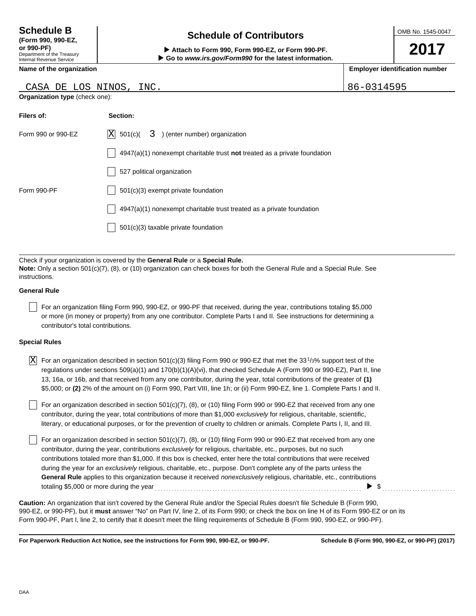### Department of the Treasury Internal Revenue Service **(Form 990, 990-EZ,**

# **Schedule of Contributors Schedule B**

**or 990-PF) Attach to Form 990, Form 990-EZ, or Form 990-PF. Go to** *www.irs.gov/Form990* **for the latest information.**

**Name of the organization**

## CASA DE LOS NINOS, INC. (86-0314595)

**Organization type** (check one):

| Filers of:         | Section:                                                                    |
|--------------------|-----------------------------------------------------------------------------|
| Form 990 or 990-EZ | $ X $ 501(c)(<br>3) (enter number) organization                             |
|                    | $4947(a)(1)$ nonexempt charitable trust not treated as a private foundation |
|                    | 527 political organization                                                  |
| Form 990-PF        | 501(c)(3) exempt private foundation                                         |
|                    | 4947(a)(1) nonexempt charitable trust treated as a private foundation       |
|                    | 501(c)(3) taxable private foundation                                        |
|                    |                                                                             |

Check if your organization is covered by the **General Rule** or a **Special Rule. Note:** Only a section 501(c)(7), (8), or (10) organization can check boxes for both the General Rule and a Special Rule. See instructions.

### **General Rule**

For an organization filing Form 990, 990-EZ, or 990-PF that received, during the year, contributions totaling \$5,000 or more (in money or property) from any one contributor. Complete Parts I and II. See instructions for determining a contributor's total contributions.

### **Special Rules**

| $ X $ For an organization described in section 501(c)(3) filing Form 990 or 990-EZ that met the 33 <sup>1</sup> /3% support test of the |
|-----------------------------------------------------------------------------------------------------------------------------------------|
| regulations under sections 509(a)(1) and 170(b)(1)(A)(vi), that checked Schedule A (Form 990 or 990-EZ), Part II, line                  |
| 13, 16a, or 16b, and that received from any one contributor, during the year, total contributions of the greater of (1)                 |
| \$5,000; or (2) 2% of the amount on (i) Form 990, Part VIII, line 1h; or (ii) Form 990-EZ, line 1. Complete Parts I and II.             |

literary, or educational purposes, or for the prevention of cruelty to children or animals. Complete Parts I, II, and III. For an organization described in section 501(c)(7), (8), or (10) filing Form 990 or 990-EZ that received from any one contributor, during the year, total contributions of more than \$1,000 *exclusively* for religious, charitable, scientific,

For an organization described in section 501(c)(7), (8), or (10) filing Form 990 or 990-EZ that received from any one contributor, during the year, contributions *exclusively* for religious, charitable, etc., purposes, but no such contributions totaled more than \$1,000. If this box is checked, enter here the total contributions that were received during the year for an *exclusively* religious, charitable, etc., purpose. Don't complete any of the parts unless the **General Rule** applies to this organization because it received *nonexclusively* religious, charitable, etc., contributions totaling \$5,000 or more during the year  $\ldots$   $\ldots$   $\ldots$   $\ldots$   $\ldots$   $\ldots$   $\ldots$   $\ldots$   $\ldots$   $\ldots$   $\ldots$   $\ldots$ 

990-EZ, or 990-PF), but it **must** answer "No" on Part IV, line 2, of its Form 990; or check the box on line H of its Form 990-EZ or on its Form 990-PF, Part I, line 2, to certify that it doesn't meet the filing requirements of Schedule B (Form 990, 990-EZ, or 990-PF). **Caution:** An organization that isn't covered by the General Rule and/or the Special Rules doesn't file Schedule B (Form 990,

**For Paperwork Reduction Act Notice, see the instructions for Form 990, 990-EZ, or 990-PF.**

**2017**

**Employer identification number**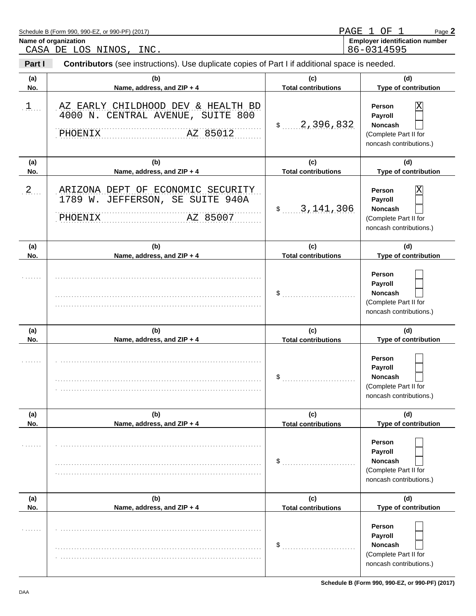| Part I     | <b>Contributors</b> (see instructions). Use duplicate copies of Part I if additional space is needed. |                                   |                                                                                              |
|------------|-------------------------------------------------------------------------------------------------------|-----------------------------------|----------------------------------------------------------------------------------------------|
| (a)<br>No. | (b)<br>Name, address, and ZIP + 4                                                                     | (c)<br><b>Total contributions</b> | (d)<br>Type of contribution                                                                  |
| $1$        | AZ EARLY CHILDHOOD DEV & HEALTH BD<br>4000 N. CENTRAL AVENUE, SUITE 800<br>AZ 85012<br><b>PHOENIX</b> | 2,396,832<br>$\mathsf{\$}$        | Χ<br>Person<br>Payroll<br>Noncash<br>(Complete Part II for<br>noncash contributions.)        |
| (a)        | (b)                                                                                                   | (c)                               | (d)                                                                                          |
| No.        | Name, address, and ZIP + 4                                                                            | <b>Total contributions</b>        | Type of contribution                                                                         |
| $2$        | ARIZONA DEPT OF ECONOMIC SECURITY<br>1789 W. JEFFERSON, SE SUITE 940A<br>AZ 85007<br>PHOENIX          | 3, 141, 306<br>$\frac{1}{2}$      | Χ<br>Person<br>Payroll<br><b>Noncash</b><br>(Complete Part II for<br>noncash contributions.) |
| (a)        | (b)                                                                                                   | (c)                               | (d)                                                                                          |
| No.        | Name, address, and ZIP + 4                                                                            | <b>Total contributions</b>        | Type of contribution                                                                         |
|            |                                                                                                       | \$                                | Person<br>Payroll<br><b>Noncash</b><br>(Complete Part II for<br>noncash contributions.)      |
| (a)        | (b)                                                                                                   | (c)                               | (d)                                                                                          |
| No.        | Name, address, and ZIP + 4                                                                            | <b>Total contributions</b>        | Type of contribution                                                                         |
|            |                                                                                                       | \$                                | Person<br>Payroll<br><b>Noncash</b><br>(Complete Part II for<br>noncash contributions.)      |
| (a)        | (b)                                                                                                   | (c)                               | (d)                                                                                          |
| No.        | Name, address, and ZIP + 4                                                                            | <b>Total contributions</b>        | Type of contribution                                                                         |
|            |                                                                                                       | \$                                | Person<br>Payroll<br>Noncash<br>(Complete Part II for<br>noncash contributions.)             |
| (a)        | (b)                                                                                                   | (c)                               | (d)                                                                                          |
| No.        | Name, address, and ZIP + 4                                                                            | <b>Total contributions</b>        | Type of contribution                                                                         |
|            |                                                                                                       | \$                                | Person<br>Payroll<br>Noncash<br>(Complete Part II for<br>noncash contributions.)             |

**Name of organization** 

Page **2**

PAGE 1 OF 1

86-0314595

Schedule B (Form 990, 990-EZ, or 990-PF) (2017)

CASA DE LOS NINOS, INC.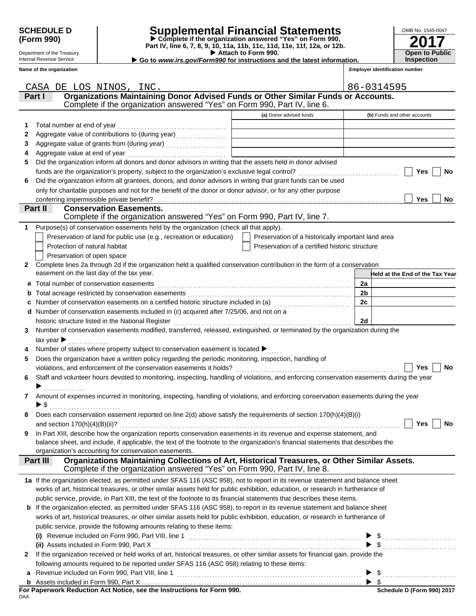Department of the Treasury Internal Revenue Service **Name of the organization**

## **SCHEDULE D Supplemental Financial Statements**

 **Attach to Form 990. (Form 990) Part IV, line 6, 7, 8, 9, 10, 11a, 11b, 11c, 11d, 11e, 11f, 12a, or 12b. Complete if the organization answered "Yes" on Form 990,**

 **Go to** *www.irs.gov/Form990* **for instructions and the latest information.**

| OMB No. 1545-0047                          |
|--------------------------------------------|
| 2017                                       |
| <b>Open to Public</b><br><b>Inspection</b> |

|              | CASA DE LOS NINOS, INC.                                                                                                                   |                                                    | 86-0314595                      |
|--------------|-------------------------------------------------------------------------------------------------------------------------------------------|----------------------------------------------------|---------------------------------|
|              | Organizations Maintaining Donor Advised Funds or Other Similar Funds or Accounts.<br>Part I                                               |                                                    |                                 |
|              | Complete if the organization answered "Yes" on Form 990, Part IV, line 6.                                                                 |                                                    |                                 |
|              |                                                                                                                                           | (a) Donor advised funds                            | (b) Funds and other accounts    |
| 1            | Total number at end of year                                                                                                               |                                                    |                                 |
| 2            | Aggregate value of contributions to (during year)                                                                                         |                                                    |                                 |
| 3            |                                                                                                                                           |                                                    |                                 |
| 4            | Aggregate value at end of year                                                                                                            |                                                    |                                 |
| 5            | Did the organization inform all donors and donor advisors in writing that the assets held in donor advised                                |                                                    |                                 |
|              |                                                                                                                                           |                                                    | Yes<br>No                       |
| 6            | Did the organization inform all grantees, donors, and donor advisors in writing that grant funds can be used                              |                                                    |                                 |
|              | only for charitable purposes and not for the benefit of the donor or donor advisor, or for any other purpose                              |                                                    |                                 |
|              | conferring impermissible private benefit?                                                                                                 |                                                    | Yes<br>No                       |
|              | Part II<br><b>Conservation Easements.</b>                                                                                                 |                                                    |                                 |
|              | Complete if the organization answered "Yes" on Form 990, Part IV, line 7.                                                                 |                                                    |                                 |
| 1            | Purpose(s) of conservation easements held by the organization (check all that apply).                                                     |                                                    |                                 |
|              | Preservation of land for public use (e.g., recreation or education)                                                                       | Preservation of a historically important land area |                                 |
|              | Protection of natural habitat                                                                                                             | Preservation of a certified historic structure     |                                 |
|              | Preservation of open space                                                                                                                |                                                    |                                 |
| $\mathbf{2}$ | Complete lines 2a through 2d if the organization held a qualified conservation contribution in the form of a conservation                 |                                                    |                                 |
|              | easement on the last day of the tax year.                                                                                                 |                                                    | Held at the End of the Tax Year |
| a            | Total number of conservation easements                                                                                                    |                                                    | 2a                              |
| b            |                                                                                                                                           |                                                    | 2 <sub>b</sub>                  |
|              | Number of conservation easements on a certified historic structure included in (a) [11] Number of conservation                            |                                                    | 2c                              |
| d            | Number of conservation easements included in (c) acquired after 7/25/06, and not on a                                                     |                                                    |                                 |
|              | historic structure listed in the National Register                                                                                        |                                                    | 2d                              |
| 3            | Number of conservation easements modified, transferred, released, extinguished, or terminated by the organization during the              |                                                    |                                 |
|              | tax year $\blacktriangleright$<br><u> 1999 - Jan Salaman Sa</u>                                                                           |                                                    |                                 |
|              | Number of states where property subject to conservation easement is located $\blacktriangleright$                                         |                                                    |                                 |
| 5            | Does the organization have a written policy regarding the periodic monitoring, inspection, handling of                                    |                                                    |                                 |
|              |                                                                                                                                           |                                                    | <b>No</b><br>Yes                |
| 6            | Staff and volunteer hours devoted to monitoring, inspecting, handling of violations, and enforcing conservation easements during the year |                                                    |                                 |
|              | . <b>.</b> .                                                                                                                              |                                                    |                                 |
| 7            | Amount of expenses incurred in monitoring, inspecting, handling of violations, and enforcing conservation easements during the year       |                                                    |                                 |
|              | ▶\$                                                                                                                                       |                                                    |                                 |
|              | Does each conservation easement reported on line 2(d) above satisfy the requirements of section 170(h)(4)(B)(i)                           |                                                    |                                 |
|              | and section $170(h)(4)(B)(ii)?$                                                                                                           |                                                    | Yes<br>No                       |
|              | In Part XIII, describe how the organization reports conservation easements in its revenue and expense statement, and                      |                                                    |                                 |
|              | balance sheet, and include, if applicable, the text of the footnote to the organization's financial statements that describes the         |                                                    |                                 |
|              | organization's accounting for conservation easements.                                                                                     |                                                    |                                 |
|              | Organizations Maintaining Collections of Art, Historical Treasures, or Other Similar Assets.<br>Part III                                  |                                                    |                                 |
|              | Complete if the organization answered "Yes" on Form 990, Part IV, line 8.                                                                 |                                                    |                                 |
|              | 1a If the organization elected, as permitted under SFAS 116 (ASC 958), not to report in its revenue statement and balance sheet           |                                                    |                                 |
|              | works of art, historical treasures, or other similar assets held for public exhibition, education, or research in furtherance of          |                                                    |                                 |
|              | public service, provide, in Part XIII, the text of the footnote to its financial statements that describes these items.                   |                                                    |                                 |
| b            | If the organization elected, as permitted under SFAS 116 (ASC 958), to report in its revenue statement and balance sheet                  |                                                    |                                 |
|              | works of art, historical treasures, or other similar assets held for public exhibition, education, or research in furtherance of          |                                                    |                                 |
|              | public service, provide the following amounts relating to these items:                                                                    |                                                    |                                 |
|              |                                                                                                                                           |                                                    |                                 |
|              | (ii) Assets included in Form 990, Part X                                                                                                  |                                                    | $\blacktriangleright$ \$        |
| $\mathbf{2}$ | If the organization received or held works of art, historical treasures, or other similar assets for financial gain, provide the          |                                                    |                                 |
|              | following amounts required to be reported under SFAS 116 (ASC 958) relating to these items:                                               |                                                    |                                 |
| a            |                                                                                                                                           |                                                    |                                 |
|              |                                                                                                                                           |                                                    |                                 |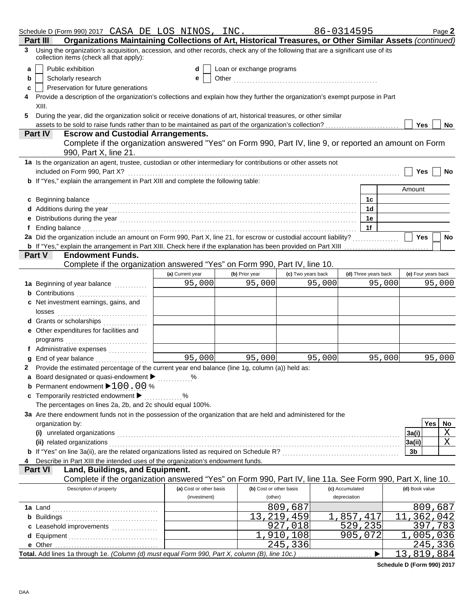|   | Schedule D (Form 990) 2017 CASA DE LOS NINOS, INC.                                                                                                                                                                                                                 |                         |                           |                    | 86-0314595           | Page 2               |  |  |  |
|---|--------------------------------------------------------------------------------------------------------------------------------------------------------------------------------------------------------------------------------------------------------------------|-------------------------|---------------------------|--------------------|----------------------|----------------------|--|--|--|
|   | Organizations Maintaining Collections of Art, Historical Treasures, or Other Similar Assets (continued)<br>Part III                                                                                                                                                |                         |                           |                    |                      |                      |  |  |  |
|   | 3 Using the organization's acquisition, accession, and other records, check any of the following that are a significant use of its<br>collection items (check all that apply):                                                                                     |                         |                           |                    |                      |                      |  |  |  |
| a | Public exhibition                                                                                                                                                                                                                                                  | d                       | Loan or exchange programs |                    |                      |                      |  |  |  |
| b | Scholarly research                                                                                                                                                                                                                                                 | е                       |                           |                    |                      |                      |  |  |  |
| с | Preservation for future generations                                                                                                                                                                                                                                |                         |                           |                    |                      |                      |  |  |  |
|   | Provide a description of the organization's collections and explain how they further the organization's exempt purpose in Part                                                                                                                                     |                         |                           |                    |                      |                      |  |  |  |
|   | XIII.                                                                                                                                                                                                                                                              |                         |                           |                    |                      |                      |  |  |  |
| 5 | During the year, did the organization solicit or receive donations of art, historical treasures, or other similar                                                                                                                                                  |                         |                           |                    |                      |                      |  |  |  |
|   | assets to be sold to raise funds rather than to be maintained as part of the organization's collection?                                                                                                                                                            |                         |                           |                    |                      | Yes<br>No            |  |  |  |
|   | <b>Escrow and Custodial Arrangements.</b><br><b>Part IV</b>                                                                                                                                                                                                        |                         |                           |                    |                      |                      |  |  |  |
|   | Complete if the organization answered "Yes" on Form 990, Part IV, line 9, or reported an amount on Form<br>990, Part X, line 21.                                                                                                                                   |                         |                           |                    |                      |                      |  |  |  |
|   | 1a Is the organization an agent, trustee, custodian or other intermediary for contributions or other assets not                                                                                                                                                    |                         |                           |                    |                      |                      |  |  |  |
|   | included on Form 990, Part X?                                                                                                                                                                                                                                      |                         |                           |                    |                      | Yes<br>No            |  |  |  |
|   | b If "Yes," explain the arrangement in Part XIII and complete the following table:                                                                                                                                                                                 |                         |                           |                    |                      |                      |  |  |  |
|   |                                                                                                                                                                                                                                                                    |                         |                           |                    |                      | Amount               |  |  |  |
|   | c Beginning balance                                                                                                                                                                                                                                                |                         |                           |                    | 1c                   |                      |  |  |  |
|   |                                                                                                                                                                                                                                                                    |                         |                           |                    | 1 <sub>d</sub>       |                      |  |  |  |
|   | Distributions during the year manufactured contains and contained a state of the year and contained a state of                                                                                                                                                     |                         |                           |                    | 1e                   |                      |  |  |  |
|   | Ending balance with a continuum and continuum and continuum and continuum and continuum and continuum and continuum and continuum and continuum and continuum and continuum and continuum and continuum and continuum and cont                                     |                         |                           |                    | 1f                   |                      |  |  |  |
|   | 2a Did the organization include an amount on Form 990, Part X, line 21, for escrow or custodial account liability?                                                                                                                                                 |                         |                           |                    |                      | <b>Yes</b><br>No     |  |  |  |
|   | <b>b</b> If "Yes," explain the arrangement in Part XIII. Check here if the explanation has been provided on Part XIII                                                                                                                                              |                         |                           |                    |                      |                      |  |  |  |
|   | <b>Endowment Funds.</b><br>Part V                                                                                                                                                                                                                                  |                         |                           |                    |                      |                      |  |  |  |
|   | Complete if the organization answered "Yes" on Form 990, Part IV, line 10.                                                                                                                                                                                         |                         |                           |                    |                      |                      |  |  |  |
|   |                                                                                                                                                                                                                                                                    | (a) Current year        | (b) Prior year            | (c) Two years back | (d) Three years back | (e) Four years back  |  |  |  |
|   | 1a Beginning of year balance                                                                                                                                                                                                                                       | 95,000                  | 95,000                    | 95,000             | 95,000               | 95,000               |  |  |  |
|   | <b>b</b> Contributions <b>contributions</b>                                                                                                                                                                                                                        |                         |                           |                    |                      |                      |  |  |  |
|   | c Net investment earnings, gains, and                                                                                                                                                                                                                              |                         |                           |                    |                      |                      |  |  |  |
|   | losses                                                                                                                                                                                                                                                             |                         |                           |                    |                      |                      |  |  |  |
|   | d Grants or scholarships<br>.                                                                                                                                                                                                                                      |                         |                           |                    |                      |                      |  |  |  |
|   | e Other expenditures for facilities and                                                                                                                                                                                                                            |                         |                           |                    |                      |                      |  |  |  |
|   |                                                                                                                                                                                                                                                                    |                         |                           |                    |                      |                      |  |  |  |
|   | f Administrative expenses                                                                                                                                                                                                                                          |                         |                           |                    |                      |                      |  |  |  |
|   | End of year balance                                                                                                                                                                                                                                                | 95,000                  | 95,000                    | 95,000             | 95,000               | 95,000               |  |  |  |
|   | 2 Provide the estimated percentage of the current year end balance (line 1g, column (a)) held as:                                                                                                                                                                  |                         |                           |                    |                      |                      |  |  |  |
|   | a Board designated or quasi-endowment > %                                                                                                                                                                                                                          |                         |                           |                    |                      |                      |  |  |  |
|   | b Permanent endowment $\blacktriangleright$ 100.00%                                                                                                                                                                                                                |                         |                           |                    |                      |                      |  |  |  |
|   | Temporarily restricted endowment ▶                                                                                                                                                                                                                                 | ℅                       |                           |                    |                      |                      |  |  |  |
|   | The percentages on lines 2a, 2b, and 2c should equal 100%.                                                                                                                                                                                                         |                         |                           |                    |                      |                      |  |  |  |
|   | 3a Are there endowment funds not in the possession of the organization that are held and administered for the                                                                                                                                                      |                         |                           |                    |                      | <b>Yes</b>           |  |  |  |
|   | organization by:                                                                                                                                                                                                                                                   |                         |                           |                    |                      | No<br>Χ              |  |  |  |
|   | (i) unrelated organizations <b>contract to the contract of the contract of the contract of the contract of the contract of the contract of the contract of the contract of the contract of the contract of the contract of the c</b><br>(ii) related organizations |                         |                           |                    |                      | 3a(i)<br>X<br>3a(ii) |  |  |  |
|   | b If "Yes" on line 3a(ii), are the related organizations listed as required on Schedule R? [[[[[[[[[[[[[[[[[[[                                                                                                                                                     |                         |                           |                    |                      | 3b                   |  |  |  |
|   | Describe in Part XIII the intended uses of the organization's endowment funds.                                                                                                                                                                                     |                         |                           |                    |                      |                      |  |  |  |
|   | Land, Buildings, and Equipment.<br>Part VI                                                                                                                                                                                                                         |                         |                           |                    |                      |                      |  |  |  |
|   | Complete if the organization answered "Yes" on Form 990, Part IV, line 11a. See Form 990, Part X, line 10.                                                                                                                                                         |                         |                           |                    |                      |                      |  |  |  |
|   | Description of property                                                                                                                                                                                                                                            | (a) Cost or other basis | (b) Cost or other basis   |                    | (c) Accumulated      | (d) Book value       |  |  |  |
|   |                                                                                                                                                                                                                                                                    | (investment)            | (other)                   |                    | depreciation         |                      |  |  |  |
|   | 1a Land                                                                                                                                                                                                                                                            |                         |                           | 809,687            |                      | 809,687              |  |  |  |
|   | <b>b</b> Buildings                                                                                                                                                                                                                                                 |                         |                           | 13, 219, 459       | 1,857,417            | 11,362,042           |  |  |  |
|   |                                                                                                                                                                                                                                                                    |                         |                           | 927,018            | 529,235              | 397.<br>783          |  |  |  |
|   |                                                                                                                                                                                                                                                                    |                         |                           | 1,910,108          | 905,072              | 1,005,036            |  |  |  |
|   | e Other                                                                                                                                                                                                                                                            |                         |                           | 245,336            |                      | 245,336              |  |  |  |
|   | Total. Add lines 1a through 1e. (Column (d) must equal Form 990, Part X, column (B), line 10c.)                                                                                                                                                                    |                         |                           |                    | ▶                    | 13,819,884           |  |  |  |
|   |                                                                                                                                                                                                                                                                    |                         |                           |                    |                      |                      |  |  |  |

**Schedule D (Form 990) 2017**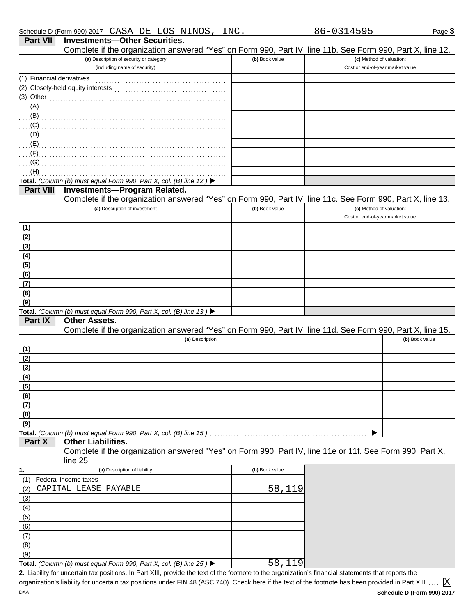| <b>Part VII</b>           | <b>Investments-Other Securities.</b><br>Complete if the organization answered "Yes" on Form 990, Part IV, line 11b. See Form 990, Part X, line 12.                                                                                               |                |                                                              |
|---------------------------|--------------------------------------------------------------------------------------------------------------------------------------------------------------------------------------------------------------------------------------------------|----------------|--------------------------------------------------------------|
|                           | (a) Description of security or category<br>(including name of security)                                                                                                                                                                          | (b) Book value | (c) Method of valuation:<br>Cost or end-of-year market value |
| (1) Financial derivatives |                                                                                                                                                                                                                                                  |                |                                                              |
|                           |                                                                                                                                                                                                                                                  |                |                                                              |
|                           | $(3)$ Other                                                                                                                                                                                                                                      |                |                                                              |
| $(A)$ .                   |                                                                                                                                                                                                                                                  |                |                                                              |
|                           | (B)                                                                                                                                                                                                                                              |                |                                                              |
|                           |                                                                                                                                                                                                                                                  |                |                                                              |
| (D)                       |                                                                                                                                                                                                                                                  |                |                                                              |
| $(E)$ .                   |                                                                                                                                                                                                                                                  |                |                                                              |
| $(F)$ .                   |                                                                                                                                                                                                                                                  |                |                                                              |
| (G)<br>(H)                |                                                                                                                                                                                                                                                  |                |                                                              |
|                           | Total. (Column (b) must equal Form 990, Part X, col. (B) line 12.) ▶                                                                                                                                                                             |                |                                                              |
| <b>Part VIII</b>          | <b>Investments-Program Related.</b>                                                                                                                                                                                                              |                |                                                              |
|                           | Complete if the organization answered "Yes" on Form 990, Part IV, line 11c. See Form 990, Part X, line 13.                                                                                                                                       |                |                                                              |
|                           | (a) Description of investment                                                                                                                                                                                                                    | (b) Book value | (c) Method of valuation:<br>Cost or end-of-year market value |
| (1)                       |                                                                                                                                                                                                                                                  |                |                                                              |
| (2)                       |                                                                                                                                                                                                                                                  |                |                                                              |
| (3)                       |                                                                                                                                                                                                                                                  |                |                                                              |
| (4)<br>(5)                |                                                                                                                                                                                                                                                  |                |                                                              |
| (6)                       |                                                                                                                                                                                                                                                  |                |                                                              |
| (7)                       |                                                                                                                                                                                                                                                  |                |                                                              |
| (8)                       |                                                                                                                                                                                                                                                  |                |                                                              |
| (9)                       |                                                                                                                                                                                                                                                  |                |                                                              |
|                           | Total. (Column (b) must equal Form 990, Part X, col. (B) line 13.) ▶                                                                                                                                                                             |                |                                                              |
| <b>Part IX</b>            | <b>Other Assets.</b><br>Complete if the organization answered "Yes" on Form 990, Part IV, line 11d. See Form 990, Part X, line 15.                                                                                                               |                |                                                              |
|                           | (a) Description                                                                                                                                                                                                                                  |                | (b) Book value                                               |
| (1)<br>(2)                |                                                                                                                                                                                                                                                  |                |                                                              |
| (3)                       |                                                                                                                                                                                                                                                  |                |                                                              |
| (4)                       |                                                                                                                                                                                                                                                  |                |                                                              |
| (5)                       |                                                                                                                                                                                                                                                  |                |                                                              |
| (6)                       |                                                                                                                                                                                                                                                  |                |                                                              |
| (7)                       |                                                                                                                                                                                                                                                  |                |                                                              |
| (8)                       |                                                                                                                                                                                                                                                  |                |                                                              |
| (9)                       |                                                                                                                                                                                                                                                  |                |                                                              |
|                           | Total. (Column (b) must equal Form 990, Part X, col. (B) line 15.)                                                                                                                                                                               |                | ▶                                                            |
| Part X                    | <b>Other Liabilities.</b><br>Complete if the organization answered "Yes" on Form 990, Part IV, line 11e or 11f. See Form 990, Part X,<br>line 25.                                                                                                |                |                                                              |
| 1.                        | (a) Description of liability                                                                                                                                                                                                                     | (b) Book value |                                                              |
| (1)                       | Federal income taxes                                                                                                                                                                                                                             |                |                                                              |
| (2)                       | CAPITAL LEASE PAYABLE                                                                                                                                                                                                                            | 58,119         |                                                              |
| (3)                       |                                                                                                                                                                                                                                                  |                |                                                              |
| (4)                       |                                                                                                                                                                                                                                                  |                |                                                              |
| (5)                       |                                                                                                                                                                                                                                                  |                |                                                              |
| (6)                       |                                                                                                                                                                                                                                                  |                |                                                              |
| (7)                       |                                                                                                                                                                                                                                                  |                |                                                              |
| (8)                       |                                                                                                                                                                                                                                                  |                |                                                              |
| (9)                       |                                                                                                                                                                                                                                                  |                |                                                              |
|                           | Total. (Column (b) must equal Form 990, Part X, col. (B) line 25.) $\blacktriangleright$<br>2. Liability for uncertain tax positions. In Part XIII, provide the text of the footnote to the organization's financial statements that reports the | 58,119         |                                                              |

organization's liability for uncertain tax positions under FIN 48 (ASC 740). Check here if the text of the footnote has been provided in Part XIII

X

DAA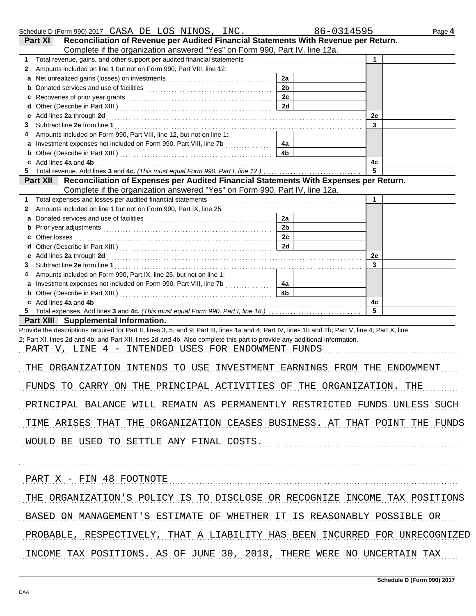|    | Schedule D (Form 990) 2017 CASA DE LOS NINOS, INC.                                                                                                                                                                             |                | 86-0314595  | Page 4 |
|----|--------------------------------------------------------------------------------------------------------------------------------------------------------------------------------------------------------------------------------|----------------|-------------|--------|
|    | Reconciliation of Revenue per Audited Financial Statements With Revenue per Return.<br>Part XI                                                                                                                                 |                |             |        |
|    | Complete if the organization answered "Yes" on Form 990, Part IV, line 12a.                                                                                                                                                    |                |             |        |
| 1  | Total revenue, gains, and other support per audited financial statements                                                                                                                                                       |                | $\mathbf 1$ |        |
| 2  | Amounts included on line 1 but not on Form 990, Part VIII, line 12:                                                                                                                                                            |                |             |        |
| a  |                                                                                                                                                                                                                                | 2a             |             |        |
|    |                                                                                                                                                                                                                                | 2 <sub>b</sub> |             |        |
| c  | Recoveries of prior year grants [11, 12] with the coveries of prior year grants [11, 12] with the cover of the cover of the cover of the cover of the cover of the cover of the cover of the cover of the cover of the cover o | 2c             |             |        |
| d  |                                                                                                                                                                                                                                | 2d             |             |        |
|    | Add lines 2a through 2d                                                                                                                                                                                                        |                | 2e          |        |
| 3  |                                                                                                                                                                                                                                |                | 3           |        |
| 4  | Amounts included on Form 990, Part VIII, line 12, but not on line 1:                                                                                                                                                           |                |             |        |
| a  |                                                                                                                                                                                                                                | 4a             |             |        |
| b  |                                                                                                                                                                                                                                | 4b             |             |        |
|    | c Add lines 4a and 4b                                                                                                                                                                                                          |                | 4с<br>5     |        |
|    | Reconciliation of Expenses per Audited Financial Statements With Expenses per Return.<br><b>Part XII</b>                                                                                                                       |                |             |        |
|    | Complete if the organization answered "Yes" on Form 990, Part IV, line 12a.                                                                                                                                                    |                |             |        |
| 1. | Total expenses and losses per audited financial statements                                                                                                                                                                     |                | 1           |        |
| 2  | Amounts included on line 1 but not on Form 990, Part IX, line 25:                                                                                                                                                              |                |             |        |
| a  |                                                                                                                                                                                                                                | 2a             |             |        |
| b  |                                                                                                                                                                                                                                | 2 <sub>b</sub> |             |        |
|    | Other losses                                                                                                                                                                                                                   | 2c             |             |        |
| d  |                                                                                                                                                                                                                                | 2d             |             |        |
|    | Add lines 2a through 2d                                                                                                                                                                                                        |                | 2e          |        |
| 3  |                                                                                                                                                                                                                                |                | 3           |        |
| 4  | Amounts included on Form 990, Part IX, line 25, but not on line 1:                                                                                                                                                             |                |             |        |
| a  |                                                                                                                                                                                                                                | 4a             |             |        |
|    |                                                                                                                                                                                                                                | 4b             |             |        |
|    | c Add lines 4a and 4b                                                                                                                                                                                                          |                | 4с          |        |
|    |                                                                                                                                                                                                                                |                | 5           |        |
|    | Part XIII Supplemental Information.                                                                                                                                                                                            |                |             |        |
|    | Provide the descriptions required for Part II, lines 3, 5, and 9; Part III, lines 1a and 4; Part IV, lines 1b and 2b; Part V, line 4; Part X, line                                                                             |                |             |        |
|    | 2; Part XI, lines 2d and 4b; and Part XII, lines 2d and 4b. Also complete this part to provide any additional information.                                                                                                     |                |             |        |
|    | PART V, LINE 4 - INTENDED USES FOR ENDOWMENT FUNDS                                                                                                                                                                             |                |             |        |
|    | THE ORGANIZATION INTENDS TO USE INVESTMENT EARNINGS FROM THE ENDOWMENT                                                                                                                                                         |                |             |        |
|    |                                                                                                                                                                                                                                |                |             |        |
|    | FUNDS TO CARRY ON THE PRINCIPAL ACTIVITIES OF THE ORGANIZATION. THE                                                                                                                                                            |                |             |        |
|    | PRINCIPAL BALANCE WILL REMAIN AS PERMANENTLY RESTRICTED FUNDS UNLESS SUCH                                                                                                                                                      |                |             |        |
|    | TIME ARISES THAT THE ORGANIZATION CEASES BUSINESS. AT THAT POINT THE FUNDS                                                                                                                                                     |                |             |        |
|    | WOULD BE USED TO SETTLE ANY FINAL COSTS.                                                                                                                                                                                       |                |             |        |
|    |                                                                                                                                                                                                                                |                |             |        |
|    | PART X - FIN 48 FOOTNOTE                                                                                                                                                                                                       |                |             |        |
|    |                                                                                                                                                                                                                                |                |             |        |
|    | THE ORGANIZATION'S POLICY IS TO DISCLOSE OR RECOGNIZE INCOME TAX POSITIONS                                                                                                                                                     |                |             |        |
|    | BASED ON MANAGEMENT'S ESTIMATE OF WHETHER IT IS REASONABLY POSSIBLE OR                                                                                                                                                         |                |             |        |
|    | PROBABLE, RESPECTIVELY, THAT A LIABILITY HAS BEEN INCURRED FOR UNRECOGNIZED                                                                                                                                                    |                |             |        |
|    | INCOME TAX POSITIONS. AS OF JUNE 30, 2018, THERE WERE NO UNCERTAIN TAX                                                                                                                                                         |                |             |        |
|    |                                                                                                                                                                                                                                |                |             |        |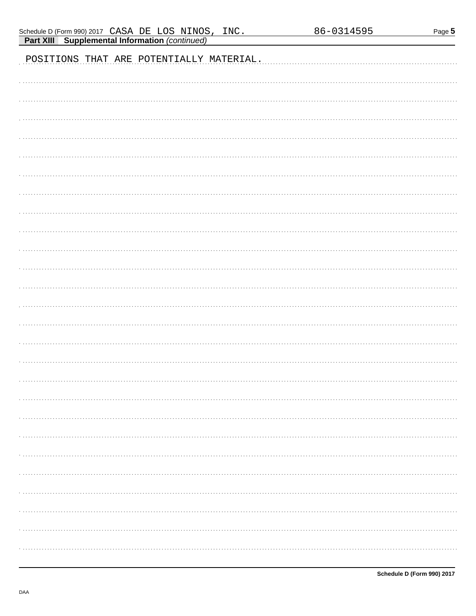| <b>Part XIII Supplemental Information (continued)</b> |
|-------------------------------------------------------|
| POSITIONS THAT ARE POTENTIALLY MATERIAL.              |
|                                                       |
|                                                       |
|                                                       |
|                                                       |
|                                                       |
|                                                       |
|                                                       |
|                                                       |
|                                                       |
|                                                       |
|                                                       |
|                                                       |
|                                                       |
|                                                       |
|                                                       |
|                                                       |
|                                                       |
|                                                       |
|                                                       |
|                                                       |
|                                                       |
|                                                       |
|                                                       |
|                                                       |

INC.

Schedule D (Form 990) 2017 CASA DE LOS NINOS,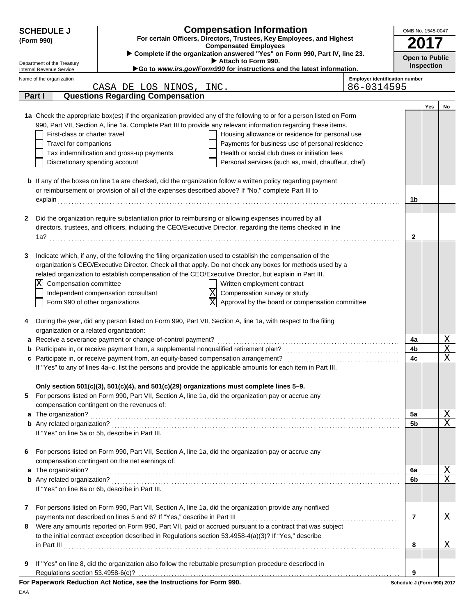| <b>SCHEDULE J</b>                                                                                                               |                                                                                                       | <b>Compensation Information</b>                                                                                      |                                       | OMB No. 1545-0047 |
|---------------------------------------------------------------------------------------------------------------------------------|-------------------------------------------------------------------------------------------------------|----------------------------------------------------------------------------------------------------------------------|---------------------------------------|-------------------|
| (Form 990)                                                                                                                      | For certain Officers, Directors, Trustees, Key Employees, and Highest<br><b>Compensated Employees</b> |                                                                                                                      |                                       | 2017              |
| Complete if the organization answered "Yes" on Form 990, Part IV, line 23.<br>Attach to Form 990.<br>Department of the Treasury |                                                                                                       |                                                                                                                      | <b>Open to Public</b>                 |                   |
| Internal Revenue Service                                                                                                        |                                                                                                       | Go to www.irs.gov/Form990 for instructions and the latest information.                                               |                                       | <b>Inspection</b> |
| Name of the organization                                                                                                        |                                                                                                       |                                                                                                                      | <b>Employer identification number</b> |                   |
|                                                                                                                                 | CASA DE LOS NINOS, INC.                                                                               | 86-0314595                                                                                                           |                                       |                   |
| Part I                                                                                                                          | <b>Questions Regarding Compensation</b>                                                               |                                                                                                                      |                                       |                   |
|                                                                                                                                 |                                                                                                       | 1a Check the appropriate box(es) if the organization provided any of the following to or for a person listed on Form |                                       | Yes<br>No         |
|                                                                                                                                 |                                                                                                       | 990, Part VII, Section A, line 1a. Complete Part III to provide any relevant information regarding these items.      |                                       |                   |
| First-class or charter travel                                                                                                   |                                                                                                       | Housing allowance or residence for personal use                                                                      |                                       |                   |
| Travel for companions                                                                                                           |                                                                                                       | Payments for business use of personal residence                                                                      |                                       |                   |
|                                                                                                                                 | Tax indemnification and gross-up payments                                                             | Health or social club dues or initiation fees                                                                        |                                       |                   |
| Discretionary spending account                                                                                                  |                                                                                                       | Personal services (such as, maid, chauffeur, chef)                                                                   |                                       |                   |
|                                                                                                                                 |                                                                                                       |                                                                                                                      |                                       |                   |
|                                                                                                                                 |                                                                                                       | <b>b</b> If any of the boxes on line 1a are checked, did the organization follow a written policy regarding payment  |                                       |                   |
|                                                                                                                                 |                                                                                                       | or reimbursement or provision of all of the expenses described above? If "No," complete Part III to                  |                                       |                   |
|                                                                                                                                 |                                                                                                       |                                                                                                                      | 1b                                    |                   |
|                                                                                                                                 |                                                                                                       |                                                                                                                      |                                       |                   |
| 2                                                                                                                               |                                                                                                       | Did the organization require substantiation prior to reimbursing or allowing expenses incurred by all                |                                       |                   |
|                                                                                                                                 |                                                                                                       | directors, trustees, and officers, including the CEO/Executive Director, regarding the items checked in line         | 2                                     |                   |
|                                                                                                                                 |                                                                                                       |                                                                                                                      |                                       |                   |
| 3                                                                                                                               |                                                                                                       | Indicate which, if any, of the following the filing organization used to establish the compensation of the           |                                       |                   |
|                                                                                                                                 |                                                                                                       | organization's CEO/Executive Director. Check all that apply. Do not check any boxes for methods used by a            |                                       |                   |
|                                                                                                                                 |                                                                                                       | related organization to establish compensation of the CEO/Executive Director, but explain in Part III.               |                                       |                   |
| Compensation committee<br>$ \mathrm{X} $                                                                                        |                                                                                                       | Written employment contract                                                                                          |                                       |                   |
|                                                                                                                                 | Independent compensation consultant                                                                   | $\overline{\text{X}}$<br>Compensation survey or study                                                                |                                       |                   |
| Form 990 of other organizations                                                                                                 |                                                                                                       | Ιx<br>Approval by the board or compensation committee                                                                |                                       |                   |
|                                                                                                                                 |                                                                                                       |                                                                                                                      |                                       |                   |
| 4                                                                                                                               |                                                                                                       | During the year, did any person listed on Form 990, Part VII, Section A, line 1a, with respect to the filing         |                                       |                   |
| organization or a related organization:                                                                                         |                                                                                                       |                                                                                                                      |                                       |                   |
|                                                                                                                                 | a Receive a severance payment or change-of-control payment?                                           |                                                                                                                      | 4a                                    | Χ                 |
|                                                                                                                                 |                                                                                                       |                                                                                                                      | 4b                                    | X                 |
|                                                                                                                                 |                                                                                                       |                                                                                                                      | 4c                                    | X                 |
|                                                                                                                                 |                                                                                                       | If "Yes" to any of lines 4a-c, list the persons and provide the applicable amounts for each item in Part III.        |                                       |                   |
|                                                                                                                                 |                                                                                                       | Only section 501(c)(3), 501(c)(4), and 501(c)(29) organizations must complete lines 5-9.                             |                                       |                   |
| 5                                                                                                                               |                                                                                                       | For persons listed on Form 990, Part VII, Section A, line 1a, did the organization pay or accrue any                 |                                       |                   |
|                                                                                                                                 | compensation contingent on the revenues of:                                                           |                                                                                                                      |                                       |                   |
| a The organization?                                                                                                             |                                                                                                       |                                                                                                                      | 5a                                    | <u>X</u>          |
|                                                                                                                                 |                                                                                                       |                                                                                                                      | 5b                                    | $\mathbf X$       |
|                                                                                                                                 | If "Yes" on line 5a or 5b, describe in Part III.                                                      |                                                                                                                      |                                       |                   |
|                                                                                                                                 |                                                                                                       |                                                                                                                      |                                       |                   |
| 6                                                                                                                               |                                                                                                       | For persons listed on Form 990, Part VII, Section A, line 1a, did the organization pay or accrue any                 |                                       |                   |
|                                                                                                                                 | compensation contingent on the net earnings of:                                                       |                                                                                                                      |                                       |                   |
| a The organization?                                                                                                             |                                                                                                       |                                                                                                                      | 6a                                    | <u>X</u>          |
|                                                                                                                                 |                                                                                                       |                                                                                                                      | 6b                                    | $\mathbf X$       |
|                                                                                                                                 | If "Yes" on line 6a or 6b, describe in Part III.                                                      |                                                                                                                      |                                       |                   |
| 7                                                                                                                               |                                                                                                       | For persons listed on Form 990, Part VII, Section A, line 1a, did the organization provide any nonfixed              |                                       |                   |
|                                                                                                                                 |                                                                                                       |                                                                                                                      | 7                                     | Χ                 |
| 8                                                                                                                               |                                                                                                       | Were any amounts reported on Form 990, Part VII, paid or accrued pursuant to a contract that was subject             |                                       |                   |
|                                                                                                                                 |                                                                                                       | to the initial contract exception described in Regulations section 53.4958-4(a)(3)? If "Yes," describe               |                                       |                   |
|                                                                                                                                 |                                                                                                       |                                                                                                                      | 8                                     | Χ                 |
|                                                                                                                                 |                                                                                                       |                                                                                                                      |                                       |                   |
| 9                                                                                                                               |                                                                                                       | If "Yes" on line 8, did the organization also follow the rebuttable presumption procedure described in               |                                       |                   |
| Regulations section 53.4958-6(c)?                                                                                               |                                                                                                       |                                                                                                                      | 9                                     |                   |
|                                                                                                                                 | For Paperwork Reduction Act Notice, see the Instructions for Form 990.                                |                                                                                                                      | Schedule J (Form 990) 2017            |                   |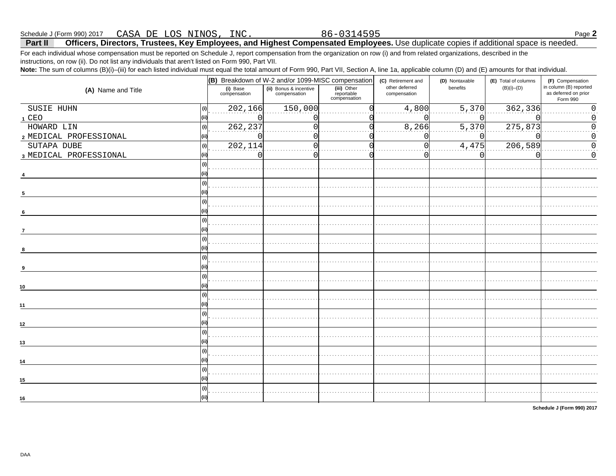#### CASA DE LOS NINOS, INC Schedule J (Form 990) 2017

Officers, Directors, Trustees, Key Employees, and Highest Compensated Employees. Use duplicate copies if additional space is needed. Part II For each individual whose compensation must be reported on Schedule J, report compensation from the organization on row (i) and from related organizations, described in the

instructions, on row (ii). Do not list any individuals that aren't listed on Form 990, Part VII.

Note: The sum of columns (B)(i)-(iii) for each listed individual must equal the total amount of Form 990, Part VII, Section A, line 1a, applicable column (D) and (E) amounts for that individual.

| $\cdots$               | (B) Breakdown of W-2 and/or 1099-MISC compensation |                                        |                                           | $\sim$ $\sim$<br>(C) Retirement and | $\sqrt{ }$<br>(D) Nontaxable | (E) Total of columns | (F) Compensation                                           |
|------------------------|----------------------------------------------------|----------------------------------------|-------------------------------------------|-------------------------------------|------------------------------|----------------------|------------------------------------------------------------|
| (A) Name and Title     | (i) Base<br>compensation                           | (ii) Bonus & incentive<br>compensation | (iii) Other<br>reportable<br>compensation | other deferred<br>compensation      | benefits                     | $(B)(i)$ – $(D)$     | in column (B) reported<br>as deferred on prior<br>Form 990 |
| SUSIE HUHN<br>(i)      | 202,166                                            | 150,000                                |                                           | 4,800                               | 5,370                        | 362,336              |                                                            |
| 1 CEO                  |                                                    |                                        |                                           |                                     |                              |                      |                                                            |
| HOWARD LIN             | 262,237                                            |                                        |                                           | 8,266                               | 5,370                        | 275,873              |                                                            |
| 2 MEDICAL PROFESSIONAL |                                                    |                                        |                                           |                                     |                              |                      | 0                                                          |
| SUTAPA DUBE<br>(i)     | 202,114                                            |                                        |                                           |                                     | 4,475                        | 206,589              | $\Omega$                                                   |
| 3 MEDICAL PROFESSIONAL | $\Box$                                             |                                        |                                           |                                     |                              |                      | $\Omega$                                                   |
|                        |                                                    |                                        |                                           |                                     |                              |                      |                                                            |
| $\sqrt{5}$             |                                                    |                                        |                                           |                                     |                              |                      |                                                            |
| 6                      |                                                    |                                        |                                           |                                     |                              |                      |                                                            |
| 7                      |                                                    |                                        |                                           |                                     |                              |                      |                                                            |
|                        |                                                    |                                        |                                           |                                     |                              |                      |                                                            |
|                        |                                                    |                                        |                                           |                                     |                              |                      |                                                            |
| 10                     |                                                    |                                        |                                           |                                     |                              |                      |                                                            |
| 11                     |                                                    |                                        |                                           |                                     |                              |                      |                                                            |
| 12                     |                                                    |                                        |                                           |                                     |                              |                      |                                                            |
| 13                     |                                                    |                                        |                                           |                                     |                              |                      |                                                            |
| 14                     |                                                    |                                        |                                           |                                     |                              |                      |                                                            |
| 15                     |                                                    |                                        |                                           |                                     |                              |                      |                                                            |
| 16                     |                                                    |                                        |                                           |                                     |                              |                      |                                                            |

Schedule J (Form 990) 2017

86-0314595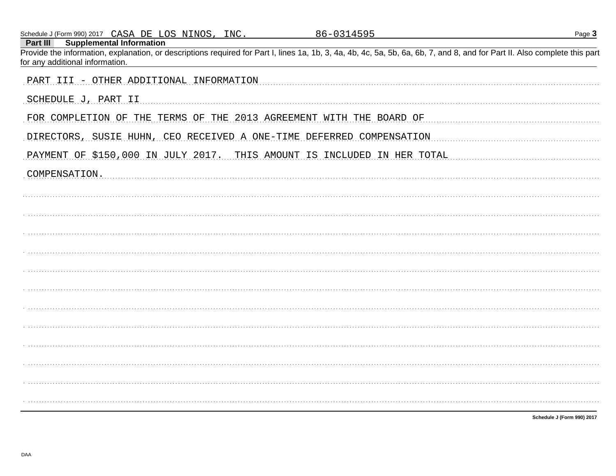| Schedule J (Form 990) 2017 CASA DE LOS NINOS, INC.                                                                                                                                                                                                           | 86-0314595 | Page 3 |
|--------------------------------------------------------------------------------------------------------------------------------------------------------------------------------------------------------------------------------------------------------------|------------|--------|
| <b>Supplemental Information</b><br>Part III<br>Provide the information, explanation, or descriptions required for Part I, lines 1a, 1b, 3, 4a, 4b, 4c, 5a, 5b, 6a, 6b, 7, and 8, and for Part II. Also complete this part<br>for any additional information. |            |        |
| PART III - OTHER ADDITIONAL INFORMATION                                                                                                                                                                                                                      |            |        |
| SCHEDULE J, PART II                                                                                                                                                                                                                                          |            |        |
| FOR COMPLETION OF THE TERMS OF THE 2013 AGREEMENT WITH THE BOARD OF                                                                                                                                                                                          |            |        |
| DIRECTORS, SUSIE HUHN, CEO RECEIVED A ONE-TIME DEFERRED COMPENSATION                                                                                                                                                                                         |            |        |
| PAYMENT OF \$150,000 IN JULY 2017. THIS AMOUNT IS INCLUDED IN HER TOTAL                                                                                                                                                                                      |            |        |
| COMPENSATION.                                                                                                                                                                                                                                                |            |        |
|                                                                                                                                                                                                                                                              |            |        |
|                                                                                                                                                                                                                                                              |            |        |
|                                                                                                                                                                                                                                                              |            |        |
|                                                                                                                                                                                                                                                              |            |        |
|                                                                                                                                                                                                                                                              |            |        |
|                                                                                                                                                                                                                                                              |            |        |
|                                                                                                                                                                                                                                                              |            |        |
|                                                                                                                                                                                                                                                              |            |        |
|                                                                                                                                                                                                                                                              |            |        |
|                                                                                                                                                                                                                                                              |            |        |
|                                                                                                                                                                                                                                                              |            |        |
|                                                                                                                                                                                                                                                              |            |        |
|                                                                                                                                                                                                                                                              |            |        |

Schedule J (Form 990) 2017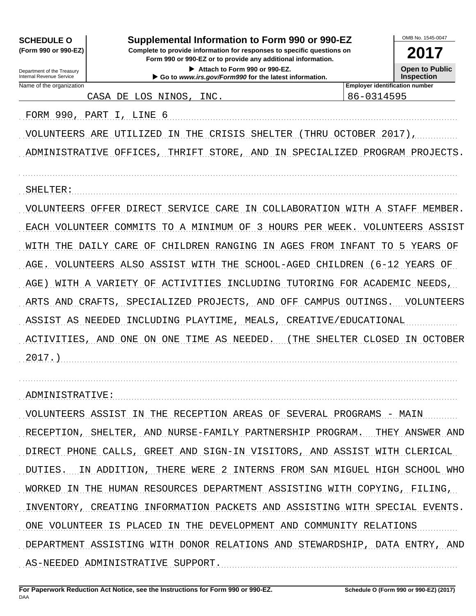| <b>SCHEDULE O</b><br>(Form 990 or 990-EZ)<br>Department of the Treasury<br>Internal Revenue Service | Supplemental Information to Form 990 or 990-EZ<br>Complete to provide information for responses to specific questions on<br>Form 990 or 990-EZ or to provide any additional information.<br>Attach to Form 990 or 990-EZ.<br>Go to www.irs.gov/Form990 for the latest information. |                               | OMB No. 1545-0047<br>2017<br><b>Open to Public</b><br><b>Inspection</b> |
|-----------------------------------------------------------------------------------------------------|------------------------------------------------------------------------------------------------------------------------------------------------------------------------------------------------------------------------------------------------------------------------------------|-------------------------------|-------------------------------------------------------------------------|
| Name of the organization                                                                            | <b>Employer identification number</b><br>86-0314595                                                                                                                                                                                                                                |                               |                                                                         |
|                                                                                                     | LOS NINOS,<br>INC.<br>CASA DE                                                                                                                                                                                                                                                      |                               |                                                                         |
| FORM 990, PART                                                                                      | LINE 6<br>$\perp$                                                                                                                                                                                                                                                                  |                               |                                                                         |
| VOLUNTEERS                                                                                          | CRISIS<br>ARE<br>UTILIZED<br>ΙN<br>THE<br>SHELTER<br>THRU                                                                                                                                                                                                                          | OCTOBER 2017),                |                                                                         |
| ADMINISTRATIVE                                                                                      | THRIFT<br>STORE,<br>OFFICES,<br><b>AND</b><br>ΙN                                                                                                                                                                                                                                   | SPECIALIZED PROGRAM PROJECTS. |                                                                         |
|                                                                                                     |                                                                                                                                                                                                                                                                                    |                               |                                                                         |
| SHELTER:                                                                                            |                                                                                                                                                                                                                                                                                    |                               |                                                                         |
| VOLUNTEERS                                                                                          | SERVICE CARE<br>COLLABORATION WITH A STAFF<br>OFFER DIRECT<br>ΙN                                                                                                                                                                                                                   |                               | MEMBER.                                                                 |
| EACH VOLUNTEER                                                                                      | 3<br>HOURS<br>COMMITS<br>TО<br>A MINIMUM<br>ΟF<br>PER                                                                                                                                                                                                                              | WEEK.<br>VOLUNTEERS           | ASSIST                                                                  |
| WITH<br>THE                                                                                         | CHILDREN RANGING<br>IN AGES FROM INFANT<br>CARE<br>OF<br>DAILY                                                                                                                                                                                                                     | -5<br>TO.                     | YEARS OF                                                                |
| AGE.                                                                                                | VOLUNTEERS ALSO<br>ASSIST WITH<br>THE<br>SCHOOL-AGED<br>CHILDREN                                                                                                                                                                                                                   | $(6 - 12)$                    | YEARS OF                                                                |
| AGE)                                                                                                | ACTIVITIES<br>WITH A VARIETY OF<br>INCLUDING                                                                                                                                                                                                                                       | TUTORING FOR ACADEMIC         | NEEDS,                                                                  |
| ARTS<br>AND                                                                                         | PROJECTS,<br>CRAFTS,<br>SPECIALIZED<br>AND<br>OFF<br>CAMPUS                                                                                                                                                                                                                        | OUTINGS.                      | VOLUNTEERS                                                              |
| ASSIST AS NEEDED                                                                                    | MEALS,<br>INCLUDING<br>PLAYTIME,                                                                                                                                                                                                                                                   | CREATIVE/EDUCATIONAL          |                                                                         |
| ACTIVITIES,                                                                                         | AND ONE ON ONE<br>TIME<br>AS<br>NEEDED.<br>THE                                                                                                                                                                                                                                     | SHELTER CLOSED                | IN OCTOBER                                                              |
| 2017.                                                                                               |                                                                                                                                                                                                                                                                                    |                               |                                                                         |
|                                                                                                     |                                                                                                                                                                                                                                                                                    |                               |                                                                         |
| ADMINISTRATIVE:                                                                                     |                                                                                                                                                                                                                                                                                    |                               |                                                                         |
|                                                                                                     | VOLUNTEERS ASSIST IN THE RECEPTION AREAS OF SEVERAL PROGRAMS - MAIN                                                                                                                                                                                                                |                               |                                                                         |
|                                                                                                     | RECEPTION, SHELTER, AND NURSE-FAMILY PARTNERSHIP PROGRAM. THEY ANSWER AND                                                                                                                                                                                                          |                               |                                                                         |
|                                                                                                     | DIRECT PHONE CALLS, GREET AND SIGN-IN VISITORS, AND ASSIST WITH CLERICAL                                                                                                                                                                                                           |                               |                                                                         |
|                                                                                                     | DUTIES. IN ADDITION, THERE WERE 2 INTERNS FROM SAN MIGUEL HIGH SCHOOL WHO                                                                                                                                                                                                          |                               |                                                                         |
|                                                                                                     | WORKED IN THE HUMAN RESOURCES DEPARTMENT ASSISTING WITH COPYING, FILING,                                                                                                                                                                                                           |                               |                                                                         |
|                                                                                                     | INVENTORY, CREATING INFORMATION PACKETS AND ASSISTING WITH SPECIAL EVENTS.                                                                                                                                                                                                         |                               |                                                                         |
|                                                                                                     | ONE VOLUNTEER IS PLACED IN THE DEVELOPMENT AND COMMUNITY RELATIONS                                                                                                                                                                                                                 |                               |                                                                         |
|                                                                                                     |                                                                                                                                                                                                                                                                                    |                               |                                                                         |
|                                                                                                     | DEPARTMENT ASSISTING WITH DONOR RELATIONS AND STEWARDSHIP, DATA ENTRY, AND                                                                                                                                                                                                         |                               |                                                                         |
|                                                                                                     | AS-NEEDED ADMINISTRATIVE SUPPORT.                                                                                                                                                                                                                                                  |                               |                                                                         |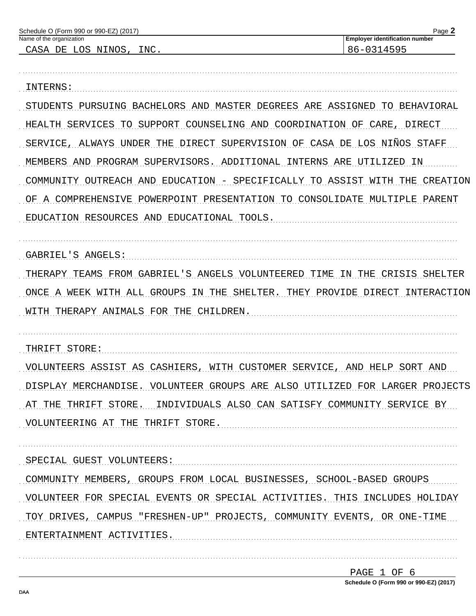| Schedule O (Form 990 or 990-EZ) (2017)<br>Name of the organization          | Page 2<br><b>Employer identification number</b> |  |
|-----------------------------------------------------------------------------|-------------------------------------------------|--|
| CASA DE LOS NINOS, INC.                                                     | 86-0314595                                      |  |
|                                                                             |                                                 |  |
| INTERNS:                                                                    |                                                 |  |
| STUDENTS PURSUING BACHELORS AND MASTER DEGREES ARE ASSIGNED TO BEHAVIORAL   |                                                 |  |
| HEALTH SERVICES TO SUPPORT COUNSELING AND COORDINATION OF CARE, DIRECT      |                                                 |  |
| SERVICE, ALWAYS UNDER THE DIRECT SUPERVISION OF CASA DE LOS NIÑOS STAFF     |                                                 |  |
| MEMBERS AND PROGRAM SUPERVISORS. ADDITIONAL INTERNS ARE UTILIZED IN         |                                                 |  |
| COMMUNITY OUTREACH AND EDUCATION - SPECIFICALLY TO ASSIST WITH THE CREATION |                                                 |  |
| OF A COMPREHENSIVE POWERPOINT PRESENTATION TO CONSOLIDATE MULTIPLE PARENT   |                                                 |  |
| EDUCATION RESOURCES AND EDUCATIONAL TOOLS.                                  |                                                 |  |
|                                                                             |                                                 |  |
| GABRIEL'S ANGELS:                                                           |                                                 |  |
| THERAPY TEAMS FROM GABRIEL'S ANGELS VOLUNTEERED TIME IN THE CRISIS SHELTER  |                                                 |  |
| ONCE A WEEK WITH ALL GROUPS IN THE SHELTER. THEY PROVIDE DIRECT INTERACTION |                                                 |  |
| WITH THERAPY ANIMALS FOR THE CHILDREN.                                      |                                                 |  |
|                                                                             |                                                 |  |
| THRIFT STORE:                                                               |                                                 |  |
| VOLUNTEERS ASSIST AS CASHIERS, WITH CUSTOMER SERVICE, AND HELP SORT AND     |                                                 |  |
| DISPLAY MERCHANDISE. VOLUNTEER GROUPS ARE ALSO UTILIZED FOR LARGER PROJECTS |                                                 |  |
| AT THE THRIFT STORE. INDIVIDUALS ALSO CAN SATISFY COMMUNITY SERVICE BY      |                                                 |  |
| VOLUNTEERING AT THE THRIFT STORE.                                           |                                                 |  |
|                                                                             |                                                 |  |
| SPECIAL GUEST VOLUNTEERS:                                                   |                                                 |  |
| COMMUNITY MEMBERS, GROUPS FROM LOCAL BUSINESSES, SCHOOL-BASED GROUPS        |                                                 |  |
| VOLUNTEER FOR SPECIAL EVENTS OR SPECIAL ACTIVITIES. THIS INCLUDES HOLIDAY   |                                                 |  |
| TOY DRIVES, CAMPUS "FRESHEN-UP" PROJECTS, COMMUNITY EVENTS, OR ONE-TIME     |                                                 |  |
| ENTERTAINMENT ACTIVITIES.                                                   |                                                 |  |
|                                                                             |                                                 |  |
|                                                                             |                                                 |  |

| PAGE 1 OF 6 |  |                                        |
|-------------|--|----------------------------------------|
|             |  | Schedule O (Form 990 or 990-EZ) (2017) |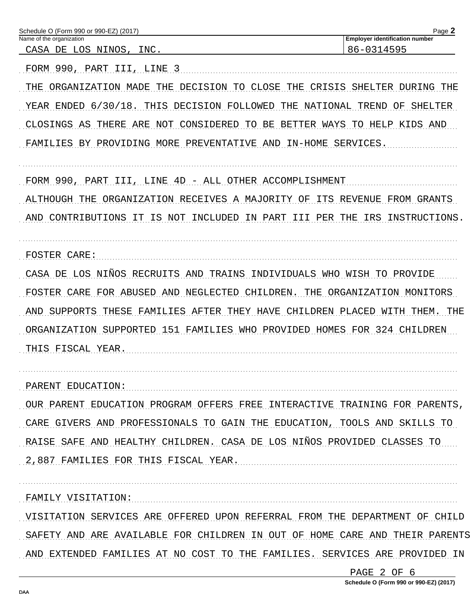| Schedule O (Form 990 or 990-EZ) (2017)<br>Name of the organization          | Page 2<br><b>Employer identification number</b> |
|-----------------------------------------------------------------------------|-------------------------------------------------|
| CASA DE LOS NINOS, INC.                                                     | 86-0314595                                      |
| FORM 990, PART III, LINE 3                                                  |                                                 |
| ORGANIZATION MADE THE DECISION TO CLOSE THE CRISIS                          | SHELTER DURING THE                              |
| YEAR ENDED 6/30/18. THIS DECISION FOLLOWED THE NATIONAL TREND OF SHELTER    |                                                 |
| CLOSINGS AS<br>THERE ARE NOT CONSIDERED TO BE                               | BETTER WAYS TO HELP KIDS AND                    |
| FAMILIES BY PROVIDING MORE PREVENTATIVE AND IN-HOME SERVICES.               |                                                 |
| FORM 990,<br>PART III, LINE 4D - ALL OTHER ACCOMPLISHMENT                   |                                                 |
| ORGANIZATION RECEIVES A MAJORITY OF<br>ALTHOUGH THE                         | ITS REVENUE FROM GRANTS                         |
| AND CONTRIBUTIONS IT IS NOT INCLUDED                                        | IRS INSTRUCTIONS.<br>IN PART III PER THE        |
| FOSTER CARE:                                                                |                                                 |
| CASA DE LOS NIÑOS RECRUITS AND TRAINS INDIVIDUALS WHO WISH TO PROVIDE       |                                                 |
| FOR ABUSED AND NEGLECTED CHILDREN.<br>FOSTER CARE                           | THE<br>ORGANIZATION MONITORS                    |
| AND SUPPORTS THESE FAMILIES AFTER THEY HAVE CHILDREN PLACED WITH THEM. THE  |                                                 |
| ORGANIZATION SUPPORTED 151 FAMILIES WHO PROVIDED HOMES FOR 324 CHILDREN     |                                                 |
| THIS FISCAL YEAR.                                                           |                                                 |
| PARENT EDUCATION:                                                           |                                                 |
| OUR PARENT EDUCATION PROGRAM OFFERS FREE INTERACTIVE TRAINING FOR PARENTS,  |                                                 |
| CARE GIVERS AND PROFESSIONALS TO GAIN THE EDUCATION, TOOLS AND SKILLS TO    |                                                 |
| RAISE SAFE AND HEALTHY CHILDREN. CASA DE LOS NIÑOS PROVIDED CLASSES TO      |                                                 |
| 2,887 FAMILIES FOR THIS FISCAL YEAR.                                        |                                                 |
| FAMILY VISITATION:                                                          |                                                 |
| VISITATION SERVICES ARE OFFERED UPON REFERRAL FROM THE DEPARTMENT OF CHILD  |                                                 |
| SAFETY AND ARE AVAILABLE FOR CHILDREN IN OUT OF HOME CARE AND THEIR PARENTS |                                                 |

AND EXTENDED FAMILIES AT NO COST TO THE FAMILIES. SERVICES ARE PROVIDED IN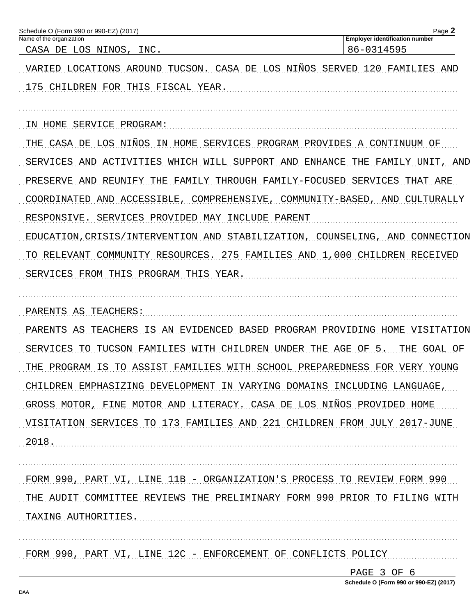| Schedule O (Form 990 or 990-EZ) (2017)<br>Name of the organization                   | Page 2<br><b>Employer identification number</b> |
|--------------------------------------------------------------------------------------|-------------------------------------------------|
| CASA DE LOS NINOS, INC.                                                              | 86-0314595                                      |
| VARIED LOCATIONS AROUND TUCSON. CASA DE LOS NIÑOS SERVED 120 FAMILIES AND            |                                                 |
| 175 CHILDREN FOR THIS FISCAL YEAR.                                                   |                                                 |
|                                                                                      |                                                 |
| IN HOME SERVICE PROGRAM:                                                             |                                                 |
| THE CASA DE LOS NIÑOS IN HOME SERVICES PROGRAM PROVIDES A CONTINUUM OF               |                                                 |
| SERVICES AND ACTIVITIES WHICH WILL SUPPORT AND ENHANCE THE FAMILY UNIT, AND          |                                                 |
| PRESERVE AND REUNIFY THE FAMILY THROUGH FAMILY-FOCUSED SERVICES THAT ARE             |                                                 |
| COORDINATED<br>AND ACCESSIBLE, COMPREHENSIVE, COMMUNITY-BASED, AND CULTURALLY        |                                                 |
| RESPONSIVE.<br>SERVICES PROVIDED MAY INCLUDE PARENT                                  |                                                 |
| EDUCATION, CRISIS/INTERVENTION AND STABILIZATION, COUNSELING, AND CONNECTION         |                                                 |
| COMMUNITY RESOURCES. 275 FAMILIES AND 1,000 CHILDREN RECEIVED<br>TO RELEVANT         |                                                 |
| SERVICES FROM THIS PROGRAM THIS YEAR.                                                |                                                 |
|                                                                                      |                                                 |
| PARENTS AS TEACHERS:                                                                 |                                                 |
| TEACHERS<br>IS AN EVIDENCED BASED PROGRAM PROVIDING HOME VISITATION<br>PARENTS<br>AS |                                                 |
| TUCSON FAMILIES WITH CHILDREN<br>UNDER THE AGE OF<br>SERVICES<br>TO                  | 5.<br>THE GOAL OF                               |
| TO ASSIST FAMILIES WITH SCHOOL PREPAREDNESS FOR VERY YOUNG<br>THE PROGRAM IS         |                                                 |
| CHILDREN EMPHASIZING DEVELOPMENT IN VARYING DOMAINS INCLUDING LANGUAGE,              |                                                 |
| GROSS MOTOR, FINE MOTOR AND LITERACY. CASA DE LOS NIÑOS PROVIDED HOME                |                                                 |
| VISITATION SERVICES TO 173 FAMILIES AND 221 CHILDREN FROM JULY 2017-JUNE             |                                                 |
| 2018.                                                                                |                                                 |
|                                                                                      |                                                 |
| FORM 990, PART VI, LINE 11B - ORGANIZATION'S PROCESS TO REVIEW FORM 990              |                                                 |
| THE AUDIT COMMITTEE REVIEWS THE PRELIMINARY FORM 990 PRIOR TO FILING WITH            |                                                 |
| TAXING AUTHORITIES.                                                                  |                                                 |
|                                                                                      |                                                 |
| FORM 990, PART VI, LINE 12C - ENFORCEMENT OF CONFLICTS POLICY                        |                                                 |

PAGE 3 OF 6 Schedule O (Form 990 or 990-EZ) (2017)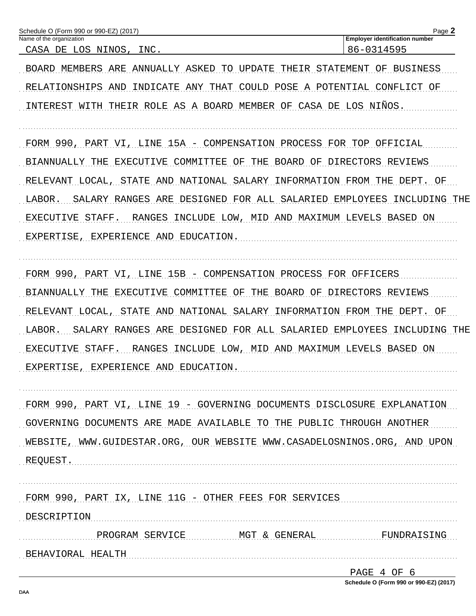| Schedule O (Form 990 or 990-EZ) (2017)<br>Name of the organization            | Page 2<br><b>Employer identification number</b> |
|-------------------------------------------------------------------------------|-------------------------------------------------|
| CASA DE LOS NINOS, INC.                                                       | 86-0314595                                      |
| BOARD MEMBERS ARE ANNUALLY ASKED TO UPDATE THEIR STATEMENT OF BUSINESS        |                                                 |
| RELATIONSHIPS AND INDICATE ANY THAT COULD POSE A POTENTIAL CONFLICT OF        |                                                 |
| INTEREST WITH THEIR ROLE AS A BOARD MEMBER OF CASA DE LOS NIÑOS.              |                                                 |
| FORM 990, PART VI, LINE 15A - COMPENSATION PROCESS FOR TOP OFFICIAL           |                                                 |
| BIANNUALLY THE EXECUTIVE COMMITTEE OF THE BOARD OF DIRECTORS REVIEWS          |                                                 |
| RELEVANT LOCAL, STATE AND NATIONAL SALARY INFORMATION FROM THE DEPT. OF       |                                                 |
| SALARY RANGES ARE DESIGNED FOR ALL SALARIED EMPLOYEES INCLUDING THE<br>LABOR. |                                                 |
| RANGES INCLUDE LOW, MID AND MAXIMUM LEVELS BASED ON<br>EXECUTIVE STAFF.       |                                                 |
| EXPERTISE, EXPERIENCE AND EDUCATION.                                          |                                                 |
|                                                                               |                                                 |
| FORM 990, PART VI, LINE 15B - COMPENSATION PROCESS FOR OFFICERS               |                                                 |
| BIANNUALLY THE EXECUTIVE COMMITTEE OF THE BOARD OF DIRECTORS REVIEWS          |                                                 |
| RELEVANT LOCAL, STATE AND NATIONAL SALARY INFORMATION FROM THE DEPT. OF       |                                                 |
| SALARY RANGES ARE DESIGNED FOR ALL SALARIED EMPLOYEES INCLUDING THE<br>LABOR. |                                                 |
| RANGES INCLUDE LOW, MID AND MAXIMUM LEVELS BASED ON<br>EXECUTIVE STAFF.       |                                                 |
| EXPERTISE, EXPERIENCE AND EDUCATION.                                          |                                                 |
|                                                                               |                                                 |
| FORM 990, PART VI, LINE 19 - GOVERNING DOCUMENTS DISCLOSURE EXPLANATION       |                                                 |
| GOVERNING DOCUMENTS ARE MADE AVAILABLE TO THE PUBLIC THROUGH ANOTHER          |                                                 |
| WEBSITE, WWW.GUIDESTAR.ORG, OUR WEBSITE WWW.CASADELOSNINOS.ORG, AND UPON      |                                                 |
| REQUEST.                                                                      |                                                 |
|                                                                               |                                                 |
| FORM 990, PART IX, LINE 11G - OTHER FEES FOR SERVICES                         |                                                 |
| DESCRIPTION                                                                   |                                                 |
| PROGRAM SERVICE MGT & GENERAL FUNDRAISING                                     |                                                 |
| BEHAVIORAL HEALTH                                                             |                                                 |

| PAGE 4 OF 6                            |  |  |  |
|----------------------------------------|--|--|--|
| Schedule O (Form 990 or 990-EZ) (2017) |  |  |  |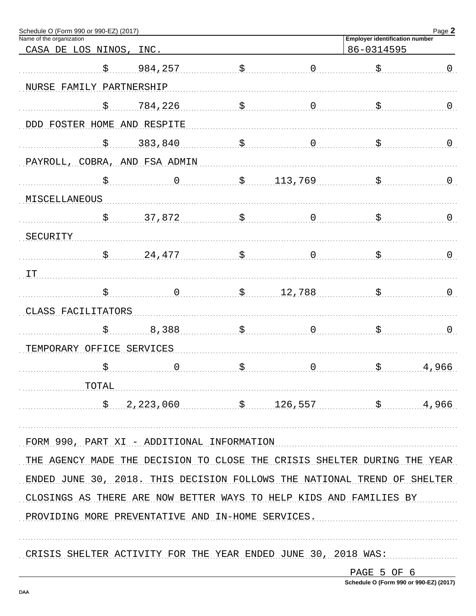| Schedule O (Form 990 or 990-EZ) (2017)<br>Name of the organization                                         |                                                 |    |             | <b>Employer identification number</b> | Page 2         |
|------------------------------------------------------------------------------------------------------------|-------------------------------------------------|----|-------------|---------------------------------------|----------------|
| CASA DE LOS NINOS, INC.                                                                                    |                                                 |    |             | 86-0314595                            |                |
| \$                                                                                                         | 984,257                                         | \$ | 0           |                                       | $\overline{0}$ |
| NURSE FAMILY PARTNERSHIP                                                                                   |                                                 |    |             |                                       |                |
|                                                                                                            |                                                 |    |             |                                       |                |
| \$                                                                                                         | 784,226                                         | \$ | 0           |                                       | $\overline{0}$ |
| DDD FOSTER HOME AND RESPITE                                                                                |                                                 |    |             |                                       |                |
| \$                                                                                                         | 383,840                                         | \$ | 0           |                                       | $\overline{0}$ |
| PAYROLL, COBRA, AND FSA ADMIN                                                                              |                                                 |    |             |                                       |                |
| \$                                                                                                         | 0                                               | \$ | 113,769     |                                       | $\mathsf{O}$   |
| MISCELLANEOUS                                                                                              |                                                 |    |             |                                       |                |
| \$                                                                                                         | 37,872                                          | \$ | 0           |                                       | $\overline{0}$ |
| SECURITY                                                                                                   |                                                 |    |             |                                       |                |
| \$                                                                                                         | 24,477                                          | \$ | 0           |                                       | $\mathsf{O}$   |
| IT                                                                                                         |                                                 |    |             |                                       |                |
| \$                                                                                                         |                                                 | \$ | 12,788      |                                       | $\overline{0}$ |
| CLASS FACILITATORS                                                                                         |                                                 |    |             |                                       |                |
| \$                                                                                                         | 8,388                                           | Ś  | 0           |                                       | 0              |
| TEMPORARY OFFICE SERVICES                                                                                  |                                                 |    |             |                                       |                |
|                                                                                                            |                                                 |    | $\mathbf 0$ |                                       |                |
|                                                                                                            |                                                 |    |             |                                       | 4,966          |
| $\begin{minipage}{.4\linewidth} \begin{tabular}{l} \bf TOTAL \\ \bf TOTAL \\ \end{tabular} \end{minipage}$ |                                                 |    |             |                                       |                |
|                                                                                                            | $\frac{126,557}{2,223,060}$ \$ 126,557 \$ 4,966 |    |             |                                       |                |
| FORM 990, PART XI - ADDITIONAL INFORMATION                                                                 |                                                 |    |             |                                       |                |
| THE AGENCY MADE THE DECISION TO CLOSE THE CRISIS SHELTER DURING THE YEAR                                   |                                                 |    |             |                                       |                |
|                                                                                                            |                                                 |    |             |                                       |                |
| ENDED JUNE 30, 2018. THIS DECISION FOLLOWS THE NATIONAL TREND OF SHELTER                                   |                                                 |    |             |                                       |                |
| CLOSINGS AS THERE ARE NOW BETTER WAYS TO HELP KIDS AND FAMILIES BY                                         |                                                 |    |             |                                       |                |
| PROVIDING MORE PREVENTATIVE AND IN-HOME SERVICES.                                                          |                                                 |    |             |                                       |                |
|                                                                                                            |                                                 |    |             |                                       |                |
| CRISIS SHELTER ACTIVITY FOR THE YEAR ENDED JUNE 30, 2018 WAS:                                              |                                                 |    |             |                                       |                |

PAGE 5 OF 6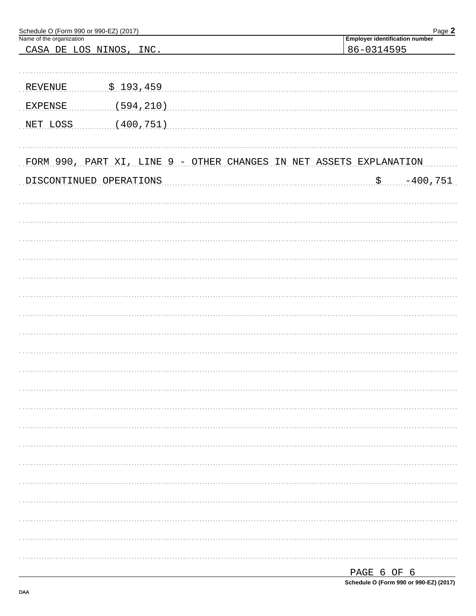| Schedule O (Form 990 or 990-EZ) (2017)<br>Name of the organization  |                  |  |                                                     | Page 2      |
|---------------------------------------------------------------------|------------------|--|-----------------------------------------------------|-------------|
| CASA DE LOS NINOS, INC.                                             |                  |  | <b>Employer identification number</b><br>86-0314595 |             |
|                                                                     |                  |  |                                                     |             |
|                                                                     |                  |  |                                                     |             |
| REVENUE                                                             | <u>\$193,459</u> |  |                                                     |             |
| <b>EXPENSE</b>                                                      | (594, 210)       |  |                                                     |             |
| NET LOSS                                                            | (400, 751)       |  |                                                     |             |
| FORM 990, PART XI, LINE 9 - OTHER CHANGES IN NET ASSETS EXPLANATION |                  |  |                                                     |             |
| DISCONTINUED OPERATIONS                                             |                  |  | \$.                                                 | $-400, 751$ |
|                                                                     |                  |  |                                                     |             |
|                                                                     |                  |  |                                                     |             |
|                                                                     |                  |  |                                                     |             |
|                                                                     |                  |  |                                                     |             |
|                                                                     |                  |  |                                                     |             |
|                                                                     |                  |  |                                                     |             |
|                                                                     |                  |  |                                                     |             |
|                                                                     |                  |  |                                                     |             |
|                                                                     |                  |  |                                                     |             |
|                                                                     |                  |  |                                                     |             |
|                                                                     |                  |  |                                                     |             |
|                                                                     |                  |  |                                                     |             |
|                                                                     |                  |  |                                                     |             |
|                                                                     |                  |  |                                                     |             |
|                                                                     |                  |  |                                                     |             |
|                                                                     |                  |  |                                                     |             |
|                                                                     |                  |  |                                                     |             |
|                                                                     |                  |  |                                                     |             |
|                                                                     |                  |  |                                                     |             |
|                                                                     |                  |  |                                                     |             |
|                                                                     |                  |  |                                                     |             |
|                                                                     |                  |  |                                                     |             |
|                                                                     |                  |  |                                                     |             |

| PAGE 6 OF 6 |  |                                        |
|-------------|--|----------------------------------------|
|             |  | Schedule O (Form 990 or 990-EZ) (2017) |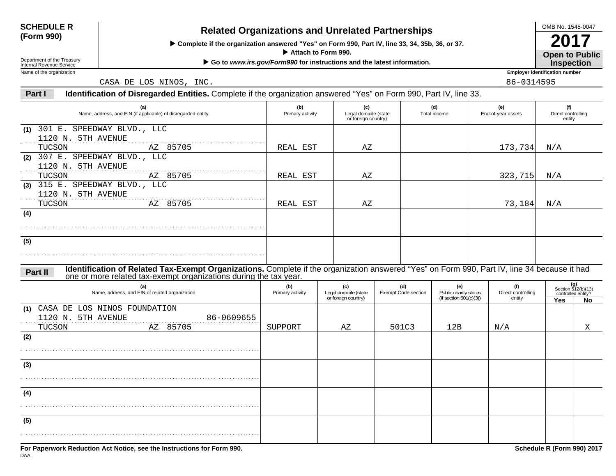## **SCHEDULE R**

# **(Form 990) Related Organizations and Unrelated Partnerships**

 **Complete if the organization answered "Yes" on Form 990, Part IV, line 33, 34, 35b, 36, or 37.**

 **Attach to Form 990.**

▶ Go to *www.irs.gov/Form990* for instructions and the latest information.

Department of the Treasury Internal Revenue ServiceName of the organization

DAA

CASA DE LOS NINOS, INC.  $\begin{array}{|l|l|} \hline \end{array}$  86-0314595

#### **Part IIdentification of Disregarded Entities.** Complete if the organization answered "Yes" on Form 990, Part IV, line 33.

| (a)<br>Name, address, and EIN (if applicable) of disregarded entity                                                                                                                                                          | (b)<br>Primary activity | (c)<br>Legal domicile (state<br>or foreign country) |                            | (d)<br>Total income          | (e)<br>End-of-year assets    | (f)<br>Direct controlling<br>entity |                                                   |
|------------------------------------------------------------------------------------------------------------------------------------------------------------------------------------------------------------------------------|-------------------------|-----------------------------------------------------|----------------------------|------------------------------|------------------------------|-------------------------------------|---------------------------------------------------|
| (1) 301 E. SPEEDWAY BLVD., LLC                                                                                                                                                                                               |                         |                                                     |                            |                              |                              |                                     |                                                   |
| 1120 N. 5TH AVENUE                                                                                                                                                                                                           |                         |                                                     |                            |                              |                              |                                     |                                                   |
| AZ 85705<br>TUCSON                                                                                                                                                                                                           | REAL EST                | ΑZ                                                  |                            |                              | 173,734                      | N/A                                 |                                                   |
| (2) 307 E. SPEEDWAY BLVD., LLC                                                                                                                                                                                               |                         |                                                     |                            |                              |                              |                                     |                                                   |
| 1120 N. 5TH AVENUE                                                                                                                                                                                                           |                         |                                                     |                            |                              |                              |                                     |                                                   |
| AZ 85705<br>TUCSON                                                                                                                                                                                                           | REAL EST                | ΑZ                                                  |                            |                              | 323,715                      | N/A                                 |                                                   |
| (3) 315 E. SPEEDWAY BLVD., LLC                                                                                                                                                                                               |                         |                                                     |                            |                              |                              |                                     |                                                   |
| 1120 N. 5TH AVENUE                                                                                                                                                                                                           |                         |                                                     |                            |                              |                              |                                     |                                                   |
| AZ 85705<br>TUCSON                                                                                                                                                                                                           | REAL EST                | ΑZ                                                  |                            |                              | 73,184                       | N/A                                 |                                                   |
| (4)                                                                                                                                                                                                                          |                         |                                                     |                            |                              |                              |                                     |                                                   |
|                                                                                                                                                                                                                              |                         |                                                     |                            |                              |                              |                                     |                                                   |
|                                                                                                                                                                                                                              |                         |                                                     |                            |                              |                              |                                     |                                                   |
| (5)                                                                                                                                                                                                                          |                         |                                                     |                            |                              |                              |                                     |                                                   |
|                                                                                                                                                                                                                              |                         |                                                     |                            |                              |                              |                                     |                                                   |
|                                                                                                                                                                                                                              |                         |                                                     |                            |                              |                              |                                     |                                                   |
| Identification of Related Tax-Exempt Organizations. Complete if the organization answered "Yes" on Form 990, Part IV, line 34 because it had<br>Part II<br>one or more related tax-exempt organizations during the tax year. |                         |                                                     |                            |                              |                              |                                     |                                                   |
| (a)                                                                                                                                                                                                                          | (b)                     | (c)<br>Legal domicile (state                        | (d)                        | (e)<br>Public charity status | (f)                          |                                     | $(g)$<br>Section 512(b)(13)<br>controlled entity? |
| Name, address, and EIN of related organization                                                                                                                                                                               | Primary activity        | or foreign country)                                 | <b>Exempt Code section</b> | (if section $501(c)(3)$ )    | Direct controlling<br>entity | <b>Yes</b>                          | No                                                |
| (1) CASA DE LOS NINOS FOUNDATION                                                                                                                                                                                             |                         |                                                     |                            |                              |                              |                                     |                                                   |
| 1120 N. 5TH AVENUE<br>86-0609655                                                                                                                                                                                             |                         |                                                     |                            |                              |                              |                                     |                                                   |
| AZ 85705<br>TUCSON                                                                                                                                                                                                           | SUPPORT                 | ΑZ                                                  | 501C3                      | 12B                          | N/A                          |                                     | Χ                                                 |
| (2)                                                                                                                                                                                                                          |                         |                                                     |                            |                              |                              |                                     |                                                   |
|                                                                                                                                                                                                                              |                         |                                                     |                            |                              |                              |                                     |                                                   |
|                                                                                                                                                                                                                              |                         |                                                     |                            |                              |                              |                                     |                                                   |
| (3)                                                                                                                                                                                                                          |                         |                                                     |                            |                              |                              |                                     |                                                   |
|                                                                                                                                                                                                                              |                         |                                                     |                            |                              |                              |                                     |                                                   |
|                                                                                                                                                                                                                              |                         |                                                     |                            |                              |                              |                                     |                                                   |
| (4)                                                                                                                                                                                                                          |                         |                                                     |                            |                              |                              |                                     |                                                   |
|                                                                                                                                                                                                                              |                         |                                                     |                            |                              |                              |                                     |                                                   |
|                                                                                                                                                                                                                              |                         |                                                     |                            |                              |                              |                                     |                                                   |
| (5)                                                                                                                                                                                                                          |                         |                                                     |                            |                              |                              |                                     |                                                   |
|                                                                                                                                                                                                                              |                         |                                                     |                            |                              |                              |                                     |                                                   |
|                                                                                                                                                                                                                              |                         |                                                     |                            |                              |                              |                                     |                                                   |
| For Paperwork Reduction Act Notice, see the Instructions for Form 990.                                                                                                                                                       |                         |                                                     |                            |                              |                              | Schedule R (Form 990) 2017          |                                                   |

**Open to Public 2017Inspection**

**Employer identification number**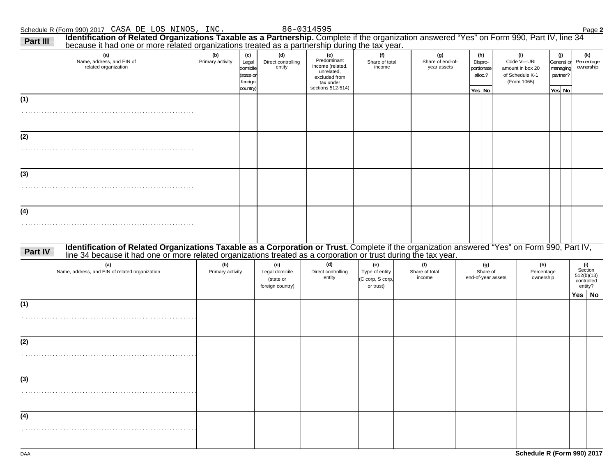| (a)<br>Name, address, and EIN of<br>related organization                                                                                                                                                                                                                                | (b)<br>Primary activity | (c)<br>Legal<br>domicile        | (d)<br>Direct controlling<br>entity                    | (e)<br>Predominant<br>income (related,                        | (f)<br>Share of total<br>income                        | (g)<br>Share of end-of-<br>year assets | (h)<br>Dispro-<br>oortionate          | (i)<br>Code V-UBI<br>amount in box 20 | (j)<br>General or<br>managing |        | (k)<br>Percentage<br>ownership                        |
|-----------------------------------------------------------------------------------------------------------------------------------------------------------------------------------------------------------------------------------------------------------------------------------------|-------------------------|---------------------------------|--------------------------------------------------------|---------------------------------------------------------------|--------------------------------------------------------|----------------------------------------|---------------------------------------|---------------------------------------|-------------------------------|--------|-------------------------------------------------------|
|                                                                                                                                                                                                                                                                                         |                         | state or<br>foreign<br>country) |                                                        | unrelated,<br>excluded from<br>tax under<br>sections 512-514) |                                                        |                                        | alloc.?<br>Yes No                     | of Schedule K-1<br>(Form 1065)        | partner?<br>Yes No            |        |                                                       |
| (1)                                                                                                                                                                                                                                                                                     |                         |                                 |                                                        |                                                               |                                                        |                                        |                                       |                                       |                               |        |                                                       |
|                                                                                                                                                                                                                                                                                         |                         |                                 |                                                        |                                                               |                                                        |                                        |                                       |                                       |                               |        |                                                       |
| (2)                                                                                                                                                                                                                                                                                     |                         |                                 |                                                        |                                                               |                                                        |                                        |                                       |                                       |                               |        |                                                       |
|                                                                                                                                                                                                                                                                                         |                         |                                 |                                                        |                                                               |                                                        |                                        |                                       |                                       |                               |        |                                                       |
| (3)                                                                                                                                                                                                                                                                                     |                         |                                 |                                                        |                                                               |                                                        |                                        |                                       |                                       |                               |        |                                                       |
|                                                                                                                                                                                                                                                                                         |                         |                                 |                                                        |                                                               |                                                        |                                        |                                       |                                       |                               |        |                                                       |
|                                                                                                                                                                                                                                                                                         |                         |                                 |                                                        |                                                               |                                                        |                                        |                                       |                                       |                               |        |                                                       |
|                                                                                                                                                                                                                                                                                         |                         |                                 |                                                        |                                                               |                                                        |                                        |                                       |                                       |                               |        |                                                       |
|                                                                                                                                                                                                                                                                                         |                         |                                 |                                                        |                                                               |                                                        |                                        |                                       |                                       |                               |        |                                                       |
|                                                                                                                                                                                                                                                                                         |                         |                                 |                                                        |                                                               |                                                        |                                        |                                       |                                       |                               |        |                                                       |
| Identification of Related Organizations Taxable as a Corporation or Trust. Complete if the organization answered "Yes" on Form 990, Part IV, line 34 because it had one or more related organizations treated as a corporation<br>(a)<br>Name, address, and EIN of related organization | (b)<br>Primary activity |                                 | (c)<br>Legal domicile<br>(state or<br>foreign country) | (d)<br>Direct controlling<br>entity                           | (e)<br>Type of entity<br>(C corp, S corp,<br>or trust) | (f)<br>Share of total<br>income        | (g)<br>Share of<br>end-of-year assets | (h)<br>Percentage<br>ownership        |                               |        | (i)<br>Section<br>512(b)(13)<br>controlled<br>entity? |
|                                                                                                                                                                                                                                                                                         |                         |                                 |                                                        |                                                               |                                                        |                                        |                                       |                                       |                               | Yes No |                                                       |
|                                                                                                                                                                                                                                                                                         |                         |                                 |                                                        |                                                               |                                                        |                                        |                                       |                                       |                               |        |                                                       |
|                                                                                                                                                                                                                                                                                         |                         |                                 |                                                        |                                                               |                                                        |                                        |                                       |                                       |                               |        |                                                       |
|                                                                                                                                                                                                                                                                                         |                         |                                 |                                                        |                                                               |                                                        |                                        |                                       |                                       |                               |        |                                                       |
|                                                                                                                                                                                                                                                                                         |                         |                                 |                                                        |                                                               |                                                        |                                        |                                       |                                       |                               |        |                                                       |
|                                                                                                                                                                                                                                                                                         |                         |                                 |                                                        |                                                               |                                                        |                                        |                                       |                                       |                               |        |                                                       |
|                                                                                                                                                                                                                                                                                         |                         |                                 |                                                        |                                                               |                                                        |                                        |                                       |                                       |                               |        |                                                       |
| (4)<br>Part IV<br>(1)<br>(2)<br>(3)<br>(4)                                                                                                                                                                                                                                              |                         |                                 |                                                        |                                                               |                                                        |                                        |                                       |                                       |                               |        |                                                       |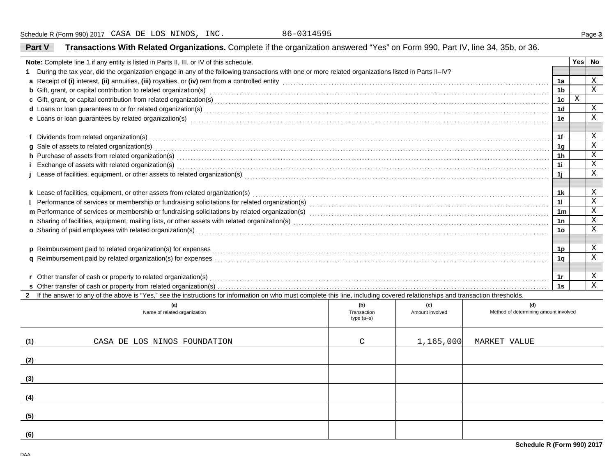**Part V**

**Transactions With Related Organizations.** Complete if the organization answered "Yes" on Form 990, Part IV, line 34, 35b, or 36.

| Note: Complete line 1 if any entity is listed in Parts II, III, or IV of this schedule.                                                                                                                                                                                                                                                                                          |                            |                 |                                       |                | <b>Yes</b> | No          |
|----------------------------------------------------------------------------------------------------------------------------------------------------------------------------------------------------------------------------------------------------------------------------------------------------------------------------------------------------------------------------------|----------------------------|-----------------|---------------------------------------|----------------|------------|-------------|
| 1 During the tax year, did the organization engage in any of the following transactions with one or more related organizations listed in Parts II-IV?                                                                                                                                                                                                                            |                            |                 |                                       | 1a             |            | Χ           |
| a Receipt of (i) interest, (ii) annuities, (iii) royalties, or (iv) rent from a controlled entity [1] controlled entity [1] controlled entity controlled entity contains and the substitution of (i) interest, (ii) annuities,                                                                                                                                                   |                            |                 |                                       |                |            |             |
| <b>b</b> Gift, grant, or capital contribution to related organization(s) encourse consumed and consumed contribution to related organization(s)                                                                                                                                                                                                                                  |                            |                 |                                       | 1 <sub>b</sub> | $\,$ X     | $\mathbf X$ |
|                                                                                                                                                                                                                                                                                                                                                                                  |                            |                 |                                       | 1 <sub>c</sub> |            | $\mathbf X$ |
|                                                                                                                                                                                                                                                                                                                                                                                  |                            |                 |                                       | 1d             |            | $\mathbf X$ |
| e Loans or loan guarantees by related organization(s) encourance contained and contained and contained and contained and contained and contained and contained and contained and contained and contained and contained and con                                                                                                                                                   |                            |                 |                                       | 1е             |            |             |
| f Dividends from related organization(s)                                                                                                                                                                                                                                                                                                                                         |                            |                 |                                       | 1f             |            | Χ           |
|                                                                                                                                                                                                                                                                                                                                                                                  |                            |                 |                                       | 1 <sub>q</sub> |            | $\mathbf X$ |
| g Sale of assets to related organization(s) encourance contains a substantial container and state of assets to related organization(s)                                                                                                                                                                                                                                           |                            |                 |                                       | 1h             |            | $\mathbf X$ |
| h Purchase of assets from related organization(s) encourance contains and contains a container and container and container and container and container and container and container and container and container and container a<br>i Exchange of assets with related organization(s) encountled assess that contain a substantial exchange of assets with related organization(s) |                            |                 |                                       | 1i.            |            | $\mathbf X$ |
| j Lease of facilities, equipment, or other assets to related organization(s) Materian and the content content of facilities, equipment, or other assets to related organization(s) encontent and content and content and conte                                                                                                                                                   |                            |                 |                                       | 1i             |            | $\mathbf X$ |
|                                                                                                                                                                                                                                                                                                                                                                                  |                            |                 |                                       |                |            |             |
| k Lease of facilities, equipment, or other assets from related organization(s)                                                                                                                                                                                                                                                                                                   |                            |                 |                                       | 1k             |            | X           |
|                                                                                                                                                                                                                                                                                                                                                                                  |                            |                 |                                       | 11             |            | $\mathbf X$ |
|                                                                                                                                                                                                                                                                                                                                                                                  |                            |                 |                                       | 1 <sub>m</sub> |            | $\mathbf X$ |
|                                                                                                                                                                                                                                                                                                                                                                                  |                            |                 |                                       | 1n             |            | $\mathbf X$ |
| o Sharing of paid employees with related organization(s)                                                                                                                                                                                                                                                                                                                         |                            |                 |                                       | 1о             |            | X           |
|                                                                                                                                                                                                                                                                                                                                                                                  |                            |                 |                                       |                |            |             |
|                                                                                                                                                                                                                                                                                                                                                                                  |                            |                 |                                       | 1p             |            | X           |
|                                                                                                                                                                                                                                                                                                                                                                                  |                            |                 |                                       | 1 <sub>q</sub> |            | $\mathbf X$ |
|                                                                                                                                                                                                                                                                                                                                                                                  |                            |                 |                                       |                |            |             |
|                                                                                                                                                                                                                                                                                                                                                                                  |                            |                 |                                       | 1r             |            | X           |
|                                                                                                                                                                                                                                                                                                                                                                                  |                            |                 |                                       | 1s             |            | $\mathbf x$ |
| 2 If the answer to any of the above is "Yes," see the instructions for information on who must complete this line, including covered relationships and transaction thresholds.                                                                                                                                                                                                   |                            |                 |                                       |                |            |             |
| (a)                                                                                                                                                                                                                                                                                                                                                                              | (b)                        | (c)             | (d)                                   |                |            |             |
| Name of related organization                                                                                                                                                                                                                                                                                                                                                     | Transaction<br>$type(a-s)$ | Amount involved | Method of determining amount involved |                |            |             |
|                                                                                                                                                                                                                                                                                                                                                                                  |                            |                 |                                       |                |            |             |
|                                                                                                                                                                                                                                                                                                                                                                                  |                            |                 |                                       |                |            |             |
| CASA DE LOS NINOS FOUNDATION<br>(1)                                                                                                                                                                                                                                                                                                                                              | C                          | 1,165,000       | <b>MARKET VALUE</b>                   |                |            |             |
|                                                                                                                                                                                                                                                                                                                                                                                  |                            |                 |                                       |                |            |             |
| (2)                                                                                                                                                                                                                                                                                                                                                                              |                            |                 |                                       |                |            |             |
| (3)                                                                                                                                                                                                                                                                                                                                                                              |                            |                 |                                       |                |            |             |
|                                                                                                                                                                                                                                                                                                                                                                                  |                            |                 |                                       |                |            |             |
| (4)                                                                                                                                                                                                                                                                                                                                                                              |                            |                 |                                       |                |            |             |
|                                                                                                                                                                                                                                                                                                                                                                                  |                            |                 |                                       |                |            |             |
| (5)                                                                                                                                                                                                                                                                                                                                                                              |                            |                 |                                       |                |            |             |
|                                                                                                                                                                                                                                                                                                                                                                                  |                            |                 |                                       |                |            |             |
| (6)                                                                                                                                                                                                                                                                                                                                                                              |                            |                 |                                       |                |            |             |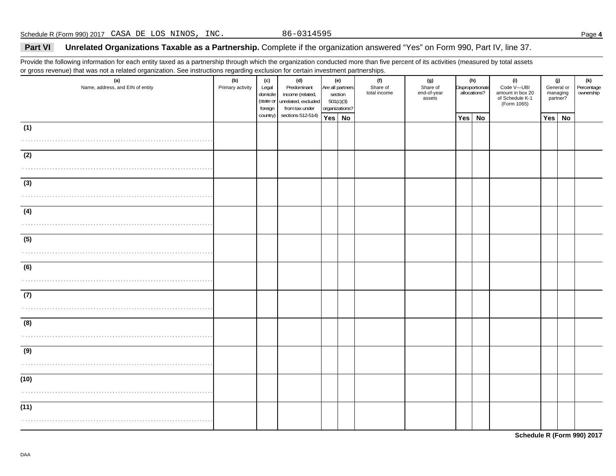## **Part VI Unrelated Organizations Taxable as a Partnership.** Complete if the organization answered "Yes" on Form 990, Part IV, line 37.

Provide the following information for each entity taxed as a partnership through which the organization conducted more than five percent of its activities (measured by total assets or gross revenue) that was not a related organization. See instructions regarding exclusion for certain investment partnerships.

| (a)<br>Name, address, and EIN of entity | ັ<br>(b)<br>Primary activity | (c)<br>Legal<br>domicile<br>foreign | (d)<br>Predominant<br>income (related,<br>(state or unrelated, excluded<br>from tax under | (e)<br>Are all partners<br>section<br>501(c)(3)<br>organizations? | (f)<br>Share of<br>total income | (g)<br>Share of<br>end-of-year<br>assets | Disproportionate | (h)<br>allocations? | (i)<br>Code V-UBI<br>amount in box 20<br>of Schedule K-1<br>(Form 1065) |            | (j)<br>General or<br>managing<br>partner? | (k)<br>Percentage<br>ownership |
|-----------------------------------------|------------------------------|-------------------------------------|-------------------------------------------------------------------------------------------|-------------------------------------------------------------------|---------------------------------|------------------------------------------|------------------|---------------------|-------------------------------------------------------------------------|------------|-------------------------------------------|--------------------------------|
|                                         |                              | country)                            | sections 512-514)                                                                         | Yes No                                                            |                                 |                                          | Yes              | <b>No</b>           |                                                                         | <b>Yes</b> | <b>No</b>                                 |                                |
| (1)                                     |                              |                                     |                                                                                           |                                                                   |                                 |                                          |                  |                     |                                                                         |            |                                           |                                |
| .                                       |                              |                                     |                                                                                           |                                                                   |                                 |                                          |                  |                     |                                                                         |            |                                           |                                |
| (2)                                     |                              |                                     |                                                                                           |                                                                   |                                 |                                          |                  |                     |                                                                         |            |                                           |                                |
|                                         |                              |                                     |                                                                                           |                                                                   |                                 |                                          |                  |                     |                                                                         |            |                                           |                                |
|                                         |                              |                                     |                                                                                           |                                                                   |                                 |                                          |                  |                     |                                                                         |            |                                           |                                |
| (3)                                     |                              |                                     |                                                                                           |                                                                   |                                 |                                          |                  |                     |                                                                         |            |                                           |                                |
|                                         |                              |                                     |                                                                                           |                                                                   |                                 |                                          |                  |                     |                                                                         |            |                                           |                                |
| (4)                                     |                              |                                     |                                                                                           |                                                                   |                                 |                                          |                  |                     |                                                                         |            |                                           |                                |
|                                         |                              |                                     |                                                                                           |                                                                   |                                 |                                          |                  |                     |                                                                         |            |                                           |                                |
| (5)                                     |                              |                                     |                                                                                           |                                                                   |                                 |                                          |                  |                     |                                                                         |            |                                           |                                |
|                                         |                              |                                     |                                                                                           |                                                                   |                                 |                                          |                  |                     |                                                                         |            |                                           |                                |
|                                         |                              |                                     |                                                                                           |                                                                   |                                 |                                          |                  |                     |                                                                         |            |                                           |                                |
| (6)                                     |                              |                                     |                                                                                           |                                                                   |                                 |                                          |                  |                     |                                                                         |            |                                           |                                |
|                                         |                              |                                     |                                                                                           |                                                                   |                                 |                                          |                  |                     |                                                                         |            |                                           |                                |
| (7)                                     |                              |                                     |                                                                                           |                                                                   |                                 |                                          |                  |                     |                                                                         |            |                                           |                                |
|                                         |                              |                                     |                                                                                           |                                                                   |                                 |                                          |                  |                     |                                                                         |            |                                           |                                |
| (8)                                     |                              |                                     |                                                                                           |                                                                   |                                 |                                          |                  |                     |                                                                         |            |                                           |                                |
|                                         |                              |                                     |                                                                                           |                                                                   |                                 |                                          |                  |                     |                                                                         |            |                                           |                                |
|                                         |                              |                                     |                                                                                           |                                                                   |                                 |                                          |                  |                     |                                                                         |            |                                           |                                |
| (9)                                     |                              |                                     |                                                                                           |                                                                   |                                 |                                          |                  |                     |                                                                         |            |                                           |                                |
|                                         |                              |                                     |                                                                                           |                                                                   |                                 |                                          |                  |                     |                                                                         |            |                                           |                                |
| (10)                                    |                              |                                     |                                                                                           |                                                                   |                                 |                                          |                  |                     |                                                                         |            |                                           |                                |
|                                         |                              |                                     |                                                                                           |                                                                   |                                 |                                          |                  |                     |                                                                         |            |                                           |                                |
|                                         |                              |                                     |                                                                                           |                                                                   |                                 |                                          |                  |                     |                                                                         |            |                                           |                                |
| (11)                                    |                              |                                     |                                                                                           |                                                                   |                                 |                                          |                  |                     |                                                                         |            |                                           |                                |
|                                         |                              |                                     |                                                                                           |                                                                   |                                 |                                          |                  |                     |                                                                         |            |                                           |                                |

**Schedule R (Form 990) 2017**